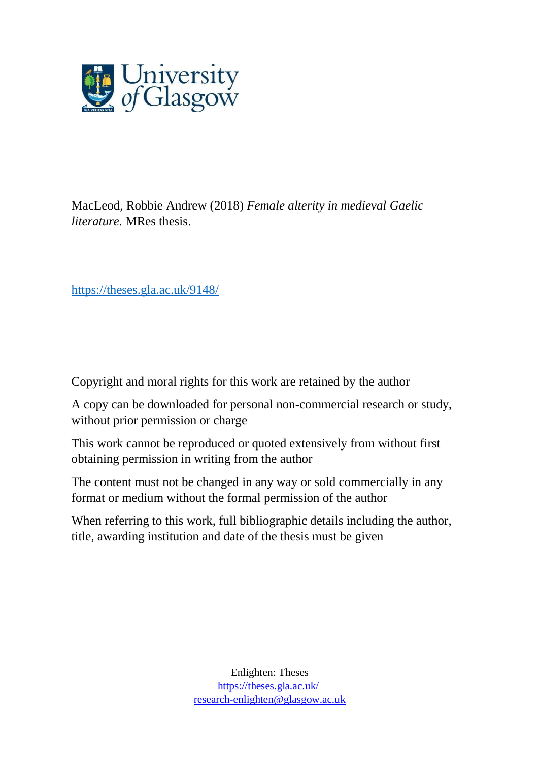

MacLeod, Robbie Andrew (2018) *Female alterity in medieval Gaelic literature.* MRes thesis.

<https://theses.gla.ac.uk/9148/>

Copyright and moral rights for this work are retained by the author

A copy can be downloaded for personal non-commercial research or study, without prior permission or charge

This work cannot be reproduced or quoted extensively from without first obtaining permission in writing from the author

The content must not be changed in any way or sold commercially in any format or medium without the formal permission of the author

When referring to this work, full bibliographic details including the author, title, awarding institution and date of the thesis must be given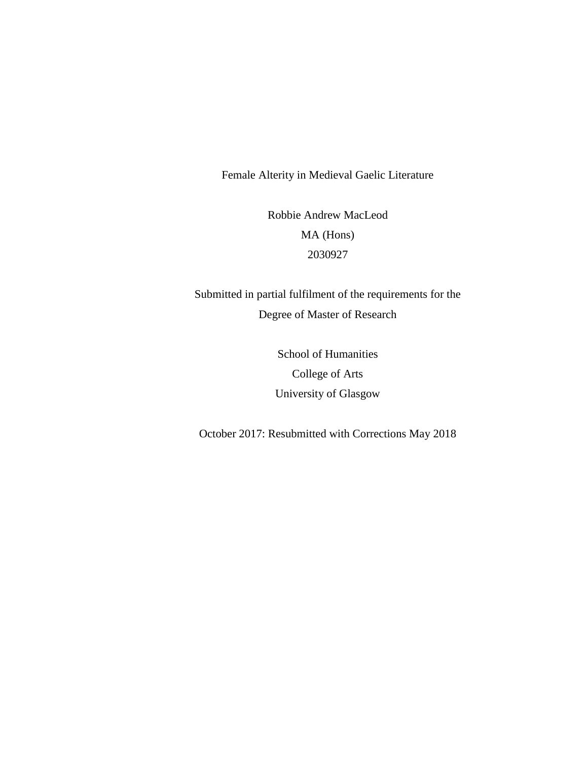Female Alterity in Medieval Gaelic Literature

Robbie Andrew MacLeod MA (Hons) 2030927

Submitted in partial fulfilment of the requirements for the Degree of Master of Research

> School of Humanities College of Arts University of Glasgow

October 2017: Resubmitted with Corrections May 2018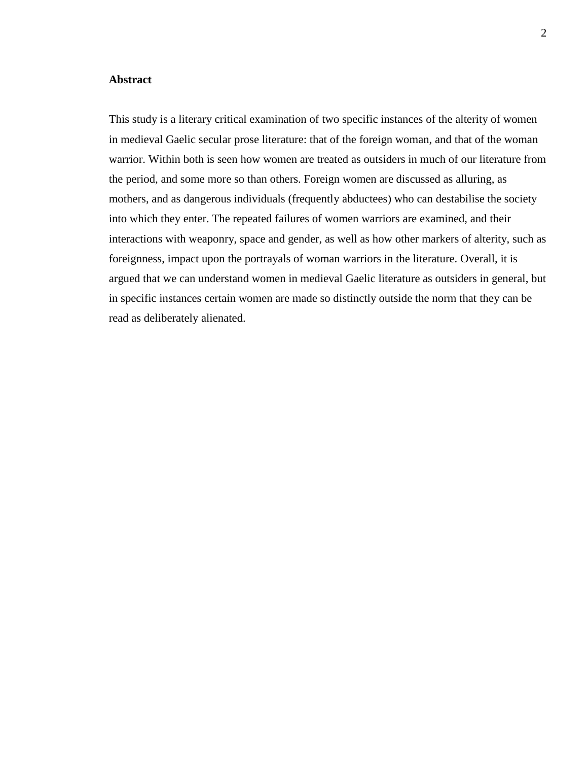## **Abstract**

This study is a literary critical examination of two specific instances of the alterity of women in medieval Gaelic secular prose literature: that of the foreign woman, and that of the woman warrior. Within both is seen how women are treated as outsiders in much of our literature from the period, and some more so than others. Foreign women are discussed as alluring, as mothers, and as dangerous individuals (frequently abductees) who can destabilise the society into which they enter. The repeated failures of women warriors are examined, and their interactions with weaponry, space and gender, as well as how other markers of alterity, such as foreignness, impact upon the portrayals of woman warriors in the literature. Overall, it is argued that we can understand women in medieval Gaelic literature as outsiders in general, but in specific instances certain women are made so distinctly outside the norm that they can be read as deliberately alienated.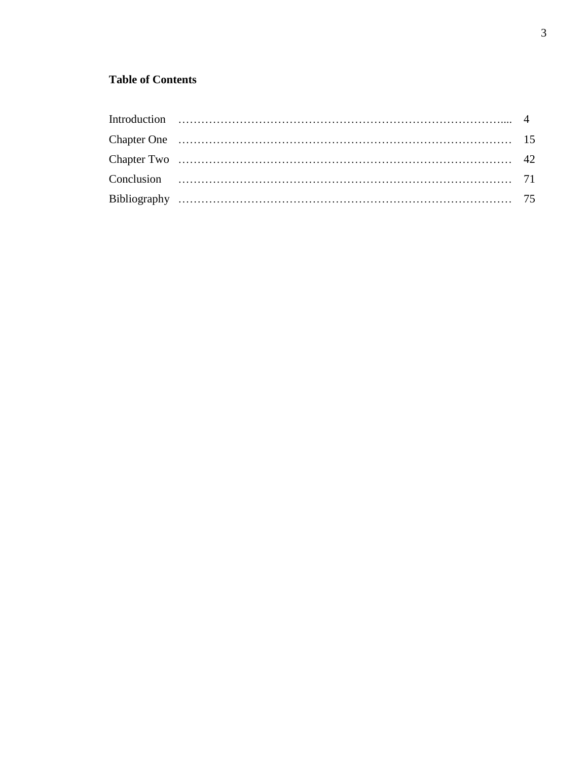## **Table of Contents**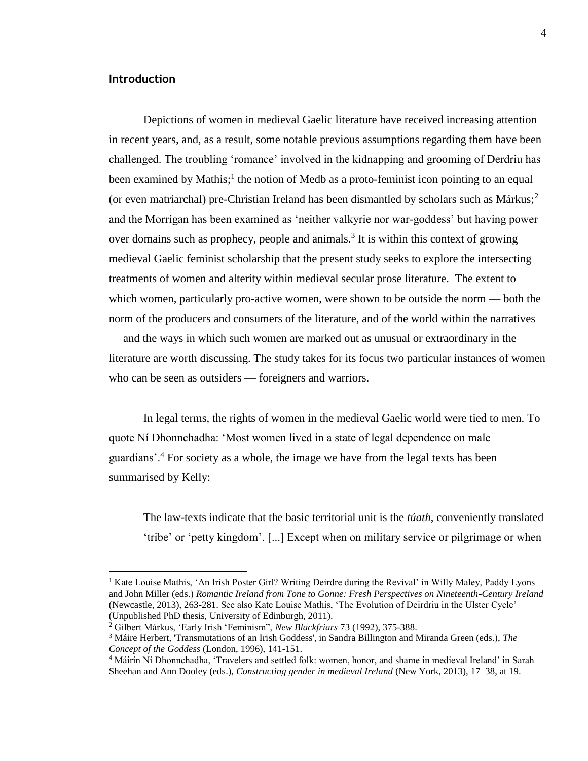## **Introduction**

 $\overline{a}$ 

Depictions of women in medieval Gaelic literature have received increasing attention in recent years, and, as a result, some notable previous assumptions regarding them have been challenged. The troubling 'romance' involved in the kidnapping and grooming of Derdriu has been examined by Mathis;<sup>1</sup> the notion of Medb as a proto-feminist icon pointing to an equal (or even matriarchal) pre-Christian Ireland has been dismantled by scholars such as  $Márkus;^{2}$ and the Morrígan has been examined as 'neither valkyrie nor war-goddess' but having power over domains such as prophecy, people and animals.<sup>3</sup> It is within this context of growing medieval Gaelic feminist scholarship that the present study seeks to explore the intersecting treatments of women and alterity within medieval secular prose literature. The extent to which women, particularly pro-active women, were shown to be outside the norm — both the norm of the producers and consumers of the literature, and of the world within the narratives — and the ways in which such women are marked out as unusual or extraordinary in the literature are worth discussing. The study takes for its focus two particular instances of women who can be seen as outsiders — foreigners and warriors.

In legal terms, the rights of women in the medieval Gaelic world were tied to men. To quote Ní Dhonnchadha: 'Most women lived in a state of legal dependence on male guardians'.<sup>4</sup> For society as a whole, the image we have from the legal texts has been summarised by Kelly:

The law-texts indicate that the basic territorial unit is the *túath*, conveniently translated 'tribe' or 'petty kingdom'. [...] Except when on military service or pilgrimage or when

<sup>&</sup>lt;sup>1</sup> Kate Louise Mathis, 'An Irish Poster Girl? Writing Deirdre during the Revival' in Willy Maley, Paddy Lyons and John Miller (eds.) *Romantic Ireland from Tone to Gonne: Fresh Perspectives on Nineteenth-Century Ireland* (Newcastle, 2013), 263-281. See also Kate Louise Mathis, 'The Evolution of Deirdriu in the Ulster Cycle' (Unpublished PhD thesis, University of Edinburgh, 2011).

<sup>2</sup> Gilbert Márkus, 'Early Irish 'Feminism", *New Blackfriars* 73 (1992), 375-388.

<sup>3</sup> Máire Herbert, 'Transmutations of an Irish Goddess', in Sandra Billington and Miranda Green (eds.), *The Concept of the Goddess* (London, 1996), 141-151.

<sup>4</sup> Máirín Ní Dhonnchadha, 'Travelers and settled folk: women, honor, and shame in medieval Ireland' in Sarah Sheehan and Ann Dooley (eds.), *Constructing gender in medieval Ireland* (New York, 2013), 17–38, at 19.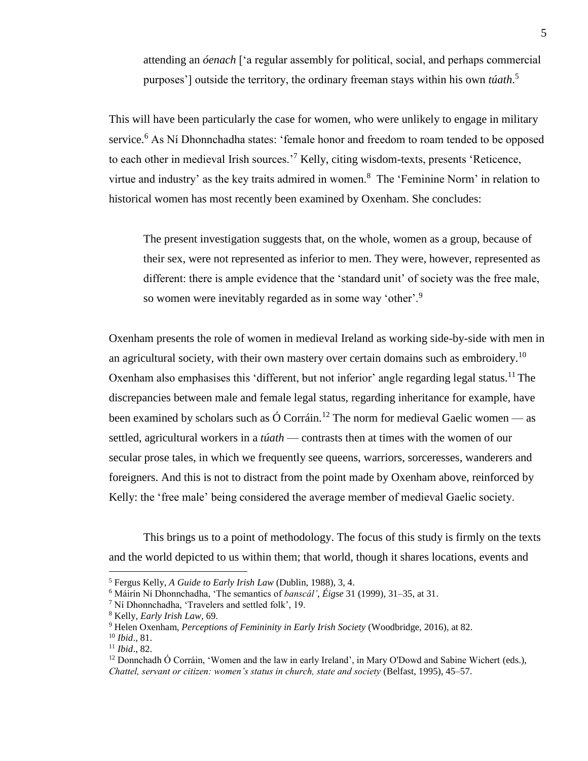attending an *óenach* ['a regular assembly for political, social, and perhaps commercial purposes'] outside the territory, the ordinary freeman stays within his own *túath*. 5

This will have been particularly the case for women, who were unlikely to engage in military service.<sup>6</sup> As Ní Dhonnchadha states: 'female honor and freedom to roam tended to be opposed to each other in medieval Irish sources.'<sup>7</sup> Kelly, citing wisdom-texts, presents 'Reticence, virtue and industry' as the key traits admired in women.<sup>8</sup> The 'Feminine Norm' in relation to historical women has most recently been examined by Oxenham. She concludes:

The present investigation suggests that, on the whole, women as a group, because of their sex, were not represented as inferior to men. They were, however, represented as different: there is ample evidence that the 'standard unit' of society was the free male, so women were inevitably regarded as in some way 'other'.<sup>9</sup>

Oxenham presents the role of women in medieval Ireland as working side-by-side with men in an agricultural society, with their own mastery over certain domains such as embroidery.<sup>10</sup> Oxenham also emphasises this 'different, but not inferior' angle regarding legal status.<sup>11</sup> The discrepancies between male and female legal status, regarding inheritance for example, have been examined by scholars such as  $\acute{O}$  Corráin.<sup>12</sup> The norm for medieval Gaelic women — as settled, agricultural workers in a *túath* — contrasts then at times with the women of our secular prose tales, in which we frequently see queens, warriors, sorceresses, wanderers and foreigners. And this is not to distract from the point made by Oxenham above, reinforced by Kelly: the 'free male' being considered the average member of medieval Gaelic society.

This brings us to a point of methodology. The focus of this study is firmly on the texts and the world depicted to us within them; that world, though it shares locations, events and

<sup>5</sup> Fergus Kelly, *A Guide to Early Irish Law* (Dublin, 1988), 3, 4.

<sup>6</sup> Máirín Ní Dhonnchadha, 'The semantics of *banscál'*, *Éigse* 31 (1999), 31–35, at 31.

<sup>7</sup> Ní Dhonnchadha, 'Travelers and settled folk', 19.

<sup>8</sup> Kelly, *Early Irish Law*, 69.

<sup>9</sup> Helen Oxenham, *Perceptions of Femininity in Early Irish Society* (Woodbridge, 2016), at 82.

<sup>10</sup> *Ibid*., 81.

<sup>11</sup> *Ibid*., 82.

 $12$  Donnchadh Ó Corráin, 'Women and the law in early Ireland', in Mary O'Dowd and Sabine Wichert (eds.), *Chattel, servant or citizen: women's status in church, state and society* (Belfast, 1995), 45–57.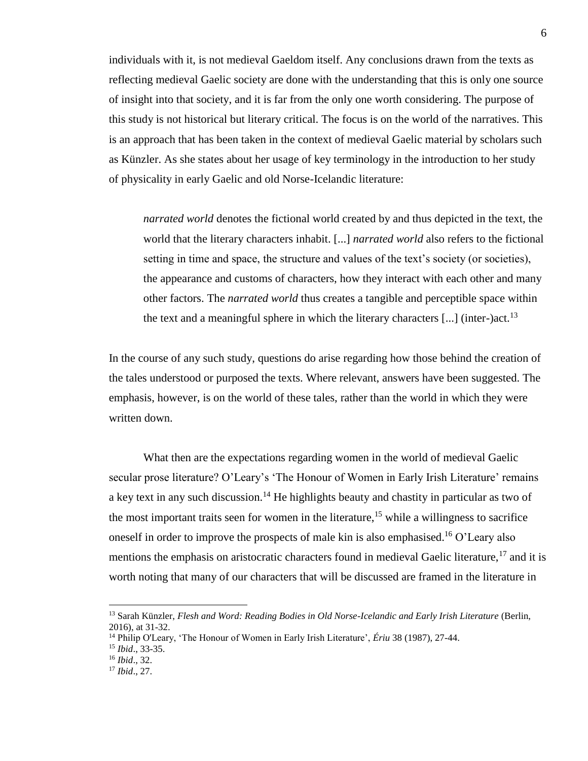individuals with it, is not medieval Gaeldom itself. Any conclusions drawn from the texts as reflecting medieval Gaelic society are done with the understanding that this is only one source of insight into that society, and it is far from the only one worth considering. The purpose of this study is not historical but literary critical. The focus is on the world of the narratives. This is an approach that has been taken in the context of medieval Gaelic material by scholars such as Künzler. As she states about her usage of key terminology in the introduction to her study of physicality in early Gaelic and old Norse-Icelandic literature:

*narrated world* denotes the fictional world created by and thus depicted in the text, the world that the literary characters inhabit. [...] *narrated world* also refers to the fictional setting in time and space, the structure and values of the text's society (or societies), the appearance and customs of characters, how they interact with each other and many other factors. The *narrated world* thus creates a tangible and perceptible space within the text and a meaningful sphere in which the literary characters  $[...]$  (inter-)act.<sup>13</sup>

In the course of any such study, questions do arise regarding how those behind the creation of the tales understood or purposed the texts. Where relevant, answers have been suggested. The emphasis, however, is on the world of these tales, rather than the world in which they were written down.

What then are the expectations regarding women in the world of medieval Gaelic secular prose literature? O'Leary's 'The Honour of Women in Early Irish Literature' remains a key text in any such discussion.<sup>14</sup> He highlights beauty and chastity in particular as two of the most important traits seen for women in the literature,<sup>15</sup> while a willingness to sacrifice oneself in order to improve the prospects of male kin is also emphasised.<sup>16</sup> O'Leary also mentions the emphasis on aristocratic characters found in medieval Gaelic literature,  $17$  and it is worth noting that many of our characters that will be discussed are framed in the literature in

<sup>13</sup> Sarah Künzler, *Flesh and Word: Reading Bodies in Old Norse-Icelandic and Early Irish Literature* (Berlin, 2016), at 31-32.

<sup>14</sup> Philip O'Leary, 'The Honour of Women in Early Irish Literature', *Ériu* 38 (1987), 27-44.

<sup>15</sup> *Ibid*., 33-35.

<sup>16</sup> *Ibid*., 32.

<sup>17</sup> *Ibid*., 27.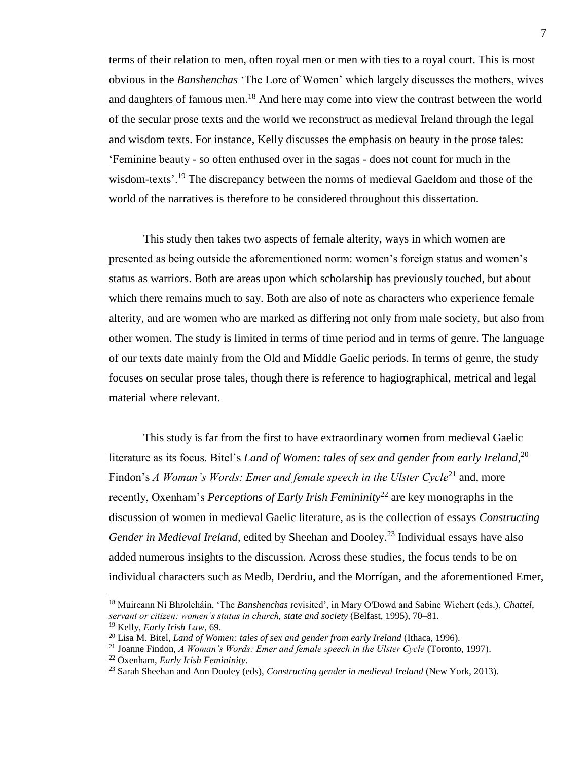terms of their relation to men, often royal men or men with ties to a royal court. This is most obvious in the *Banshenchas* 'The Lore of Women' which largely discusses the mothers, wives and daughters of famous men.<sup>18</sup> And here may come into view the contrast between the world of the secular prose texts and the world we reconstruct as medieval Ireland through the legal and wisdom texts. For instance, Kelly discusses the emphasis on beauty in the prose tales: 'Feminine beauty - so often enthused over in the sagas - does not count for much in the wisdom-texts'.<sup>19</sup> The discrepancy between the norms of medieval Gaeldom and those of the world of the narratives is therefore to be considered throughout this dissertation.

This study then takes two aspects of female alterity, ways in which women are presented as being outside the aforementioned norm: women's foreign status and women's status as warriors. Both are areas upon which scholarship has previously touched, but about which there remains much to say. Both are also of note as characters who experience female alterity, and are women who are marked as differing not only from male society, but also from other women. The study is limited in terms of time period and in terms of genre. The language of our texts date mainly from the Old and Middle Gaelic periods. In terms of genre, the study focuses on secular prose tales, though there is reference to hagiographical, metrical and legal material where relevant.

This study is far from the first to have extraordinary women from medieval Gaelic literature as its focus. Bitel's *Land of Women: tales of sex and gender from early Ireland*, 20 Findon's *A Woman's Words: Emer and female speech in the Ulster Cycle*<sup>21</sup> and, more recently, Oxenham's *Perceptions of Early Irish Femininity*<sup>22</sup> are key monographs in the discussion of women in medieval Gaelic literature, as is the collection of essays *Constructing Gender in Medieval Ireland*, edited by Sheehan and Dooley.<sup>23</sup> Individual essays have also added numerous insights to the discussion. Across these studies, the focus tends to be on individual characters such as Medb, Derdriu, and the Morrígan, and the aforementioned Emer,

<sup>18</sup> Muireann Ní Bhrolcháin, 'The *Banshenchas* revisited', in Mary O'Dowd and Sabine Wichert (eds.), *Chattel, servant or citizen: women's status in church, state and society* (Belfast, 1995), 70–81.

<sup>19</sup> Kelly, *Early Irish Law*, 69.

<sup>20</sup> Lisa M. Bitel, *Land of Women: tales of sex and gender from early Ireland* (Ithaca, 1996).

<sup>21</sup> Joanne Findon, *A Woman's Words: Emer and female speech in the Ulster Cycle* (Toronto, 1997).

<sup>22</sup> Oxenham, *Early Irish Femininity*.

<sup>23</sup> Sarah Sheehan and Ann Dooley (eds), *Constructing gender in medieval Ireland* (New York, 2013).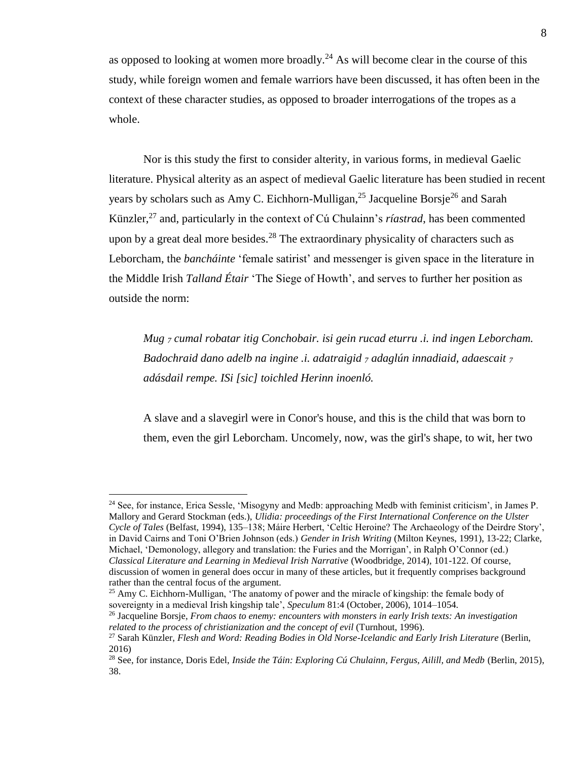as opposed to looking at women more broadly.<sup>24</sup> As will become clear in the course of this study, while foreign women and female warriors have been discussed, it has often been in the context of these character studies, as opposed to broader interrogations of the tropes as a whole.

Nor is this study the first to consider alterity, in various forms, in medieval Gaelic literature. Physical alterity as an aspect of medieval Gaelic literature has been studied in recent years by scholars such as Amy C. Eichhorn-Mulligan,  $^{25}$  Jacqueline Borsje<sup>26</sup> and Sarah Künzler,<sup>27</sup> and, particularly in the context of Cú Chulainn's *ríastrad*, has been commented upon by a great deal more besides.<sup>28</sup> The extraordinary physicality of characters such as Leborcham, the *bancháinte* 'female satirist' and messenger is given space in the literature in the Middle Irish *Talland Étair* 'The Siege of Howth', and serves to further her position as outside the norm:

*Mug <sup>7</sup> cumal robatar itig Conchobair. isi gein rucad eturru .i. ind ingen Leborcham. Badochraid dano adelb na ingine .i. adatraigid <sup>7</sup> adaglún innadiaid, adaescait <sup>7</sup> adásdail rempe. ISi [sic] toichled Herinn inoenló.*

A slave and a slavegirl were in Conor's house, and this is the child that was born to them, even the girl Leborcham. Uncomely, now, was the girl's shape, to wit, her two

<sup>24</sup> See, for instance, Erica Sessle, 'Misogyny and Medb: approaching Medb with feminist criticism', in James P. Mallory and Gerard Stockman (eds.), *Ulidia: proceedings of the First International Conference on the Ulster Cycle of Tales* (Belfast, 1994), 135–138; Máire Herbert, 'Celtic Heroine? The Archaeology of the Deirdre Story', in David Cairns and Toni O'Brien Johnson (eds.) *Gender in Irish Writing* (Milton Keynes, 1991), 13-22; Clarke, Michael, 'Demonology, allegory and translation: the Furies and the Morrigan', in Ralph O'Connor (ed.) *Classical Literature and Learning in Medieval Irish Narrative* (Woodbridge, 2014), 101-122. Of course, discussion of women in general does occur in many of these articles, but it frequently comprises background rather than the central focus of the argument.

<sup>&</sup>lt;sup>25</sup> Amy C. Eichhorn-Mulligan, 'The anatomy of power and the miracle of kingship: the female body of sovereignty in a medieval Irish kingship tale', *Speculum* 81:4 (October, 2006), 1014–1054.

<sup>26</sup> Jacqueline Borsje, *From chaos to enemy: encounters with monsters in early Irish texts: An investigation related to the process of christianization and the concept of evil* (Turnhout, 1996).

<sup>&</sup>lt;sup>27</sup> Sarah Künzler, *Flesh and Word: Reading Bodies in Old Norse-Icelandic and Early Irish Literature* (Berlin, 2016)

<sup>28</sup> See, for instance, Doris Edel, *Inside the Táin: Exploring Cú Chulainn, Fergus, Ailill, and Medb* (Berlin, 2015), 38.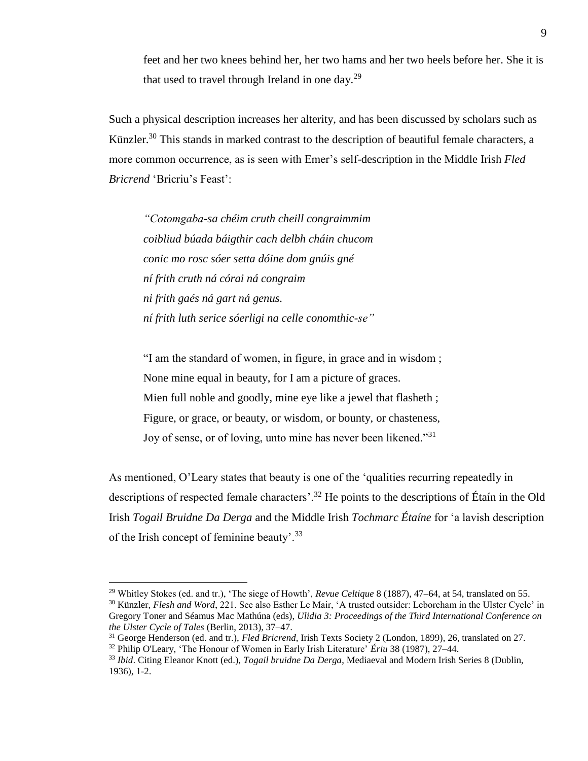feet and her two knees behind her, her two hams and her two heels before her. She it is that used to travel through Ireland in one day.<sup>29</sup>

Such a physical description increases her alterity, and has been discussed by scholars such as Künzler.<sup>30</sup> This stands in marked contrast to the description of beautiful female characters, a more common occurrence, as is seen with Emer's self-description in the Middle Irish *Fled Bricrend* 'Bricriu's Feast':

*"Cotomgaba-sa chéim cruth cheill congraimmim coibliud búada báigthir cach delbh cháin chucom conic mo rosc sóer setta dóine dom gnúis gné ní frith cruth ná córai ná congraim ni frith gaés ná gart ná genus. ní frith luth serice sóerligi na celle conomthic-se"*

"I am the standard of women, in figure, in grace and in wisdom ; None mine equal in beauty, for I am a picture of graces. Mien full noble and goodly, mine eye like a jewel that flasheth ; Figure, or grace, or beauty, or wisdom, or bounty, or chasteness, Joy of sense, or of loving, unto mine has never been likened."<sup>31</sup>

As mentioned, O'Leary states that beauty is one of the 'qualities recurring repeatedly in descriptions of respected female characters'.<sup>32</sup> He points to the descriptions of Étaín in the Old Irish *Togail Bruidne Da Derga* and the Middle Irish *Tochmarc Étaíne* for 'a lavish description of the Irish concept of feminine beauty'.<sup>33</sup>

<sup>29</sup> Whitley Stokes (ed. and tr.), 'The siege of Howth', *Revue Celtique* 8 (1887), 47–64, at 54, translated on 55.

<sup>&</sup>lt;sup>30</sup> Künzler, *Flesh and Word*, 221. See also Esther Le Mair, 'A trusted outsider: Leborcham in the Ulster Cycle' in Gregory Toner and Séamus Mac Mathúna (eds), *Ulidia 3: Proceedings of the Third International Conference on the Ulster Cycle of Tales* (Berlin, 2013), 37–47.

<sup>31</sup> George Henderson (ed. and tr.), *Fled Bricrend*, Irish Texts Society 2 (London, 1899), 26, translated on 27.

<sup>32</sup> Philip O'Leary, 'The Honour of Women in Early Irish Literature' *Ériu* 38 (1987), 27–44.

<sup>33</sup> *Ibid*. Citing Eleanor Knott (ed.), *Togail bruidne Da Derga*, Mediaeval and Modern Irish Series 8 (Dublin, 1936), 1-2.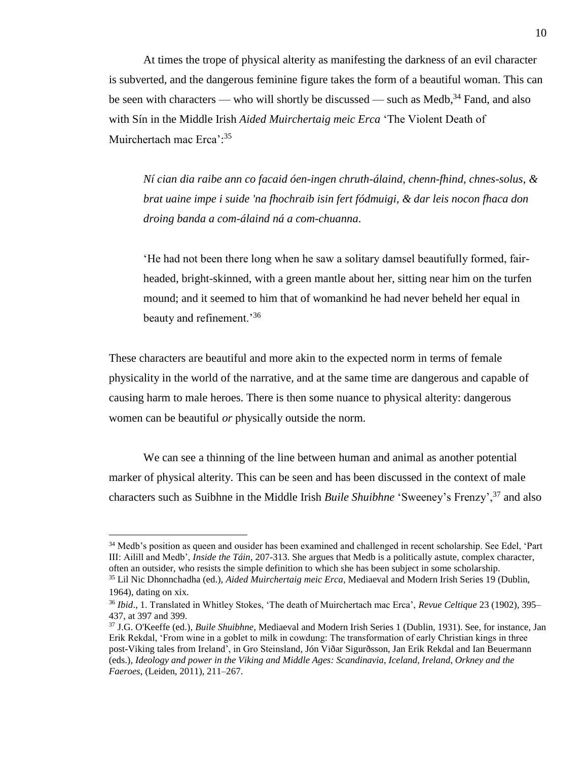At times the trope of physical alterity as manifesting the darkness of an evil character is subverted, and the dangerous feminine figure takes the form of a beautiful woman. This can be seen with characters — who will shortly be discussed — such as Medb,  $34$  Fand, and also with Sín in the Middle Irish *Aided Muirchertaig meic Erca* 'The Violent Death of Muirchertach mac Erca':<sup>35</sup>

*Ní cian dia raibe ann co facaid óen-ingen chruth-álaind, chenn-fhind, chnes-solus, & brat uaine impe i suide 'na fhochraib isin fert fódmuigi, & dar leis nocon fhaca don droing banda a com-álaind ná a com-chuanna*.

'He had not been there long when he saw a solitary damsel beautifully formed, fairheaded, bright-skinned, with a green mantle about her, sitting near him on the turfen mound; and it seemed to him that of womankind he had never beheld her equal in beauty and refinement.'<sup>36</sup>

These characters are beautiful and more akin to the expected norm in terms of female physicality in the world of the narrative, and at the same time are dangerous and capable of causing harm to male heroes. There is then some nuance to physical alterity: dangerous women can be beautiful *or* physically outside the norm.

We can see a thinning of the line between human and animal as another potential marker of physical alterity. This can be seen and has been discussed in the context of male characters such as Suibhne in the Middle Irish *Buile Shuibhne* 'Sweeney's Frenzy',<sup>37</sup> and also

<sup>34</sup> Medb's position as queen and ousider has been examined and challenged in recent scholarship. See Edel, 'Part III: Ailill and Medb', *Inside the Táin*, 207-313. She argues that Medb is a politically astute, complex character, often an outsider, who resists the simple definition to which she has been subject in some scholarship. <sup>35</sup> Lil Nic Dhonnchadha (ed.), *Aided Muirchertaig meic Erca*, Mediaeval and Modern Irish Series 19 (Dublin,

<sup>1964),</sup> dating on xix.

<sup>36</sup> *Ibid*., 1. Translated in Whitley Stokes, 'The death of Muirchertach mac Erca', *Revue Celtique* 23 (1902), 395– 437, at 397 and 399.

<sup>37</sup> J.G. O'Keeffe (ed.), *Buile Shuibhne*, Mediaeval and Modern Irish Series 1 (Dublin, 1931). See, for instance, Jan Erik Rekdal, 'From wine in a goblet to milk in cowdung: The transformation of early Christian kings in three post-Viking tales from Ireland', in Gro Steinsland, Jón Viðar Sigurðsson, Jan Erik Rekdal and Ian Beuermann (eds.)*, Ideology and power in the Viking and Middle Ages: Scandinavia, Iceland, Ireland, Orkney and the Faeroes*, (Leiden, 2011), 211–267.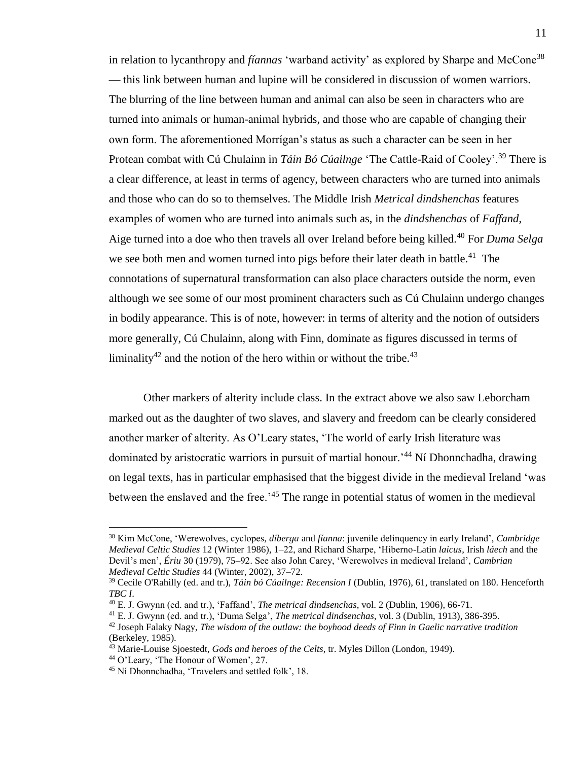in relation to lycanthropy and *fíannas* 'warband activity' as explored by Sharpe and McCone<sup>38</sup> — this link between human and lupine will be considered in discussion of women warriors. The blurring of the line between human and animal can also be seen in characters who are turned into animals or human-animal hybrids, and those who are capable of changing their own form. The aforementioned Morrígan's status as such a character can be seen in her Protean combat with Cú Chulainn in *Táin Bó Cúailnge* 'The Cattle-Raid of Cooley'.<sup>39</sup> There is a clear difference, at least in terms of agency, between characters who are turned into animals and those who can do so to themselves. The Middle Irish *Metrical dindshenchas* features examples of women who are turned into animals such as, in the *dindshenchas* of *Faffand*, Aige turned into a doe who then travels all over Ireland before being killed.<sup>40</sup> For *Duma Selga* we see both men and women turned into pigs before their later death in battle.<sup>41</sup> The connotations of supernatural transformation can also place characters outside the norm, even although we see some of our most prominent characters such as Cú Chulainn undergo changes in bodily appearance. This is of note, however: in terms of alterity and the notion of outsiders more generally, Cú Chulainn, along with Finn, dominate as figures discussed in terms of liminality<sup>42</sup> and the notion of the hero within or without the tribe.<sup>43</sup>

Other markers of alterity include class. In the extract above we also saw Leborcham marked out as the daughter of two slaves, and slavery and freedom can be clearly considered another marker of alterity. As O'Leary states, 'The world of early Irish literature was dominated by aristocratic warriors in pursuit of martial honour.'<sup>44</sup> Ní Dhonnchadha, drawing on legal texts, has in particular emphasised that the biggest divide in the medieval Ireland 'was between the enslaved and the free.'<sup>45</sup> The range in potential status of women in the medieval

<sup>38</sup> Kim McCone, 'Werewolves, cyclopes, *díberga* and *fíanna*: juvenile delinquency in early Ireland', *Cambridge Medieval Celtic Studies* 12 (Winter 1986), 1–22, and Richard Sharpe, 'Hiberno-Latin *laicus*, Irish *láech* and the Devil's men', *Ériu* 30 (1979), 75–92. See also John Carey, 'Werewolves in medieval Ireland', *Cambrian Medieval Celtic Studies* 44 (Winter, 2002), 37–72.

<sup>39</sup> Cecile O'Rahilly (ed. and tr.), *Táin bó Cúailnge: Recension I* (Dublin, 1976), 61, translated on 180. Henceforth *TBC I*.

<sup>40</sup> E. J. Gwynn (ed. and tr.), 'Faffand', *The metrical dindsenchas*, vol. 2 (Dublin, 1906), 66-71.

<sup>41</sup> E. J. Gwynn (ed. and tr.), 'Duma Selga', *The metrical dindsenchas*, vol. 3 (Dublin, 1913), 386-395. <sup>42</sup> Joseph Falaky Nagy, *The wisdom of the outlaw: the boyhood deeds of Finn in Gaelic narrative tradition*

<sup>(</sup>Berkeley, 1985).

<sup>43</sup> Marie-Louise Sjoestedt, *Gods and heroes of the Celts*, tr. Myles Dillon (London, 1949).

<sup>44</sup> O'Leary, 'The Honour of Women', 27.

<sup>45</sup> Ní Dhonnchadha, 'Travelers and settled folk', 18.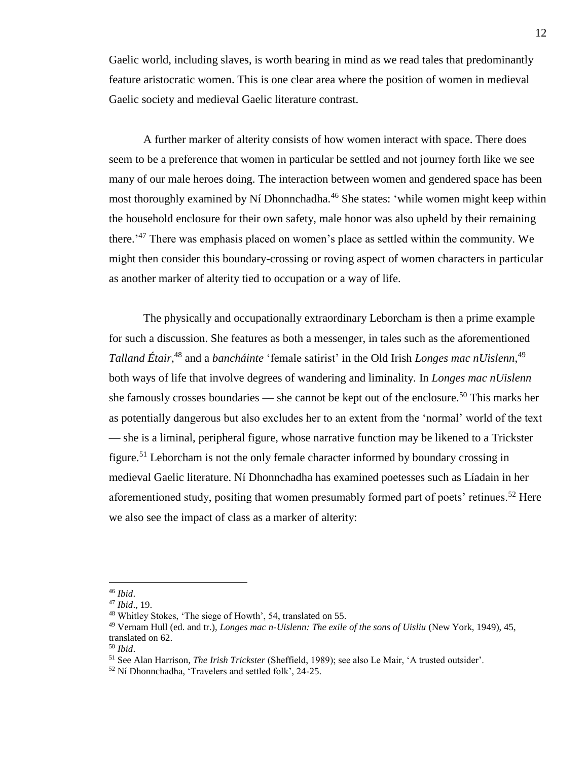Gaelic world, including slaves, is worth bearing in mind as we read tales that predominantly feature aristocratic women. This is one clear area where the position of women in medieval Gaelic society and medieval Gaelic literature contrast.

A further marker of alterity consists of how women interact with space. There does seem to be a preference that women in particular be settled and not journey forth like we see many of our male heroes doing. The interaction between women and gendered space has been most thoroughly examined by Ní Dhonnchadha.<sup>46</sup> She states: 'while women might keep within the household enclosure for their own safety, male honor was also upheld by their remaining there.<sup>'47</sup> There was emphasis placed on women's place as settled within the community. We might then consider this boundary-crossing or roving aspect of women characters in particular as another marker of alterity tied to occupation or a way of life.

The physically and occupationally extraordinary Leborcham is then a prime example for such a discussion. She features as both a messenger, in tales such as the aforementioned Talland Étair,<sup>48</sup> and a *bancháinte* 'female satirist' in the Old Irish *Longes mac nUislenn*,<sup>49</sup> both ways of life that involve degrees of wandering and liminality. In *Longes mac nUislenn* she famously crosses boundaries — she cannot be kept out of the enclosure.<sup>50</sup> This marks her as potentially dangerous but also excludes her to an extent from the 'normal' world of the text — she is a liminal, peripheral figure, whose narrative function may be likened to a Trickster figure.<sup>51</sup> Leborcham is not the only female character informed by boundary crossing in medieval Gaelic literature. Ní Dhonnchadha has examined poetesses such as Líadain in her aforementioned study, positing that women presumably formed part of poets' retinues.<sup>52</sup> Here we also see the impact of class as a marker of alterity:

<sup>46</sup> *Ibid*.

<sup>47</sup> *Ibid*., 19.

<sup>48</sup> Whitley Stokes, 'The siege of Howth', 54, translated on 55.

<sup>49</sup> Vernam Hull (ed. and tr.), *Longes mac n-Uislenn: The exile of the sons of Uisliu* (New York, 1949), 45, translated on 62.

<sup>50</sup> *Ibid*.

<sup>51</sup> See Alan Harrison, *The Irish Trickster* (Sheffield, 1989); see also Le Mair, 'A trusted outsider'.

<sup>52</sup> Ní Dhonnchadha, 'Travelers and settled folk', 24-25.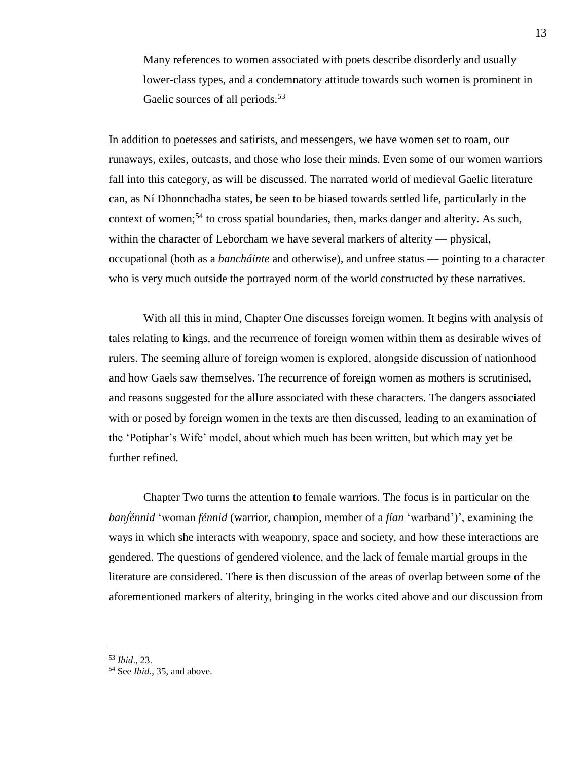Many references to women associated with poets describe disorderly and usually lower-class types, and a condemnatory attitude towards such women is prominent in Gaelic sources of all periods.<sup>53</sup>

In addition to poetesses and satirists, and messengers, we have women set to roam, our runaways, exiles, outcasts, and those who lose their minds. Even some of our women warriors fall into this category, as will be discussed. The narrated world of medieval Gaelic literature can, as Ní Dhonnchadha states, be seen to be biased towards settled life, particularly in the context of women;<sup>54</sup> to cross spatial boundaries, then, marks danger and alterity. As such, within the character of Leborcham we have several markers of alterity — physical, occupational (both as a *bancháinte* and otherwise), and unfree status — pointing to a character who is very much outside the portrayed norm of the world constructed by these narratives.

With all this in mind, Chapter One discusses foreign women. It begins with analysis of tales relating to kings, and the recurrence of foreign women within them as desirable wives of rulers. The seeming allure of foreign women is explored, alongside discussion of nationhood and how Gaels saw themselves. The recurrence of foreign women as mothers is scrutinised, and reasons suggested for the allure associated with these characters. The dangers associated with or posed by foreign women in the texts are then discussed, leading to an examination of the 'Potiphar's Wife' model, about which much has been written, but which may yet be further refined.

Chapter Two turns the attention to female warriors. The focus is in particular on the *banḟénnid* 'woman *fénnid* (warrior, champion, member of a *fían* 'warband')', examining the ways in which she interacts with weaponry, space and society, and how these interactions are gendered. The questions of gendered violence, and the lack of female martial groups in the literature are considered. There is then discussion of the areas of overlap between some of the aforementioned markers of alterity, bringing in the works cited above and our discussion from

<sup>53</sup> *Ibid*., 23.

<sup>54</sup> See *Ibid*., 35, and above.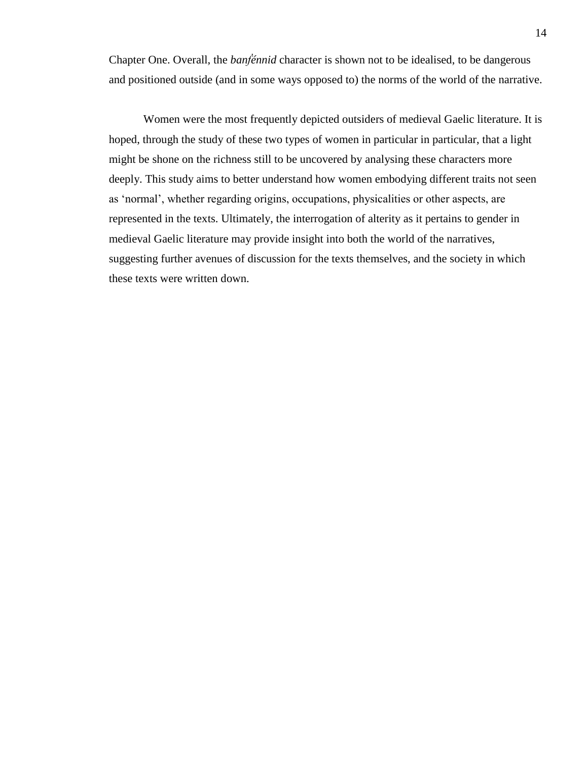Chapter One. Overall, the *banḟénnid* character is shown not to be idealised, to be dangerous and positioned outside (and in some ways opposed to) the norms of the world of the narrative.

Women were the most frequently depicted outsiders of medieval Gaelic literature. It is hoped, through the study of these two types of women in particular in particular, that a light might be shone on the richness still to be uncovered by analysing these characters more deeply. This study aims to better understand how women embodying different traits not seen as 'normal', whether regarding origins, occupations, physicalities or other aspects, are represented in the texts. Ultimately, the interrogation of alterity as it pertains to gender in medieval Gaelic literature may provide insight into both the world of the narratives, suggesting further avenues of discussion for the texts themselves, and the society in which these texts were written down.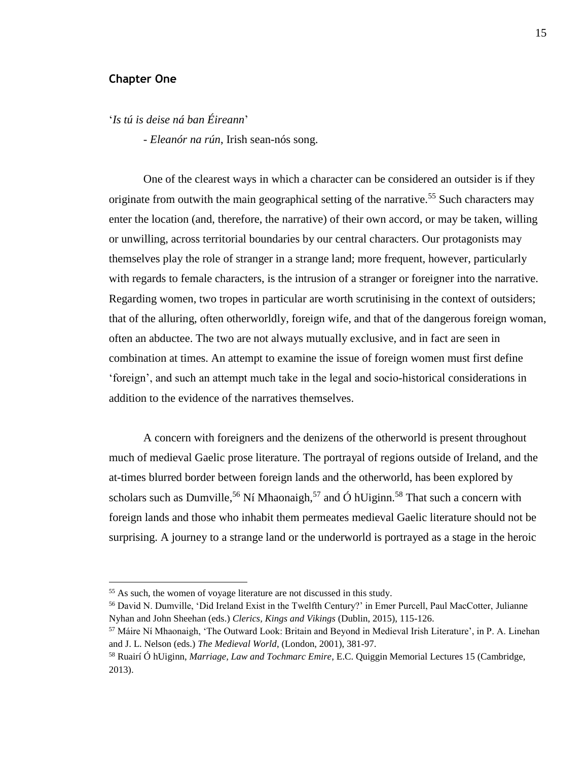## **Chapter One**

 $\overline{a}$ 

'*Is tú is deise ná ban Éireann*'

- *Eleanór na rún*, Irish sean-nós song.

One of the clearest ways in which a character can be considered an outsider is if they originate from outwith the main geographical setting of the narrative.<sup>55</sup> Such characters may enter the location (and, therefore, the narrative) of their own accord, or may be taken, willing or unwilling, across territorial boundaries by our central characters. Our protagonists may themselves play the role of stranger in a strange land; more frequent, however, particularly with regards to female characters, is the intrusion of a stranger or foreigner into the narrative. Regarding women, two tropes in particular are worth scrutinising in the context of outsiders; that of the alluring, often otherworldly, foreign wife, and that of the dangerous foreign woman, often an abductee. The two are not always mutually exclusive, and in fact are seen in combination at times. An attempt to examine the issue of foreign women must first define 'foreign', and such an attempt much take in the legal and socio-historical considerations in addition to the evidence of the narratives themselves.

A concern with foreigners and the denizens of the otherworld is present throughout much of medieval Gaelic prose literature. The portrayal of regions outside of Ireland, and the at-times blurred border between foreign lands and the otherworld, has been explored by scholars such as Dumville,<sup>56</sup> Ní Mhaonaigh,<sup>57</sup> and Ó hUiginn.<sup>58</sup> That such a concern with foreign lands and those who inhabit them permeates medieval Gaelic literature should not be surprising. A journey to a strange land or the underworld is portrayed as a stage in the heroic

<sup>55</sup> As such, the women of voyage literature are not discussed in this study.

<sup>56</sup> David N. Dumville, 'Did Ireland Exist in the Twelfth Century?' in Emer Purcell, Paul MacCotter, Julianne Nyhan and John Sheehan (eds.) *Clerics, Kings and Vikings* (Dublin, 2015), 115-126.

<sup>57</sup> Máire Ní Mhaonaigh, 'The Outward Look: Britain and Beyond in Medieval Irish Literature', in P. A. Linehan and J. L. Nelson (eds.) *The Medieval World*, (London, 2001), 381-97.

<sup>58</sup> Ruairí Ó hUiginn, *Marriage, Law and Tochmarc Emire*, E.C. Quiggin Memorial Lectures 15 (Cambridge, 2013).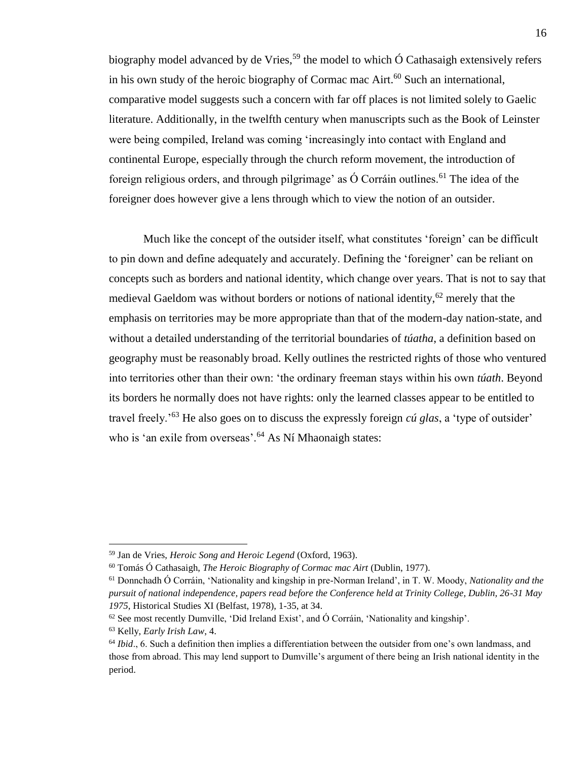biography model advanced by de Vries,<sup>59</sup> the model to which  $\acute{o}$  Cathasaigh extensively refers in his own study of the heroic biography of Cormac mac  $\text{Airt.}^{60}$  Such an international, comparative model suggests such a concern with far off places is not limited solely to Gaelic literature. Additionally, in the twelfth century when manuscripts such as the Book of Leinster were being compiled, Ireland was coming 'increasingly into contact with England and continental Europe, especially through the church reform movement, the introduction of foreign religious orders, and through pilgrimage' as  $\dot{O}$  Corráin outlines.<sup>61</sup> The idea of the foreigner does however give a lens through which to view the notion of an outsider.

Much like the concept of the outsider itself, what constitutes 'foreign' can be difficult to pin down and define adequately and accurately. Defining the 'foreigner' can be reliant on concepts such as borders and national identity, which change over years. That is not to say that medieval Gaeldom was without borders or notions of national identity,<sup>62</sup> merely that the emphasis on territories may be more appropriate than that of the modern-day nation-state, and without a detailed understanding of the territorial boundaries of *túatha*, a definition based on geography must be reasonably broad. Kelly outlines the restricted rights of those who ventured into territories other than their own: 'the ordinary freeman stays within his own *túath*. Beyond its borders he normally does not have rights: only the learned classes appear to be entitled to travel freely.'<sup>63</sup> He also goes on to discuss the expressly foreign *cú glas*, a 'type of outsider' who is 'an exile from overseas'.<sup>64</sup> As Ní Mhaonaigh states:

<sup>59</sup> Jan de Vries, *Heroic Song and Heroic Legend* (Oxford, 1963).

<sup>60</sup> Tomás Ó Cathasaigh, *The Heroic Biography of Cormac mac Airt* (Dublin, 1977).

<sup>61</sup> Donnchadh Ó Corráin, 'Nationality and kingship in pre-Norman Ireland', in T. W. Moody, *Nationality and the pursuit of national independence, papers read before the Conference held at Trinity College, Dublin, 26-31 May 1975*, Historical Studies XI (Belfast, 1978), 1-35, at 34.

 $62$  See most recently Dumville, 'Did Ireland Exist', and  $\acute{O}$  Corráin, 'Nationality and kingship'.

<sup>63</sup> Kelly, *Early Irish Law*, 4.

<sup>64</sup> *Ibid*., 6. Such a definition then implies a differentiation between the outsider from one's own landmass, and those from abroad. This may lend support to Dumville's argument of there being an Irish national identity in the period.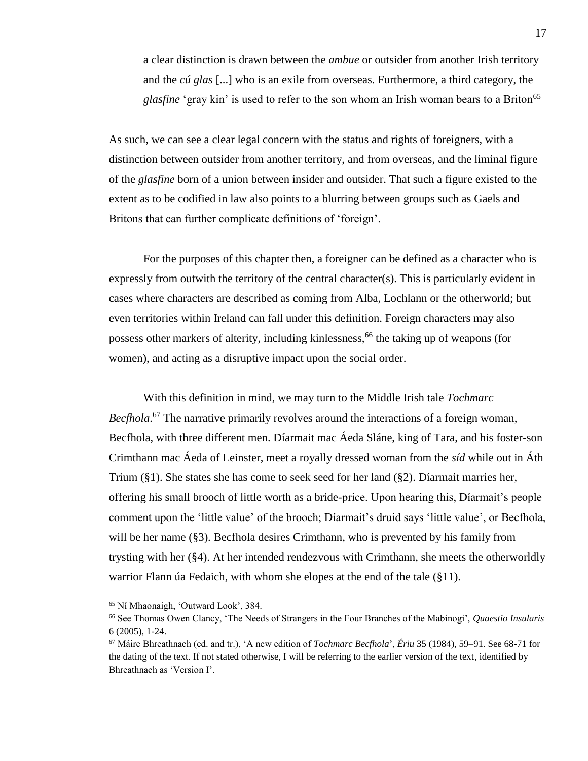a clear distinction is drawn between the *ambue* or outsider from another Irish territory and the *cú glas* [...] who is an exile from overseas. Furthermore, a third category, the *glasfine* 'gray kin' is used to refer to the son whom an Irish woman bears to a Briton<sup>65</sup>

As such, we can see a clear legal concern with the status and rights of foreigners, with a distinction between outsider from another territory, and from overseas, and the liminal figure of the *glasfine* born of a union between insider and outsider. That such a figure existed to the extent as to be codified in law also points to a blurring between groups such as Gaels and Britons that can further complicate definitions of 'foreign'.

For the purposes of this chapter then, a foreigner can be defined as a character who is expressly from outwith the territory of the central character(s). This is particularly evident in cases where characters are described as coming from Alba, Lochlann or the otherworld; but even territories within Ireland can fall under this definition. Foreign characters may also possess other markers of alterity, including kinlessness,<sup>66</sup> the taking up of weapons (for women), and acting as a disruptive impact upon the social order.

With this definition in mind, we may turn to the Middle Irish tale *Tochmarc*  Becfhola.<sup>67</sup> The narrative primarily revolves around the interactions of a foreign woman, Becfhola, with three different men. Díarmait mac Áeda Sláne, king of Tara, and his foster-son Crimthann mac Áeda of Leinster, meet a royally dressed woman from the *síd* while out in Áth Trium (§1). She states she has come to seek seed for her land (§2). Díarmait marries her, offering his small brooch of little worth as a bride-price. Upon hearing this, Díarmait's people comment upon the 'little value' of the brooch; Díarmait's druid says 'little value', or Becfhola, will be her name (§3). Becfhola desires Crimthann, who is prevented by his family from trysting with her (§4). At her intended rendezvous with Crimthann, she meets the otherworldly warrior Flann úa Fedaich, with whom she elopes at the end of the tale (§11).

<sup>65</sup> Ní Mhaonaigh, 'Outward Look', 384.

<sup>66</sup> See Thomas Owen Clancy, 'The Needs of Strangers in the Four Branches of the Mabinogi', *Quaestio Insularis* 6 (2005), 1-24.

<sup>67</sup> Máire Bhreathnach (ed. and tr.), 'A new edition of *Tochmarc Becfhola*', *Ériu* 35 (1984), 59–91. See 68-71 for the dating of the text. If not stated otherwise, I will be referring to the earlier version of the text, identified by Bhreathnach as 'Version I'.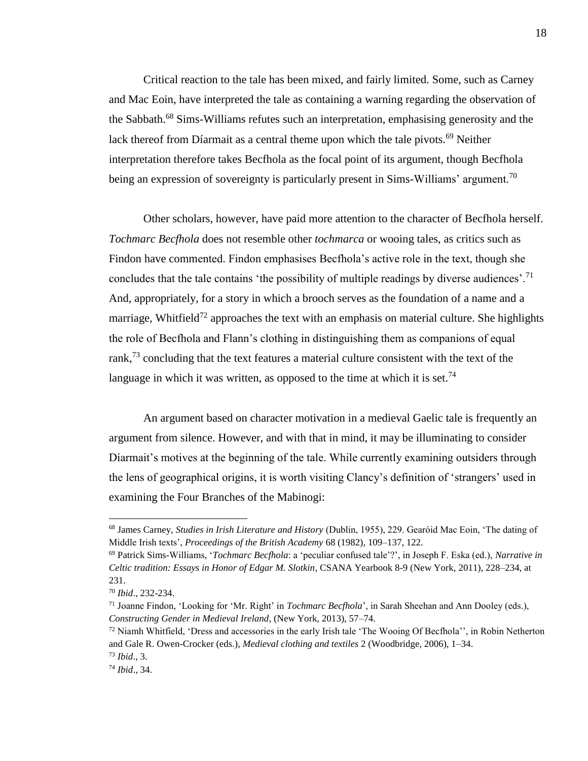Critical reaction to the tale has been mixed, and fairly limited. Some, such as Carney and Mac Eoin, have interpreted the tale as containing a warning regarding the observation of the Sabbath.<sup>68</sup> Sims-Williams refutes such an interpretation, emphasising generosity and the lack thereof from Díarmait as a central theme upon which the tale pivots.<sup>69</sup> Neither interpretation therefore takes Becfhola as the focal point of its argument, though Becfhola being an expression of sovereignty is particularly present in Sims-Williams' argument.<sup>70</sup>

Other scholars, however, have paid more attention to the character of Becfhola herself. *Tochmarc Becfhola* does not resemble other *tochmarca* or wooing tales, as critics such as Findon have commented. Findon emphasises Becfhola's active role in the text, though she concludes that the tale contains 'the possibility of multiple readings by diverse audiences'.<sup>71</sup> And, appropriately, for a story in which a brooch serves as the foundation of a name and a marriage, Whitfield<sup>72</sup> approaches the text with an emphasis on material culture. She highlights the role of Becfhola and Flann's clothing in distinguishing them as companions of equal rank,<sup>73</sup> concluding that the text features a material culture consistent with the text of the language in which it was written, as opposed to the time at which it is set.<sup>74</sup>

An argument based on character motivation in a medieval Gaelic tale is frequently an argument from silence. However, and with that in mind, it may be illuminating to consider Díarmait's motives at the beginning of the tale. While currently examining outsiders through the lens of geographical origins, it is worth visiting Clancy's definition of 'strangers' used in examining the Four Branches of the Mabinogi:

<sup>68</sup> James Carney, *Studies in Irish Literature and History* (Dublin, 1955), 229. Gearóid Mac Eoin, 'The dating of Middle Irish texts', *Proceedings of the British Academy* 68 (1982), 109–137, 122.

<sup>69</sup> Patrick Sims-Williams, '*Tochmarc Becfhola*: a 'peculiar confused tale'?', in Joseph F. Eska (ed.), *Narrative in Celtic tradition: Essays in Honor of Edgar M. Slotkin*, CSANA Yearbook 8-9 (New York, 2011), 228–234, at 231.

<sup>70</sup> *Ibid*., 232-234.

<sup>71</sup> Joanne Findon, 'Looking for 'Mr. Right' in *Tochmarc Becfhola*', in Sarah Sheehan and Ann Dooley (eds.), *Constructing Gender in Medieval Ireland*, (New York, 2013), 57–74.

 $72$  Niamh Whitfield, 'Dress and accessories in the early Irish tale 'The Wooing Of Becfhola'', in Robin Netherton and Gale R. Owen-Crocker (eds.), *Medieval clothing and textiles* 2 (Woodbridge, 2006), 1–34. <sup>73</sup> *Ibid*., 3.

<sup>74</sup> *Ibid*., 34.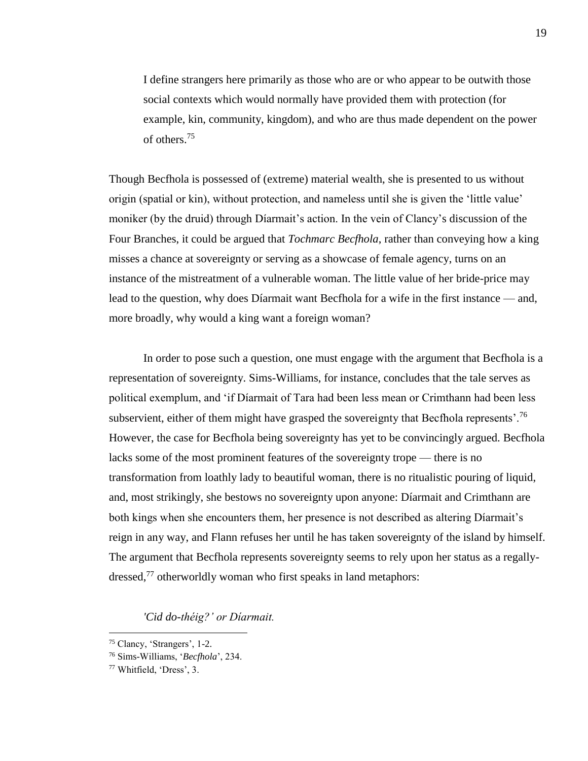I define strangers here primarily as those who are or who appear to be outwith those social contexts which would normally have provided them with protection (for example, kin, community, kingdom), and who are thus made dependent on the power of others.<sup>75</sup>

Though Becfhola is possessed of (extreme) material wealth, she is presented to us without origin (spatial or kin), without protection, and nameless until she is given the 'little value' moniker (by the druid) through Díarmait's action. In the vein of Clancy's discussion of the Four Branches, it could be argued that *Tochmarc Becfhola*, rather than conveying how a king misses a chance at sovereignty or serving as a showcase of female agency, turns on an instance of the mistreatment of a vulnerable woman. The little value of her bride-price may lead to the question, why does Díarmait want Becfhola for a wife in the first instance — and, more broadly, why would a king want a foreign woman?

In order to pose such a question, one must engage with the argument that Becfhola is a representation of sovereignty. Sims-Williams, for instance, concludes that the tale serves as political exemplum, and 'if Díarmait of Tara had been less mean or Crimthann had been less subservient, either of them might have grasped the sovereignty that Becfhola represents'.<sup>76</sup> However, the case for Becfhola being sovereignty has yet to be convincingly argued. Becfhola lacks some of the most prominent features of the sovereignty trope — there is no transformation from loathly lady to beautiful woman, there is no ritualistic pouring of liquid, and, most strikingly, she bestows no sovereignty upon anyone: Díarmait and Crimthann are both kings when she encounters them, her presence is not described as altering Díarmait's reign in any way, and Flann refuses her until he has taken sovereignty of the island by himself. The argument that Becfhola represents sovereignty seems to rely upon her status as a regallydressed,<sup>77</sup> otherworldly woman who first speaks in land metaphors:

*'Cid do-théig?' or Díarmait.*

<sup>75</sup> Clancy, 'Strangers', 1-2.

<sup>76</sup> Sims-Williams, '*Becfhola*', 234.

<sup>77</sup> Whitfield, 'Dress', 3.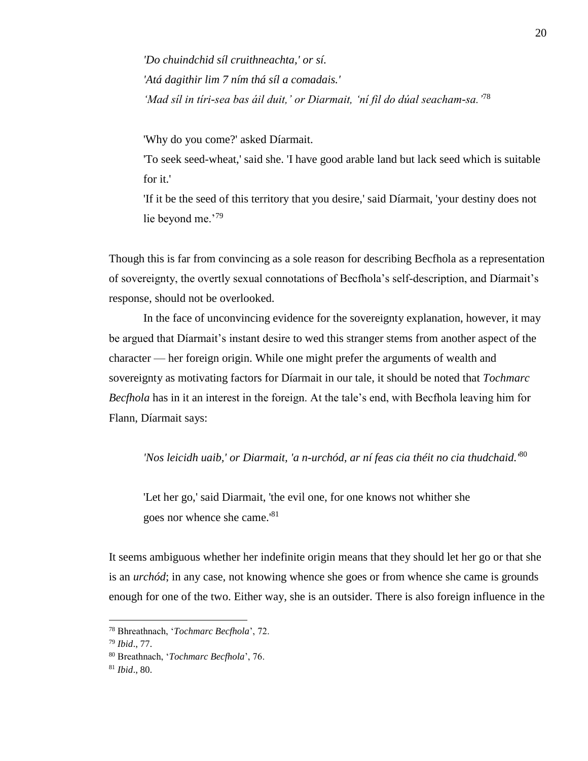*'Do chuindchid síl cruithneachta,' or sí. 'Atá dagithir lim 7 ním thá síl a comadais.' 'Mad síl in tíri-sea bas áil duit,' or Diarmait, 'ní fil do dúal seacham-sa.'*<sup>78</sup>

'Why do you come?' asked Díarmait.

'To seek seed-wheat,' said she. 'I have good arable land but lack seed which is suitable for it.'

'If it be the seed of this territory that you desire,' said Díarmait, 'your destiny does not lie beyond me.'<sup>79</sup>

Though this is far from convincing as a sole reason for describing Becfhola as a representation of sovereignty, the overtly sexual connotations of Becfhola's self-description, and Díarmait's response, should not be overlooked.

In the face of unconvincing evidence for the sovereignty explanation, however, it may be argued that Díarmait's instant desire to wed this stranger stems from another aspect of the character — her foreign origin. While one might prefer the arguments of wealth and sovereignty as motivating factors for Díarmait in our tale, it should be noted that *Tochmarc Becfhola* has in it an interest in the foreign. At the tale's end, with Becfhola leaving him for Flann, Díarmait says:

*'Nos leicidh uaib,' or Diarmait, 'a n-urchód, ar ní feas cia théit no cia thudchaid.'*<sup>80</sup>

'Let her go,' said Diarmait, 'the evil one, for one knows not whither she goes nor whence she came.'<sup>81</sup>

It seems ambiguous whether her indefinite origin means that they should let her go or that she is an *urchód*; in any case, not knowing whence she goes or from whence she came is grounds enough for one of the two. Either way, she is an outsider. There is also foreign influence in the

<sup>78</sup> Bhreathnach, '*Tochmarc Becfhola*', 72.

<sup>79</sup> *Ibid*., 77.

<sup>80</sup> Breathnach, '*Tochmarc Becfhola*', 76.

<sup>81</sup> *Ibid*., 80.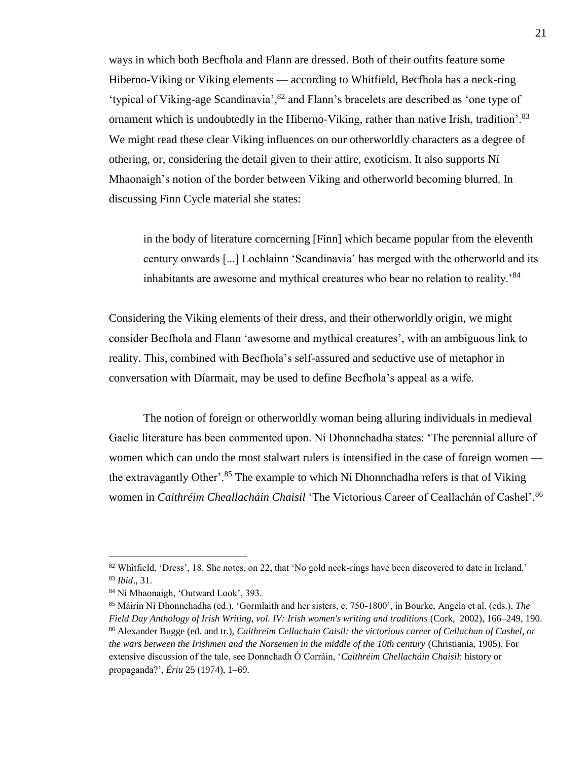ways in which both Becfhola and Flann are dressed. Both of their outfits feature some Hiberno-Viking or Viking elements — according to Whitfield, Becfhola has a neck-ring 'typical of Viking-age Scandinavia',<sup>82</sup> and Flann's bracelets are described as 'one type of ornament which is undoubtedly in the Hiberno-Viking, rather than native Irish, tradition'.<sup>83</sup> We might read these clear Viking influences on our otherworldly characters as a degree of othering, or, considering the detail given to their attire, exoticism. It also supports Ní Mhaonaigh's notion of the border between Viking and otherworld becoming blurred. In discussing Finn Cycle material she states:

in the body of literature corncerning [Finn] which became popular from the eleventh century onwards [...] Lochlainn 'Scandinavia' has merged with the otherworld and its inhabitants are awesome and mythical creatures who bear no relation to reality.'<sup>84</sup>

Considering the Viking elements of their dress, and their otherworldly origin, we might consider Becfhola and Flann 'awesome and mythical creatures', with an ambiguous link to reality. This, combined with Becfhola's self-assured and seductive use of metaphor in conversation with Díarmait, may be used to define Becfhola's appeal as a wife.

The notion of foreign or otherworldly woman being alluring individuals in medieval Gaelic literature has been commented upon. Ní Dhonnchadha states: 'The perennial allure of women which can undo the most stalwart rulers is intensified in the case of foreign women the extravagantly Other'.<sup>85</sup> The example to which Ní Dhonnchadha refers is that of Viking women in *Caithréim Cheallacháin Chaisil* 'The Victorious Career of Ceallachán of Cashel', <sup>86</sup>

<sup>82</sup> Whitfield, 'Dress', 18. She notes, on 22, that 'No gold neck-rings have been discovered to date in Ireland.' <sup>83</sup> *Ibid*., 31.

<sup>84</sup> Ní Mhaonaigh, 'Outward Look', 393.

<sup>85</sup> Máirin Ní Dhonnchadha (ed.), 'Gormlaith and her sisters, c. 750-1800', in Bourke, Angela et al. (eds.), *The Field Day Anthology of Irish Writing, vol. IV: Irish women's writing and traditions* (Cork, 2002), 166–249, 190. <sup>86</sup> Alexander Bugge (ed. and tr.), *Caithreim Cellachain Caisil: the victorious career of Cellachan of Cashel, or the wars between the Irishmen and the Norsemen in the middle of the 10th century* (Christiania, 1905). For extensive discussion of the tale, see Donnchadh Ó Corráin, '*Caithréim Chellacháin Chaisil*: history or propaganda?', *Ériu* 25 (1974), 1–69.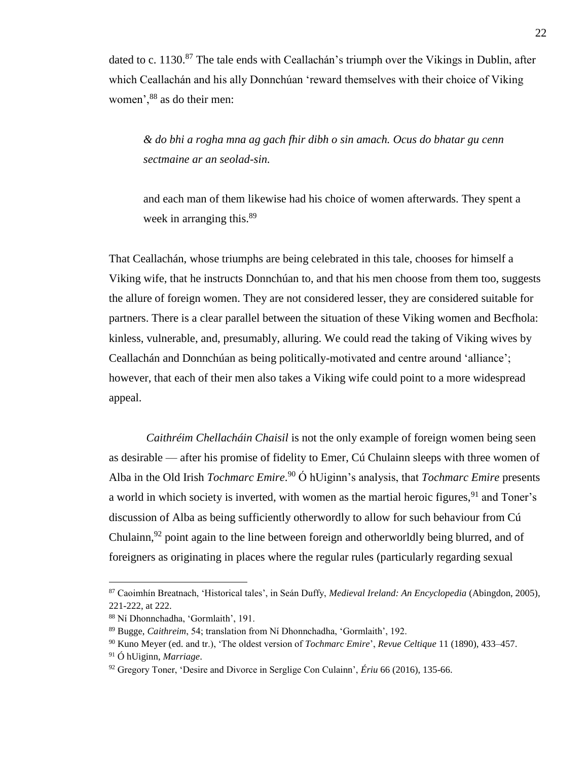dated to c. 1130. $87$  The tale ends with Ceallachán's triumph over the Vikings in Dublin, after which Ceallachán and his ally Donnchúan 'reward themselves with their choice of Viking women',  $88$  as do their men:

*& do bhi a rogha mna ag gach fhir dibh o sin amach. Ocus do bhatar gu cenn sectmaine ar an seolad-sin.*

and each man of them likewise had his choice of women afterwards. They spent a week in arranging this.<sup>89</sup>

That Ceallachán, whose triumphs are being celebrated in this tale, chooses for himself a Viking wife, that he instructs Donnchúan to, and that his men choose from them too, suggests the allure of foreign women. They are not considered lesser, they are considered suitable for partners. There is a clear parallel between the situation of these Viking women and Becfhola: kinless, vulnerable, and, presumably, alluring. We could read the taking of Viking wives by Ceallachán and Donnchúan as being politically-motivated and centre around 'alliance'; however, that each of their men also takes a Viking wife could point to a more widespread appeal.

*Caithréim Chellacháin Chaisil* is not the only example of foreign women being seen as desirable — after his promise of fidelity to Emer, Cú Chulainn sleeps with three women of Alba in the Old Irish *Tochmarc Emire*. <sup>90</sup> Ó hUiginn's analysis, that *Tochmarc Emire* presents a world in which society is inverted, with women as the martial heroic figures,  $91$  and Toner's discussion of Alba as being sufficiently otherwordly to allow for such behaviour from Cú Chulainn,  $92$  point again to the line between foreign and otherworldly being blurred, and of foreigners as originating in places where the regular rules (particularly regarding sexual

<sup>87</sup> Caoimhín Breatnach, 'Historical tales', in Seán Duffy, *Medieval Ireland: An Encyclopedia* (Abingdon, 2005), 221-222, at 222.

<sup>88</sup> Ní Dhonnchadha, 'Gormlaith', 191.

<sup>89</sup> Bugge, *Caithreim*, 54; translation from Ní Dhonnchadha, 'Gormlaith', 192.

<sup>90</sup> Kuno Meyer (ed. and tr.), 'The oldest version of *Tochmarc Emire*', *Revue Celtique* 11 (1890), 433–457.

<sup>91</sup> Ó hUiginn, *Marriage*.

<sup>92</sup> Gregory Toner, 'Desire and Divorce in Serglige Con Culainn', *Ériu* 66 (2016), 135-66.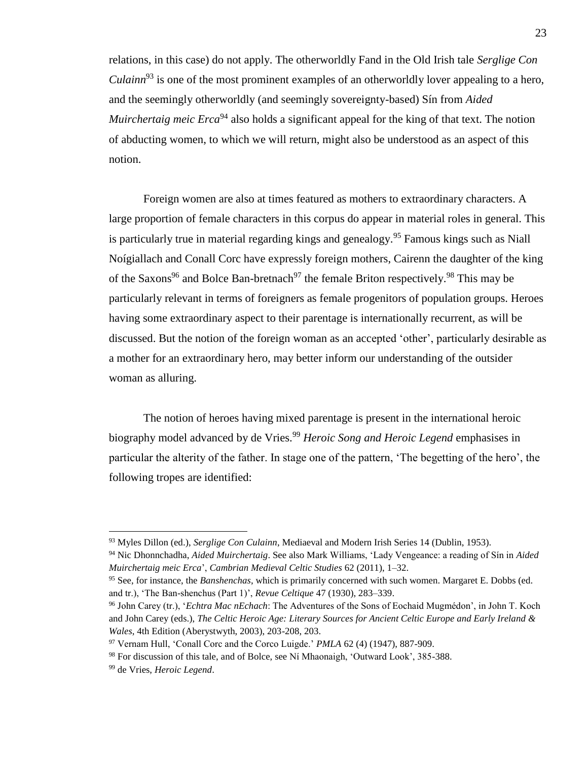relations, in this case) do not apply. The otherworldly Fand in the Old Irish tale *Serglige Con Culainn*<sup>93</sup> is one of the most prominent examples of an otherworldly lover appealing to a hero, and the seemingly otherworldly (and seemingly sovereignty-based) Sín from *Aided Muirchertaig meic Erca*<sup>94</sup> also holds a significant appeal for the king of that text. The notion of abducting women, to which we will return, might also be understood as an aspect of this notion.

Foreign women are also at times featured as mothers to extraordinary characters. A large proportion of female characters in this corpus do appear in material roles in general. This is particularly true in material regarding kings and genealogy.<sup>95</sup> Famous kings such as Niall Noígiallach and Conall Corc have expressly foreign mothers, Cairenn the daughter of the king of the Saxons<sup>96</sup> and Bolce Ban-bretnach<sup>97</sup> the female Briton respectively.<sup>98</sup> This may be particularly relevant in terms of foreigners as female progenitors of population groups. Heroes having some extraordinary aspect to their parentage is internationally recurrent, as will be discussed. But the notion of the foreign woman as an accepted 'other', particularly desirable as a mother for an extraordinary hero, may better inform our understanding of the outsider woman as alluring.

The notion of heroes having mixed parentage is present in the international heroic biography model advanced by de Vries.<sup>99</sup> *Heroic Song and Heroic Legend* emphasises in particular the alterity of the father. In stage one of the pattern, 'The begetting of the hero', the following tropes are identified:

<sup>93</sup> Myles Dillon (ed.), *Serglige Con Culainn*, Mediaeval and Modern Irish Series 14 (Dublin, 1953).

<sup>94</sup> Nic Dhonnchadha, *Aided Muirchertaig*. See also Mark Williams, 'Lady Vengeance: a reading of Sín in *Aided Muirchertaig meic Erca*', *Cambrian Medieval Celtic Studies* 62 (2011), 1–32.

<sup>95</sup> See, for instance, the *Banshenchas*, which is primarily concerned with such women. Margaret E. Dobbs (ed. and tr.), 'The Ban-shenchus (Part 1)', *Revue Celtique* 47 (1930), 283–339.

<sup>96</sup> John Carey (tr.), '*Echtra Mac nEchach*: The Adventures of the Sons of Eochaid Mugmédon', in John T. Koch and John Carey (eds.), *The Celtic Heroic Age: Literary Sources for Ancient Celtic Europe and Early Ireland & Wales*, 4th Edition (Aberystwyth, 2003), 203-208, 203.

<sup>97</sup> Vernam Hull, 'Conall Corc and the Corco Luigde.' *PMLA* 62 (4) (1947), 887-909.

<sup>98</sup> For discussion of this tale, and of Bolce, see Ní Mhaonaigh, 'Outward Look', 385-388.

<sup>99</sup> de Vries, *Heroic Legend*.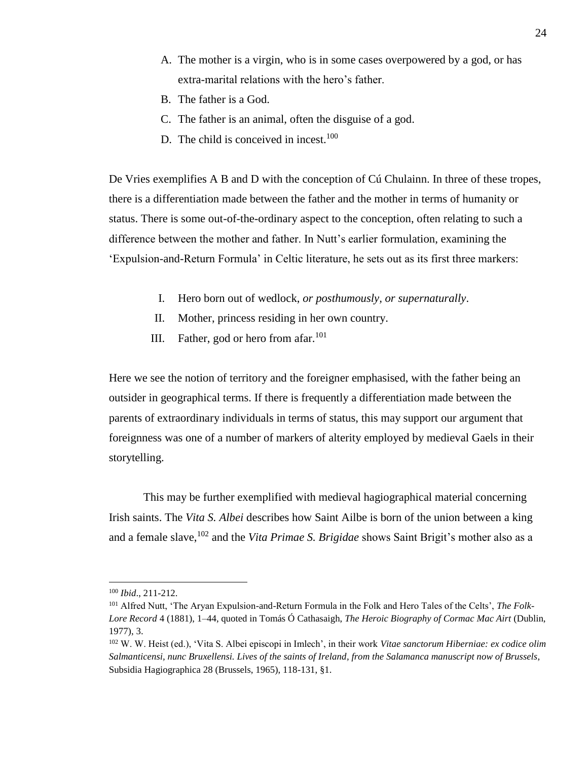- A. The mother is a virgin, who is in some cases overpowered by a god, or has extra-marital relations with the hero's father.
- B. The father is a God.
- C. The father is an animal, often the disguise of a god.
- D. The child is conceived in incest.<sup>100</sup>

De Vries exemplifies A B and D with the conception of Cú Chulainn. In three of these tropes, there is a differentiation made between the father and the mother in terms of humanity or status. There is some out-of-the-ordinary aspect to the conception, often relating to such a difference between the mother and father. In Nutt's earlier formulation, examining the 'Expulsion-and-Return Formula' in Celtic literature, he sets out as its first three markers:

- I. Hero born out of wedlock, *or posthumously, or supernaturally*.
- II. Mother, princess residing in her own country.
- III. Father, god or hero from afar. $101$

Here we see the notion of territory and the foreigner emphasised, with the father being an outsider in geographical terms. If there is frequently a differentiation made between the parents of extraordinary individuals in terms of status, this may support our argument that foreignness was one of a number of markers of alterity employed by medieval Gaels in their storytelling.

This may be further exemplified with medieval hagiographical material concerning Irish saints. The *Vita S. Albei* describes how Saint Ailbe is born of the union between a king and a female slave,<sup>102</sup> and the *Vita Primae S. Brigidae* shows Saint Brigit's mother also as a

<sup>100</sup> *Ibid*., 211-212.

<sup>101</sup> Alfred Nutt, 'The Aryan Expulsion-and-Return Formula in the Folk and Hero Tales of the Celts', *The Folk-Lore Record* 4 (1881), 1–44, quoted in Tomás Ó Cathasaigh, *The Heroic Biography of Cormac Mac Airt* (Dublin, 1977), 3.

<sup>102</sup> W. W. Heist (ed.), 'Vita S. Albei episcopi in Imlech', in their work *Vitae sanctorum Hiberniae: ex codice olim Salmanticensi, nunc Bruxellensi. Lives of the saints of Ireland, from the Salamanca manuscript now of Brussels*, Subsidia Hagiographica 28 (Brussels, 1965), 118-131, §1.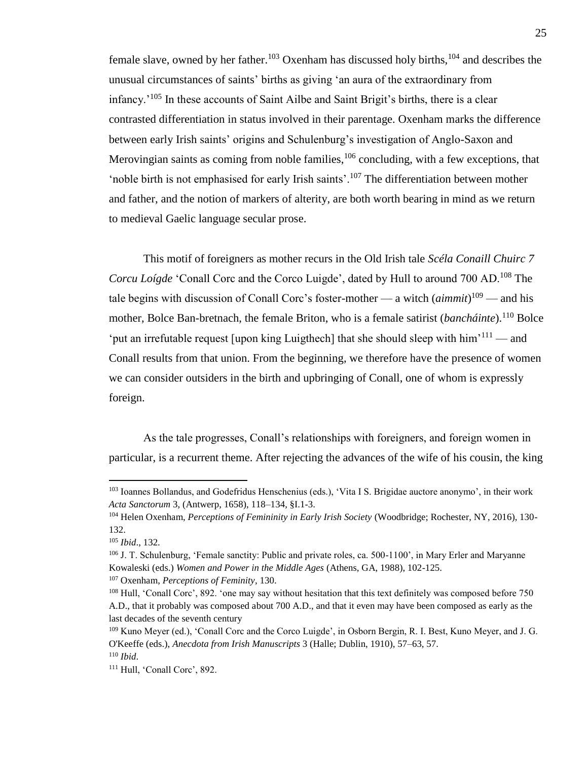female slave, owned by her father.<sup>103</sup> Oxenham has discussed holy births,<sup>104</sup> and describes the unusual circumstances of saints' births as giving 'an aura of the extraordinary from infancy.'<sup>105</sup> In these accounts of Saint Ailbe and Saint Brigit's births, there is a clear contrasted differentiation in status involved in their parentage. Oxenham marks the difference between early Irish saints' origins and Schulenburg's investigation of Anglo-Saxon and Merovingian saints as coming from noble families,  $106$  concluding, with a few exceptions, that 'noble birth is not emphasised for early Irish saints'.<sup>107</sup> The differentiation between mother and father, and the notion of markers of alterity, are both worth bearing in mind as we return to medieval Gaelic language secular prose.

This motif of foreigners as mother recurs in the Old Irish tale *Scéla Conaill Chuirc 7 Corcu Loígde* 'Conall Corc and the Corco Luigde', dated by Hull to around 700 AD.<sup>108</sup> The tale begins with discussion of Conall Corc's foster-mother — a witch (*aimmit*) <sup>109</sup> — and his mother, Bolce Ban-bretnach, the female Briton, who is a female satirist (*bancháinte*).<sup>110</sup> Bolce 'put an irrefutable request [upon king Luigthech] that she should sleep with  $\lim^{111}$  — and Conall results from that union. From the beginning, we therefore have the presence of women we can consider outsiders in the birth and upbringing of Conall, one of whom is expressly foreign.

As the tale progresses, Conall's relationships with foreigners, and foreign women in particular, is a recurrent theme. After rejecting the advances of the wife of his cousin, the king

<sup>103</sup> Ioannes Bollandus, and Godefridus Henschenius (eds.), 'Vita I S. Brigidae auctore anonymo', in their work *Acta Sanctorum* 3, (Antwerp, 1658), 118–134, §I.1-3.

<sup>104</sup> Helen Oxenham, *Perceptions of Femininity in Early Irish Society* (Woodbridge; Rochester, NY, 2016), 130- 132.

<sup>105</sup> *Ibid*., 132.

<sup>106</sup> J. T. Schulenburg, 'Female sanctity: Public and private roles, ca. 500-1100', in Mary Erler and Maryanne Kowaleski (eds.) *Women and Power in the Middle Ages* (Athens, GA, 1988), 102-125.

<sup>107</sup> Oxenham, *Perceptions of Feminity*, 130.

<sup>&</sup>lt;sup>108</sup> Hull, 'Conall Corc', 892. 'one may say without hesitation that this text definitely was composed before 750 A.D., that it probably was composed about 700 A.D., and that it even may have been composed as early as the last decades of the seventh century

<sup>109</sup> Kuno Meyer (ed.), 'Conall Corc and the Corco Luigde', in Osborn Bergin, R. I. Best, Kuno Meyer, and J. G. O'Keeffe (eds.), *Anecdota from Irish Manuscripts* 3 (Halle; Dublin, 1910), 57–63, 57. <sup>110</sup> *Ibid*.

<sup>111</sup> Hull, 'Conall Corc', 892.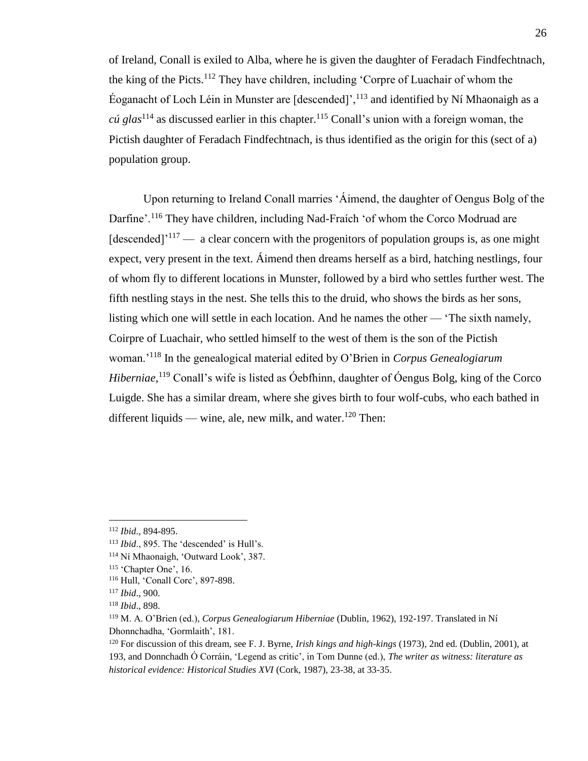of Ireland, Conall is exiled to Alba, where he is given the daughter of Feradach Findfechtnach, the king of the Picts.<sup>112</sup> They have children, including 'Corpre of Luachair of whom the Éoganacht of Loch Léin in Munster are [descended]',  $^{113}$  and identified by Ní Mhaonaigh as a *cú glas*<sup>114</sup> as discussed earlier in this chapter. <sup>115</sup> Conall's union with a foreign woman, the Pictish daughter of Feradach Findfechtnach, is thus identified as the origin for this (sect of a) population group.

Upon returning to Ireland Conall marries 'Áimend, the daughter of Oengus Bolg of the Darfine'.<sup>116</sup> They have children, including Nad-Fraích 'of whom the Corco Modruad are [descended]<sup>'117</sup> — a clear concern with the progenitors of population groups is, as one might expect, very present in the text. Áimend then dreams herself as a bird, hatching nestlings, four of whom fly to different locations in Munster, followed by a bird who settles further west. The fifth nestling stays in the nest. She tells this to the druid, who shows the birds as her sons, listing which one will settle in each location. And he names the other — 'The sixth namely, Coirpre of Luachair, who settled himself to the west of them is the son of the Pictish woman.'<sup>118</sup> In the genealogical material edited by O'Brien in *Corpus Genealogiarum Hiberniae*, <sup>119</sup> Conall's wife is listed as Óebfhinn, daughter of Óengus Bolg, king of the Corco Luigde. She has a similar dream, where she gives birth to four wolf-cubs, who each bathed in different liquids — wine, ale, new milk, and water.<sup>120</sup> Then:

<sup>112</sup> *Ibid*., 894-895.

<sup>113</sup> *Ibid*., 895. The 'descended' is Hull's.

<sup>114</sup> Ní Mhaonaigh, 'Outward Look', 387.

<sup>115</sup> 'Chapter One', 16.

<sup>116</sup> Hull, 'Conall Corc', 897-898.

<sup>117</sup> *Ibid*., 900.

<sup>118</sup> *Ibid*., 898.

<sup>119</sup> M. A. O'Brien (ed.), *Corpus Genealogiarum Hiberniae* (Dublin, 1962), 192-197. Translated in Ní Dhonnchadha, 'Gormlaith', 181.

<sup>120</sup> For discussion of this dream, see F. J. Byrne, *Irish kings and high-kings* (1973), 2nd ed. (Dublin, 2001), at 193, and Donnchadh Ó Corráin, 'Legend as critic', in Tom Dunne (ed.), *The writer as witness: literature as historical evidence: Historical Studies XVI* (Cork, 1987), 23-38, at 33-35.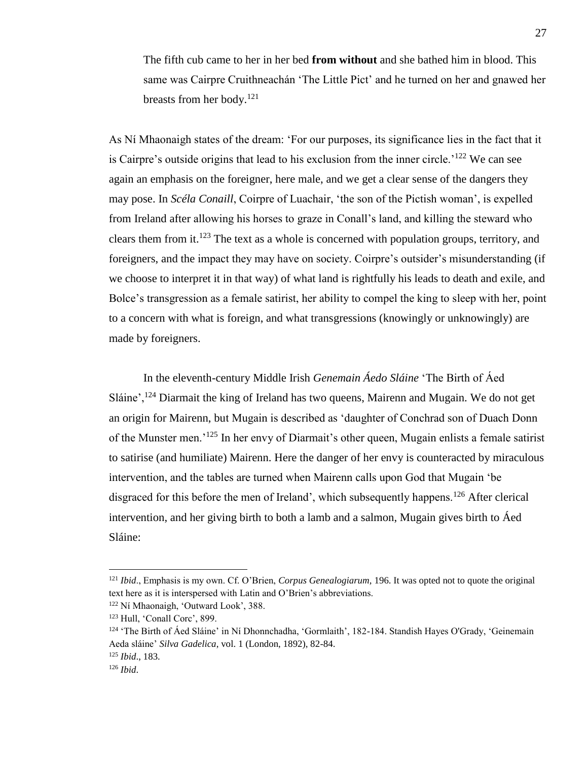The fifth cub came to her in her bed **from without** and she bathed him in blood. This same was Cairpre Cruithneachán 'The Little Pict' and he turned on her and gnawed her breasts from her body.<sup>121</sup>

As Ní Mhaonaigh states of the dream: 'For our purposes, its significance lies in the fact that it is Cairpre's outside origins that lead to his exclusion from the inner circle.<sup>'122</sup> We can see again an emphasis on the foreigner, here male, and we get a clear sense of the dangers they may pose. In *Scéla Conaill*, Coirpre of Luachair, 'the son of the Pictish woman', is expelled from Ireland after allowing his horses to graze in Conall's land, and killing the steward who clears them from it.<sup>123</sup> The text as a whole is concerned with population groups, territory, and foreigners, and the impact they may have on society. Coirpre's outsider's misunderstanding (if we choose to interpret it in that way) of what land is rightfully his leads to death and exile, and Bolce's transgression as a female satirist, her ability to compel the king to sleep with her, point to a concern with what is foreign, and what transgressions (knowingly or unknowingly) are made by foreigners.

In the eleventh-century Middle Irish *Genemain Áedo Sláine* 'The Birth of Áed Sláine',  $124$  Diarmait the king of Ireland has two queens, Mairenn and Mugain. We do not get an origin for Mairenn, but Mugain is described as 'daughter of Conchrad son of Duach Donn of the Munster men.'<sup>125</sup> In her envy of Diarmait's other queen, Mugain enlists a female satirist to satirise (and humiliate) Mairenn. Here the danger of her envy is counteracted by miraculous intervention, and the tables are turned when Mairenn calls upon God that Mugain 'be disgraced for this before the men of Ireland', which subsequently happens.<sup>126</sup> After clerical intervention, and her giving birth to both a lamb and a salmon, Mugain gives birth to Áed Sláine:

<sup>121</sup> *Ibid*., Emphasis is my own. Cf. O'Brien, *Corpus Genealogiarum*, 196. It was opted not to quote the original text here as it is interspersed with Latin and O'Brien's abbreviations.

<sup>122</sup> Ní Mhaonaigh, 'Outward Look', 388.

<sup>123</sup> Hull, 'Conall Corc', 899.

<sup>124</sup> 'The Birth of Áed Sláine' in Ní Dhonnchadha, 'Gormlaith', 182-184. Standish Hayes O'Grady, 'Geinemain Aeda sláine' *Silva Gadelica*, vol. 1 (London, 1892), 82-84.

<sup>125</sup> *Ibid*., 183.

<sup>126</sup> *Ibid*.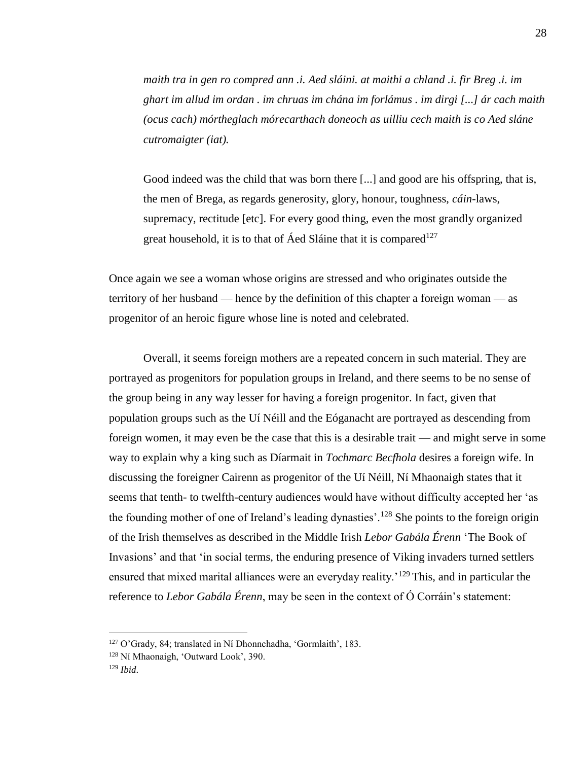*maith tra in gen ro compred ann .i. Aed sláini. at maithi a chland .i. fir Breg .i. im ghart im allud im ordan . im chruas im chána im forlámus . im dirgi [...] ár cach maith (ocus cach) mórtheglach mórecarthach doneoch as uilliu cech maith is co Aed sláne cutromaigter (iat).*

Good indeed was the child that was born there [...] and good are his offspring, that is, the men of Brega, as regards generosity, glory, honour, toughness, *cáin*-laws, supremacy, rectitude [etc]. For every good thing, even the most grandly organized great household, it is to that of Áed Sláine that it is compared<sup>127</sup>

Once again we see a woman whose origins are stressed and who originates outside the territory of her husband — hence by the definition of this chapter a foreign woman — as progenitor of an heroic figure whose line is noted and celebrated.

Overall, it seems foreign mothers are a repeated concern in such material. They are portrayed as progenitors for population groups in Ireland, and there seems to be no sense of the group being in any way lesser for having a foreign progenitor. In fact, given that population groups such as the Uí Néill and the Eóganacht are portrayed as descending from foreign women, it may even be the case that this is a desirable trait — and might serve in some way to explain why a king such as Díarmait in *Tochmarc Becfhola* desires a foreign wife. In discussing the foreigner Cairenn as progenitor of the Uí Néill, Ní Mhaonaigh states that it seems that tenth- to twelfth-century audiences would have without difficulty accepted her 'as the founding mother of one of Ireland's leading dynasties'.<sup>128</sup> She points to the foreign origin of the Irish themselves as described in the Middle Irish *Lebor Gabála Érenn* 'The Book of Invasions' and that 'in social terms, the enduring presence of Viking invaders turned settlers ensured that mixed marital alliances were an everyday reality.<sup>'129</sup> This, and in particular the reference to *Lebor Gabála Érenn*, may be seen in the context of Ó Corráin's statement:

<sup>127</sup> O'Grady, 84; translated in Ní Dhonnchadha, 'Gormlaith', 183.

<sup>128</sup> Ní Mhaonaigh, 'Outward Look', 390.

<sup>129</sup> *Ibid*.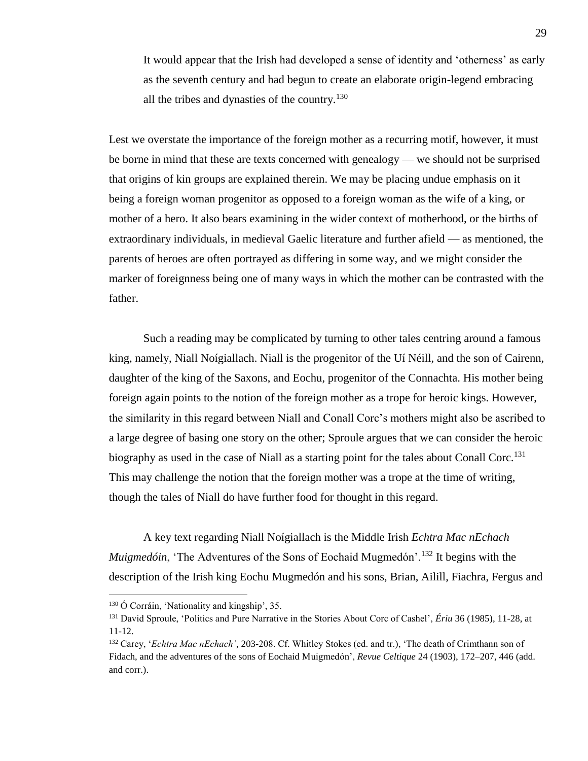It would appear that the Irish had developed a sense of identity and 'otherness' as early as the seventh century and had begun to create an elaborate origin-legend embracing all the tribes and dynasties of the country.<sup>130</sup>

Lest we overstate the importance of the foreign mother as a recurring motif, however, it must be borne in mind that these are texts concerned with genealogy — we should not be surprised that origins of kin groups are explained therein. We may be placing undue emphasis on it being a foreign woman progenitor as opposed to a foreign woman as the wife of a king, or mother of a hero. It also bears examining in the wider context of motherhood, or the births of extraordinary individuals, in medieval Gaelic literature and further afield — as mentioned, the parents of heroes are often portrayed as differing in some way, and we might consider the marker of foreignness being one of many ways in which the mother can be contrasted with the father.

Such a reading may be complicated by turning to other tales centring around a famous king, namely, Niall Noígiallach. Niall is the progenitor of the Uí Néill, and the son of Cairenn, daughter of the king of the Saxons, and Eochu, progenitor of the Connachta. His mother being foreign again points to the notion of the foreign mother as a trope for heroic kings. However, the similarity in this regard between Niall and Conall Corc's mothers might also be ascribed to a large degree of basing one story on the other; Sproule argues that we can consider the heroic biography as used in the case of Niall as a starting point for the tales about Conall Corc.<sup>131</sup> This may challenge the notion that the foreign mother was a trope at the time of writing, though the tales of Niall do have further food for thought in this regard.

A key text regarding Niall Noígiallach is the Middle Irish *Echtra Mac nEchach Muigmedóin*, 'The Adventures of the Sons of Eochaid Mugmedón'.<sup>132</sup> It begins with the description of the Irish king Eochu Mugmedón and his sons, Brian, Ailill, Fiachra, Fergus and

<sup>130</sup> Ó Corráin, 'Nationality and kingship', 35.

<sup>131</sup> David Sproule, 'Politics and Pure Narrative in the Stories About Corc of Cashel', *Ériu* 36 (1985), 11-28, at 11-12.

<sup>132</sup> Carey, '*Echtra Mac nEchach'*, 203-208. Cf. Whitley Stokes (ed. and tr.), 'The death of Crimthann son of Fidach, and the adventures of the sons of Eochaid Muigmedón', *Revue Celtique* 24 (1903), 172–207, 446 (add. and corr.).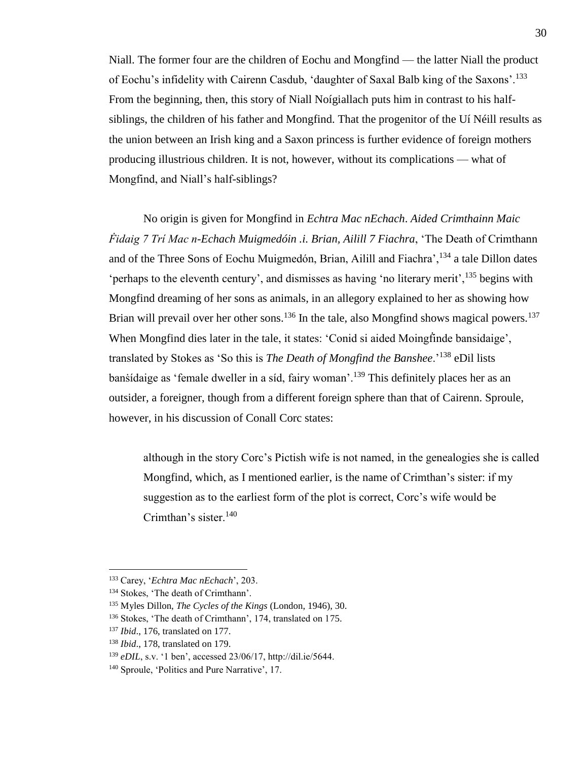Niall. The former four are the children of Eochu and Mongfind — the latter Niall the product of Eochu's infidelity with Cairenn Casdub, 'daughter of Saxal Balb king of the Saxons'.<sup>133</sup> From the beginning, then, this story of Niall Noígiallach puts him in contrast to his halfsiblings, the children of his father and Mongfind. That the progenitor of the Uí Néill results as the union between an Irish king and a Saxon princess is further evidence of foreign mothers producing illustrious children. It is not, however, without its complications — what of Mongfind, and Niall's half-siblings?

No origin is given for Mongfind in *Echtra Mac nEchach*. *Aided Crimthainn Maic Ḟidaig 7 Trí Mac n-Echach Muigmedóin .i. Brian, Ailill 7 Fiachra*, 'The Death of Crimthann and of the Three Sons of Eochu Muigmedón, Brian, Ailill and Fiachra',<sup>134</sup> a tale Dillon dates 'perhaps to the eleventh century', and dismisses as having 'no literary merit',<sup>135</sup> begins with Mongfind dreaming of her sons as animals, in an allegory explained to her as showing how Brian will prevail over her other sons.<sup>136</sup> In the tale, also Mongfind shows magical powers.<sup>137</sup> When Mongfind dies later in the tale, it states: 'Conid si aided Moingfinde bansidaige', translated by Stokes as 'So this is *The Death of Mongfind the Banshee*.'<sup>138</sup> eDil lists bansidaige as 'female dweller in a síd, fairy woman'.<sup>139</sup> This definitely places her as an outsider, a foreigner, though from a different foreign sphere than that of Cairenn. Sproule, however, in his discussion of Conall Corc states:

although in the story Corc's Pictish wife is not named, in the genealogies she is called Mongfind, which, as I mentioned earlier, is the name of Crimthan's sister: if my suggestion as to the earliest form of the plot is correct, Corc's wife would be Crimthan's sister.<sup>140</sup>

<sup>133</sup> Carey, '*Echtra Mac nEchach*', 203.

<sup>&</sup>lt;sup>134</sup> Stokes, 'The death of Crimthann'.

<sup>135</sup> Myles Dillon, *The Cycles of the Kings* (London, 1946), 30.

<sup>136</sup> Stokes, 'The death of Crimthann', 174, translated on 175.

<sup>137</sup> *Ibid*., 176, translated on 177.

<sup>138</sup> *Ibid*., 178, translated on 179.

<sup>139</sup> *eDIL*, s.v. '1 ben', accessed 23/06/17, http://dil.ie/5644.

<sup>140</sup> Sproule, 'Politics and Pure Narrative', 17.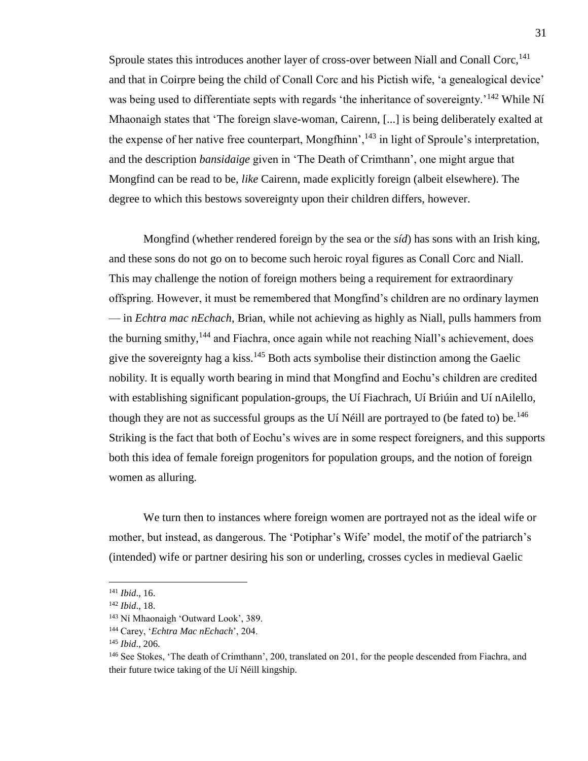Sproule states this introduces another layer of cross-over between Niall and Conall Corc,  $^{141}$ and that in Coirpre being the child of Conall Corc and his Pictish wife, 'a genealogical device' was being used to differentiate septs with regards 'the inheritance of sovereignty.'<sup>142</sup> While Ní Mhaonaigh states that 'The foreign slave-woman, Cairenn, [...] is being deliberately exalted at the expense of her native free counterpart, Mongfhinn',  $^{143}$  in light of Sproule's interpretation, and the description *bansidaige* given in 'The Death of Crimthann', one might argue that Mongfind can be read to be, *like* Cairenn, made explicitly foreign (albeit elsewhere). The degree to which this bestows sovereignty upon their children differs, however.

Mongfind (whether rendered foreign by the sea or the *síd*) has sons with an Irish king, and these sons do not go on to become such heroic royal figures as Conall Corc and Niall. This may challenge the notion of foreign mothers being a requirement for extraordinary offspring. However, it must be remembered that Mongfind's children are no ordinary laymen — in *Echtra mac nEchach*, Brian, while not achieving as highly as Niall, pulls hammers from the burning smithy,<sup>144</sup> and Fiachra, once again while not reaching Niall's achievement, does give the sovereignty hag a kiss.<sup>145</sup> Both acts symbolise their distinction among the Gaelic nobility. It is equally worth bearing in mind that Mongfind and Eochu's children are credited with establishing significant population-groups, the Uí Fiachrach, Uí Briúin and Uí nAilello, though they are not as successful groups as the Uí Néill are portrayed to (be fated to) be.<sup>146</sup> Striking is the fact that both of Eochu's wives are in some respect foreigners, and this supports both this idea of female foreign progenitors for population groups, and the notion of foreign women as alluring.

We turn then to instances where foreign women are portrayed not as the ideal wife or mother, but instead, as dangerous. The 'Potiphar's Wife' model, the motif of the patriarch's (intended) wife or partner desiring his son or underling, crosses cycles in medieval Gaelic

<sup>141</sup> *Ibid*., 16.

<sup>142</sup> *Ibid*., 18.

<sup>143</sup> Ní Mhaonaigh 'Outward Look', 389.

<sup>144</sup> Carey, '*Echtra Mac nEchach*', 204.

<sup>145</sup> *Ibid*., 206.

<sup>&</sup>lt;sup>146</sup> See Stokes, 'The death of Crimthann', 200, translated on 201, for the people descended from Fiachra, and their future twice taking of the Uí Néill kingship.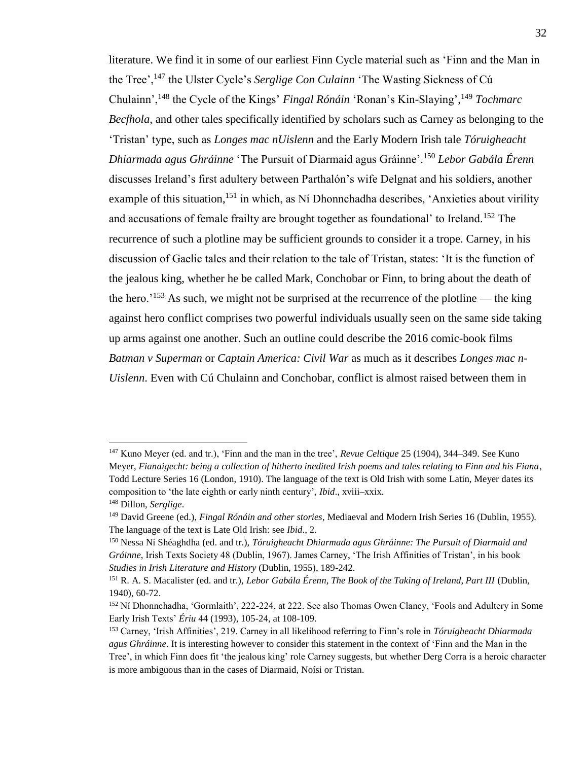literature. We find it in some of our earliest Finn Cycle material such as 'Finn and the Man in the Tree',<sup>147</sup> the Ulster Cycle's *Serglige Con Culainn* 'The Wasting Sickness of Cú Chulainn',<sup>148</sup> the Cycle of the Kings' *Fingal Rónáin* 'Ronan's Kin-Slaying', <sup>149</sup> *Tochmarc Becfhola*, and other tales specifically identified by scholars such as Carney as belonging to the 'Tristan' type, such as *Longes mac nUislenn* and the Early Modern Irish tale *Tóruigheacht Dhiarmada agus Ghráinne* 'The Pursuit of Diarmaid agus Gráinne'.<sup>150</sup> *Lebor Gabála Érenn* discusses Ireland's first adultery between Parthalón's wife Delgnat and his soldiers, another example of this situation,<sup>151</sup> in which, as Ní Dhonnchadha describes, 'Anxieties about virility and accusations of female frailty are brought together as foundational' to Ireland.<sup>152</sup> The recurrence of such a plotline may be sufficient grounds to consider it a trope. Carney, in his discussion of Gaelic tales and their relation to the tale of Tristan, states: 'It is the function of the jealous king, whether he be called Mark, Conchobar or Finn, to bring about the death of the hero.'<sup>153</sup> As such, we might not be surprised at the recurrence of the plotline — the king against hero conflict comprises two powerful individuals usually seen on the same side taking up arms against one another. Such an outline could describe the 2016 comic-book films *Batman v Superman* or *Captain America: Civil War* as much as it describes *Longes mac n-Uislenn*. Even with Cú Chulainn and Conchobar, conflict is almost raised between them in

<sup>147</sup> Kuno Meyer (ed. and tr.), 'Finn and the man in the tree', *Revue Celtique* 25 (1904), 344–349. See Kuno Meyer, *Fianaigecht: being a collection of hitherto inedited Irish poems and tales relating to Finn and his Fiana*, Todd Lecture Series 16 (London, 1910). The language of the text is Old Irish with some Latin, Meyer dates its composition to 'the late eighth or early ninth century', *Ibid*., xviii–xxix. <sup>148</sup> Dillon, *Serglige*.

<sup>149</sup> David Greene (ed.), *Fingal Rónáin and other stories*, Mediaeval and Modern Irish Series 16 (Dublin, 1955). The language of the text is Late Old Irish: see *Ibid*., 2.

<sup>150</sup> Nessa Ní Shéaghdha (ed. and tr.), *Tóruigheacht Dhiarmada agus Ghráinne: The Pursuit of Diarmaid and Gráinne*, Irish Texts Society 48 (Dublin, 1967). James Carney, 'The Irish Affinities of Tristan', in his book *Studies in Irish Literature and History* (Dublin, 1955), 189-242.

<sup>151</sup> R. A. S. Macalister (ed. and tr.), *Lebor Gabála Érenn, The Book of the Taking of Ireland, Part III* (Dublin, 1940), 60-72.

<sup>152</sup> Ní Dhonnchadha, 'Gormlaith', 222-224, at 222. See also Thomas Owen Clancy, 'Fools and Adultery in Some Early Irish Texts' *Ériu* 44 (1993), 105-24, at 108-109.

<sup>153</sup> Carney, 'Irish Affinities', 219. Carney in all likelihood referring to Finn's role in *Tóruigheacht Dhiarmada agus Ghráinne*. It is interesting however to consider this statement in the context of 'Finn and the Man in the Tree', in which Finn does fit 'the jealous king' role Carney suggests, but whether Derg Corra is a heroic character is more ambiguous than in the cases of Diarmaid, Noísi or Tristan.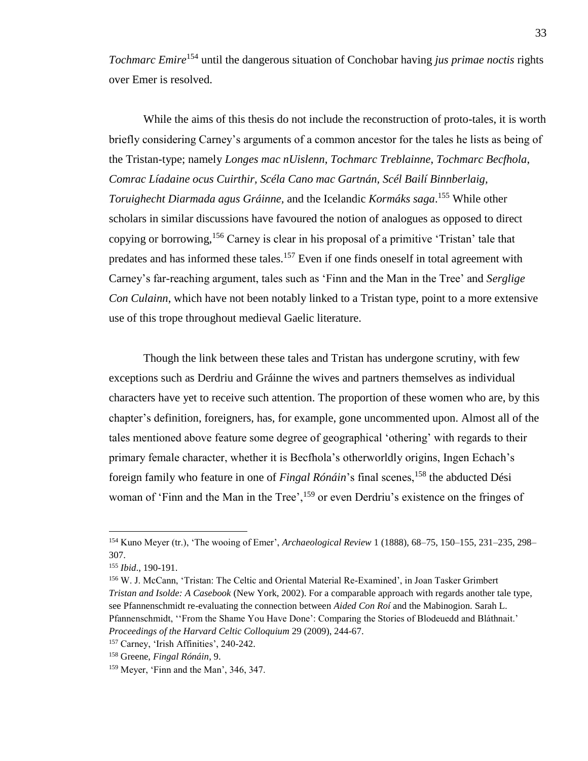*Tochmarc Emire*<sup>154</sup> until the dangerous situation of Conchobar having *jus primae noctis* rights over Emer is resolved.

While the aims of this thesis do not include the reconstruction of proto-tales, it is worth briefly considering Carney's arguments of a common ancestor for the tales he lists as being of the Tristan-type; namely *Longes mac nUislenn*, *Tochmarc Treblainne*, *Tochmarc Becfhola*, *Comrac Líadaine ocus Cuirthir, Scéla Cano mac Gartnán, Scél Bailí Binnberlaig, Toruighecht Diarmada agus Gráinne,* and the Icelandic *Kormáks saga*. <sup>155</sup> While other scholars in similar discussions have favoured the notion of analogues as opposed to direct copying or borrowing,<sup>156</sup> Carney is clear in his proposal of a primitive 'Tristan' tale that predates and has informed these tales.<sup>157</sup> Even if one finds oneself in total agreement with Carney's far-reaching argument, tales such as 'Finn and the Man in the Tree' and *Serglige Con Culainn*, which have not been notably linked to a Tristan type, point to a more extensive use of this trope throughout medieval Gaelic literature.

Though the link between these tales and Tristan has undergone scrutiny, with few exceptions such as Derdriu and Gráinne the wives and partners themselves as individual characters have yet to receive such attention. The proportion of these women who are, by this chapter's definition, foreigners, has, for example, gone uncommented upon. Almost all of the tales mentioned above feature some degree of geographical 'othering' with regards to their primary female character, whether it is Becfhola's otherworldly origins, Ingen Echach's foreign family who feature in one of *Fingal Rónáin*'s final scenes, <sup>158</sup> the abducted Dési woman of 'Finn and the Man in the Tree', <sup>159</sup> or even Derdriu's existence on the fringes of

<sup>154</sup> Kuno Meyer (tr.), 'The wooing of Emer', *Archaeological Review* 1 (1888), 68–75, 150–155, 231–235, 298– 307.

<sup>155</sup> *Ibid*., 190-191.

<sup>156</sup> W. J. McCann, 'Tristan: The Celtic and Oriental Material Re-Examined', in Joan Tasker Grimbert *Tristan and Isolde: A Casebook* (New York, 2002). For a comparable approach with regards another tale type, see Pfannenschmidt re-evaluating the connection between *Aided Con Roí* and the Mabinogion. Sarah L. Pfannenschmidt, ''From the Shame You Have Done': Comparing the Stories of Blodeuedd and Bláthnait.' *Proceedings of the Harvard Celtic Colloquium* 29 (2009), 244-67.

<sup>157</sup> Carney, 'Irish Affinities', 240-242.

<sup>158</sup> Greene, *Fingal Rónáin*, 9.

<sup>159</sup> Meyer, 'Finn and the Man', 346, 347.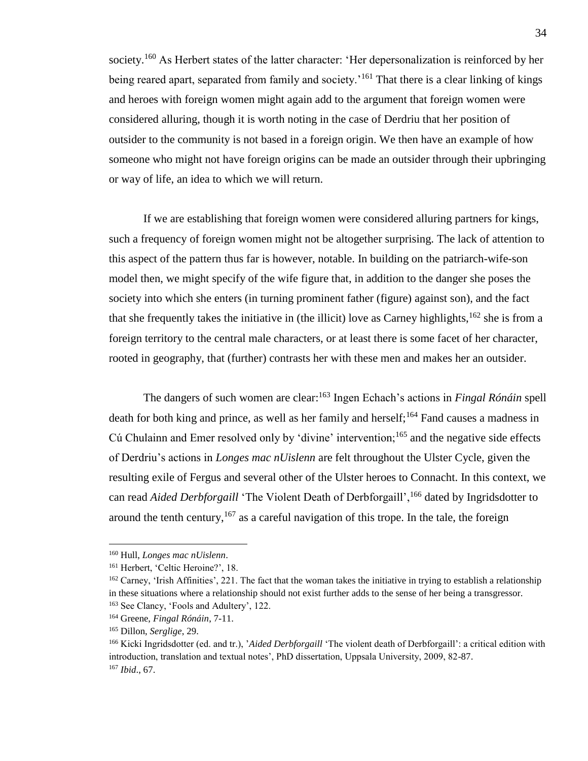society.<sup>160</sup> As Herbert states of the latter character: 'Her depersonalization is reinforced by her being reared apart, separated from family and society.<sup>'161</sup> That there is a clear linking of kings and heroes with foreign women might again add to the argument that foreign women were considered alluring, though it is worth noting in the case of Derdriu that her position of outsider to the community is not based in a foreign origin. We then have an example of how someone who might not have foreign origins can be made an outsider through their upbringing or way of life, an idea to which we will return.

If we are establishing that foreign women were considered alluring partners for kings, such a frequency of foreign women might not be altogether surprising. The lack of attention to this aspect of the pattern thus far is however, notable. In building on the patriarch-wife-son model then, we might specify of the wife figure that, in addition to the danger she poses the society into which she enters (in turning prominent father (figure) against son), and the fact that she frequently takes the initiative in (the illicit) love as Carney highlights,<sup>162</sup> she is from a foreign territory to the central male characters, or at least there is some facet of her character, rooted in geography, that (further) contrasts her with these men and makes her an outsider.

The dangers of such women are clear:<sup>163</sup> Ingen Echach's actions in *Fingal Rónáin* spell death for both king and prince, as well as her family and herself;<sup>164</sup> Fand causes a madness in Cú Chulainn and Emer resolved only by 'divine' intervention;<sup>165</sup> and the negative side effects of Derdriu's actions in *Longes mac nUislenn* are felt throughout the Ulster Cycle, given the resulting exile of Fergus and several other of the Ulster heroes to Connacht. In this context, we can read *Aided Derbforgaill* 'The Violent Death of Derbforgaill',<sup>166</sup> dated by Ingridsdotter to around the tenth century,  $167$  as a careful navigation of this trope. In the tale, the foreign

<sup>160</sup> Hull, *Longes mac nUislenn*.

<sup>&</sup>lt;sup>161</sup> Herbert, 'Celtic Heroine?', 18.

<sup>&</sup>lt;sup>162</sup> Carney, 'Irish Affinities', 221. The fact that the woman takes the initiative in trying to establish a relationship in these situations where a relationship should not exist further adds to the sense of her being a transgressor.

<sup>163</sup> See Clancy, 'Fools and Adultery', 122.

<sup>164</sup> Greene, *Fingal Rónáin*, 7-11.

<sup>165</sup> Dillon, *Serglige*, 29.

<sup>166</sup> Kicki Ingridsdotter (ed. and tr.), '*Aided Derbforgaill* 'The violent death of Derbforgaill': a critical edition with introduction, translation and textual notes', PhD dissertation, Uppsala University, 2009, 82-87. <sup>167</sup> *Ibid*., 67.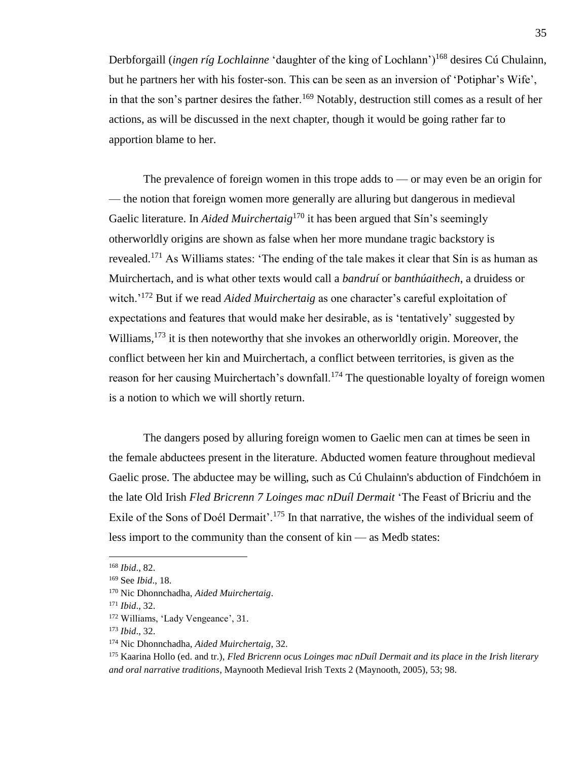Derbforgaill *(ingen ríg Lochlainne* 'daughter of the king of Lochlann')<sup>168</sup> desires Cú Chulainn, but he partners her with his foster-son. This can be seen as an inversion of 'Potiphar's Wife', in that the son's partner desires the father.<sup>169</sup> Notably, destruction still comes as a result of her actions, as will be discussed in the next chapter, though it would be going rather far to apportion blame to her.

The prevalence of foreign women in this trope adds to — or may even be an origin for — the notion that foreign women more generally are alluring but dangerous in medieval Gaelic literature. In *Aided Muirchertaig*<sup>170</sup> it has been argued that Sin's seemingly otherworldly origins are shown as false when her more mundane tragic backstory is revealed.<sup>171</sup> As Williams states: 'The ending of the tale makes it clear that Sín is as human as Muirchertach, and is what other texts would call a *bandruí* or *banthúaithech*, a druidess or witch.<sup>'172</sup> But if we read *Aided Muirchertaig* as one character's careful exploitation of expectations and features that would make her desirable, as is 'tentatively' suggested by Williams,<sup>173</sup> it is then noteworthy that she invokes an otherworldly origin. Moreover, the conflict between her kin and Muirchertach, a conflict between territories, is given as the reason for her causing Muirchertach's downfall.<sup>174</sup> The questionable loyalty of foreign women is a notion to which we will shortly return.

The dangers posed by alluring foreign women to Gaelic men can at times be seen in the female abductees present in the literature. Abducted women feature throughout medieval Gaelic prose. The abductee may be willing, such as Cú Chulainn's abduction of Findchóem in the late Old Irish *Fled Bricrenn 7 Loinges mac nDuíl Dermait* 'The Feast of Bricriu and the Exile of the Sons of Doél Dermait'.<sup>175</sup> In that narrative, the wishes of the individual seem of less import to the community than the consent of kin — as Medb states:

<sup>168</sup> *Ibid*., 82.

<sup>169</sup> See *Ibid*., 18.

<sup>170</sup> Nic Dhonnchadha, *Aided Muirchertaig*.

<sup>171</sup> *Ibid*., 32.

<sup>172</sup> Williams, 'Lady Vengeance', 31.

<sup>173</sup> *Ibid*., 32.

<sup>174</sup> Nic Dhonnchadha, *Aided Muirchertaig*, 32.

<sup>175</sup> Kaarina Hollo (ed. and tr.), *Fled Bricrenn ocus Loinges mac nDuíl Dermait and its place in the Irish literary and oral narrative traditions*, Maynooth Medieval Irish Texts 2 (Maynooth, 2005), 53; 98.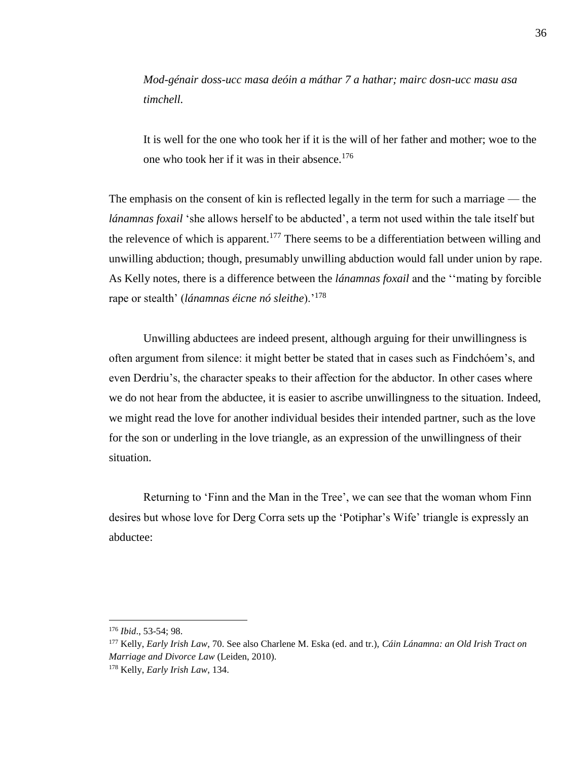*Mod-génair doss-ucc masa deóin a máthar 7 a hathar; mairc dosn-ucc masu asa timchell.*

It is well for the one who took her if it is the will of her father and mother; woe to the one who took her if it was in their absence.<sup>176</sup>

The emphasis on the consent of kin is reflected legally in the term for such a marriage — the *lánamnas foxail* 'she allows herself to be abducted', a term not used within the tale itself but the relevence of which is apparent.<sup>177</sup> There seems to be a differentiation between willing and unwilling abduction; though, presumably unwilling abduction would fall under union by rape. As Kelly notes, there is a difference between the *lánamnas foxail* and the ''mating by forcible rape or stealth' (*lánamnas éicne nó sleithe*).'<sup>178</sup>

Unwilling abductees are indeed present, although arguing for their unwillingness is often argument from silence: it might better be stated that in cases such as Findchóem's, and even Derdriu's, the character speaks to their affection for the abductor. In other cases where we do not hear from the abductee, it is easier to ascribe unwillingness to the situation. Indeed, we might read the love for another individual besides their intended partner, such as the love for the son or underling in the love triangle, as an expression of the unwillingness of their situation.

Returning to 'Finn and the Man in the Tree', we can see that the woman whom Finn desires but whose love for Derg Corra sets up the 'Potiphar's Wife' triangle is expressly an abductee:

<sup>176</sup> *Ibid*., 53-54; 98.

<sup>177</sup> Kelly, *Early Irish Law*, 70. See also Charlene M. Eska (ed. and tr.), *Cáin Lánamna: an Old Irish Tract on Marriage and Divorce Law* (Leiden, 2010).

<sup>178</sup> Kelly, *Early Irish Law*, 134.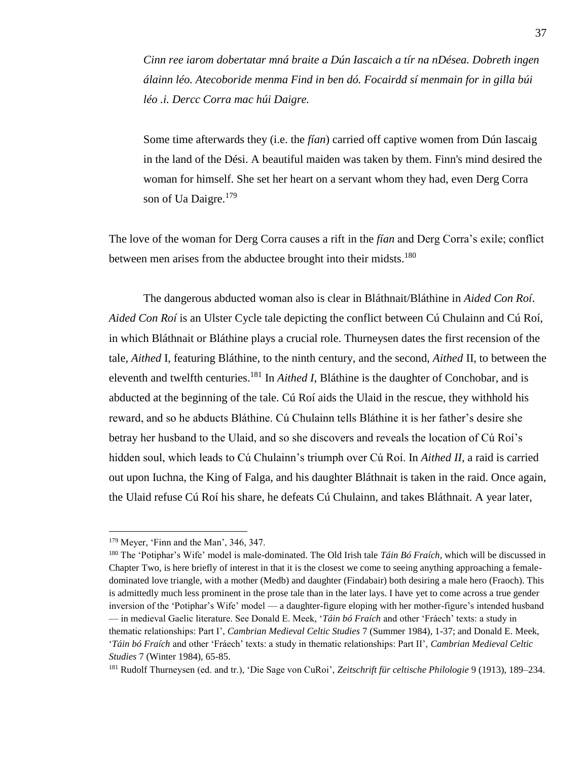*Cinn ree iarom dobertatar mná braite a Dún Iascaich a tír na nDésea. Dobreth ingen álainn léo. Atecoboride menma Find in ben dó. Focairdd sí menmain for in gilla búi léo .i. Dercc Corra mac húi Daigre.*

Some time afterwards they (i.e. the *fían*) carried off captive women from Dún Iascaig in the land of the Dési. A beautiful maiden was taken by them. Finn's mind desired the woman for himself. She set her heart on a servant whom they had, even Derg Corra son of Ua Daigre.<sup>179</sup>

The love of the woman for Derg Corra causes a rift in the *fían* and Derg Corra's exile; conflict between men arises from the abductee brought into their midsts.<sup>180</sup>

The dangerous abducted woman also is clear in Bláthnait/Bláthine in *Aided Con Roí*. *Aided Con Roí* is an Ulster Cycle tale depicting the conflict between Cú Chulainn and Cú Roí, in which Bláthnait or Bláthine plays a crucial role. Thurneysen dates the first recension of the tale, *Aithed* I, featuring Bláthine, to the ninth century, and the second, *Aithed* II, to between the eleventh and twelfth centuries.<sup>181</sup> In *Aithed I*, Bláthine is the daughter of Conchobar, and is abducted at the beginning of the tale. Cú Roí aids the Ulaid in the rescue, they withhold his reward, and so he abducts Bláthine. Cú Chulainn tells Bláthine it is her father's desire she betray her husband to the Ulaid, and so she discovers and reveals the location of Cú Roí's hidden soul, which leads to Cú Chulainn's triumph over Cú Roí. In *Aithed II*, a raid is carried out upon Iuchna, the King of Falga, and his daughter Bláthnait is taken in the raid. Once again, the Ulaid refuse Cú Roí his share, he defeats Cú Chulainn, and takes Bláthnait. A year later,

<sup>&</sup>lt;sup>179</sup> Meyer, 'Finn and the Man', 346, 347.

<sup>180</sup> The 'Potiphar's Wife' model is male-dominated. The Old Irish tale *Táin Bó Fraích*, which will be discussed in Chapter Two, is here briefly of interest in that it is the closest we come to seeing anything approaching a femaledominated love triangle, with a mother (Medb) and daughter (Findabair) both desiring a male hero (Fraoch). This is admittedly much less prominent in the prose tale than in the later lays. I have yet to come across a true gender inversion of the 'Potiphar's Wife' model — a daughter-figure eloping with her mother-figure's intended husband — in medieval Gaelic literature. See Donald E. Meek, '*Táin bó Fraích* and other 'Fráech' texts: a study in thematic relationships: Part I', *Cambrian Medieval Celtic Studies* 7 (Summer 1984), 1-37; and Donald E. Meek, '*Táin bó Fraích* and other 'Fráech' texts: a study in thematic relationships: Part II', *Cambrian Medieval Celtic Studies* 7 (Winter 1984), 65-85.

<sup>181</sup> Rudolf Thurneysen (ed. and tr.), 'Die Sage von CuRoi', *Zeitschrift für celtische Philologie* 9 (1913), 189–234.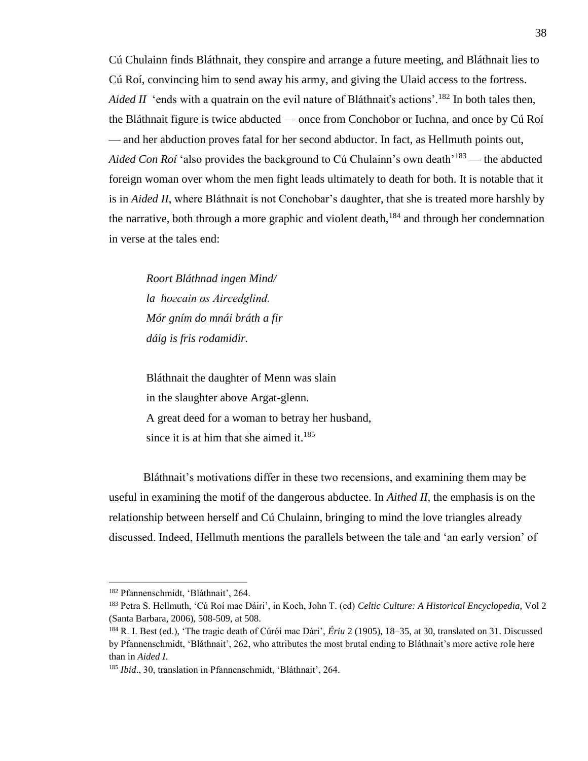Cú Chulainn finds Bláthnait, they conspire and arrange a future meeting, and Bláthnait lies to Cú Roí, convincing him to send away his army, and giving the Ulaid access to the fortress. *Aided II* 'ends with a quatrain on the evil nature of Bláthnait's actions'.<sup>182</sup> In both tales then, the Bláthnait figure is twice abducted — once from Conchobor or Iuchna, and once by Cú Roí — and her abduction proves fatal for her second abductor. In fact, as Hellmuth points out, *Aided Con Roí* 'also provides the background to Cú Chulainn's own death<sup>'183</sup> — the abducted foreign woman over whom the men fight leads ultimately to death for both. It is notable that it is in *Aided II*, where Bláthnait is not Conchobar's daughter, that she is treated more harshly by the narrative, both through a more graphic and violent death,  $184$  and through her condemnation in verse at the tales end:

*Roort Bláthnad ingen Mind/ la hoгсаin os Aircedglind. Mór gním do mnái bráth a fir dáig is fris rodamidir.*

Bláthnait the daughter of Menn was slain in the slaughter above Argat-glenn. A great deed for a woman to betray her husband, since it is at him that she aimed it. $185$ 

Bláthnait's motivations differ in these two recensions, and examining them may be useful in examining the motif of the dangerous abductee. In *Aithed II*, the emphasis is on the relationship between herself and Cú Chulainn, bringing to mind the love triangles already discussed. Indeed, Hellmuth mentions the parallels between the tale and 'an early version' of

<sup>182</sup> Pfannenschmidt, 'Bláthnait', 264.

<sup>183</sup> Petra S. Hellmuth, 'Cú Roí mac Dáiri', in Koch, John T. (ed) *Celtic Culture: A Historical Encyclopedia*, Vol 2 (Santa Barbara, 2006), 508-509, at 508.

<sup>184</sup> R. I. Best (ed.), 'The tragic death of Cúrói mac Dári', *Ériu* 2 (1905), 18–35, at 30, translated on 31. Discussed by Pfannenschmidt, 'Bláthnait', 262, who attributes the most brutal ending to Bláthnait's more active role here than in *Aided I*.

<sup>185</sup> *Ibid*., 30, translation in Pfannenschmidt, 'Bláthnait', 264.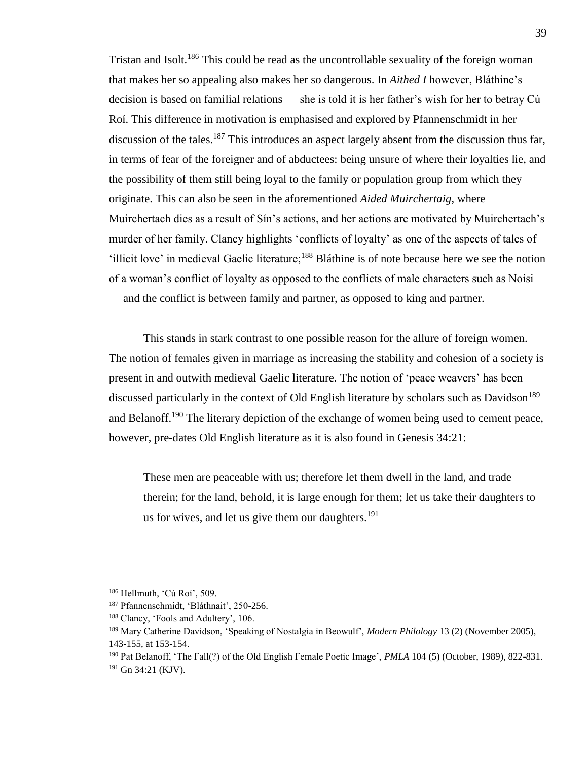Tristan and Isolt.<sup>186</sup> This could be read as the uncontrollable sexuality of the foreign woman that makes her so appealing also makes her so dangerous. In *Aithed I* however, Bláthine's decision is based on familial relations — she is told it is her father's wish for her to betray Cú Roí. This difference in motivation is emphasised and explored by Pfannenschmidt in her discussion of the tales.<sup>187</sup> This introduces an aspect largely absent from the discussion thus far, in terms of fear of the foreigner and of abductees: being unsure of where their loyalties lie, and the possibility of them still being loyal to the family or population group from which they originate. This can also be seen in the aforementioned *Aided Muirchertaig*, where Muirchertach dies as a result of Sín's actions, and her actions are motivated by Muirchertach's murder of her family. Clancy highlights 'conflicts of loyalty' as one of the aspects of tales of 'illicit love' in medieval Gaelic literature;<sup>188</sup> Bláthine is of note because here we see the notion of a woman's conflict of loyalty as opposed to the conflicts of male characters such as Noísi — and the conflict is between family and partner, as opposed to king and partner.

This stands in stark contrast to one possible reason for the allure of foreign women. The notion of females given in marriage as increasing the stability and cohesion of a society is present in and outwith medieval Gaelic literature. The notion of 'peace weavers' has been discussed particularly in the context of Old English literature by scholars such as Davidson<sup>189</sup> and Belanoff.<sup>190</sup> The literary depiction of the exchange of women being used to cement peace, however, pre-dates Old English literature as it is also found in Genesis 34:21:

These men are peaceable with us; therefore let them dwell in the land, and trade therein; for the land, behold, it is large enough for them; let us take their daughters to us for wives, and let us give them our daughters. $191$ 

<sup>186</sup> Hellmuth, 'Cú Roí', 509.

<sup>187</sup> Pfannenschmidt, 'Bláthnait', 250-256.

<sup>188</sup> Clancy, 'Fools and Adultery', 106.

<sup>189</sup> Mary Catherine Davidson, 'Speaking of Nostalgia in Beowulf', *Modern Philology* 13 (2) (November 2005), 143-155, at 153-154.

<sup>190</sup> Pat Belanoff, 'The Fall(?) of the Old English Female Poetic Image', *PMLA* 104 (5) (October, 1989), 822-831. <sup>191</sup> Gn 34:21 (KJV).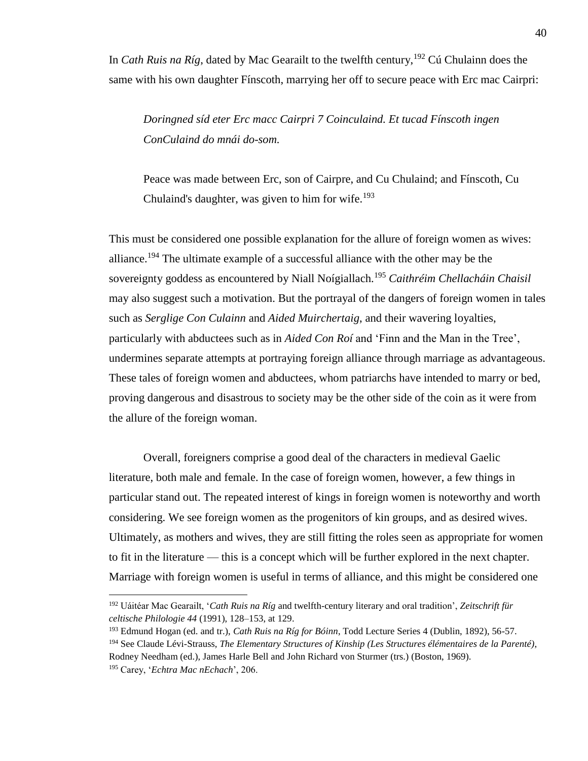In *Cath Ruis na Ríg*, dated by Mac Gearailt to the twelfth century,<sup>192</sup> Cú Chulainn does the same with his own daughter Fínscoth, marrying her off to secure peace with Erc mac Cairpri:

*Doringned síd eter Erc macc Cairpri 7 Coinculaind. Et tucad Fínscoth ingen ConCulaind do mnái do-som.*

Peace was made between Erc, son of Cairpre, and Cu Chulaind; and Fínscoth, Cu Chulaind's daughter, was given to him for wife.<sup>193</sup>

This must be considered one possible explanation for the allure of foreign women as wives: alliance.<sup>194</sup> The ultimate example of a successful alliance with the other may be the sovereignty goddess as encountered by Niall Noígiallach.<sup>195</sup> *Caithréim Chellacháin Chaisil* may also suggest such a motivation. But the portrayal of the dangers of foreign women in tales such as *Serglige Con Culainn* and *Aided Muirchertaig*, and their wavering loyalties, particularly with abductees such as in *Aided Con Roí* and 'Finn and the Man in the Tree', undermines separate attempts at portraying foreign alliance through marriage as advantageous. These tales of foreign women and abductees, whom patriarchs have intended to marry or bed, proving dangerous and disastrous to society may be the other side of the coin as it were from the allure of the foreign woman.

Overall, foreigners comprise a good deal of the characters in medieval Gaelic literature, both male and female. In the case of foreign women, however, a few things in particular stand out. The repeated interest of kings in foreign women is noteworthy and worth considering. We see foreign women as the progenitors of kin groups, and as desired wives. Ultimately, as mothers and wives, they are still fitting the roles seen as appropriate for women to fit in the literature — this is a concept which will be further explored in the next chapter. Marriage with foreign women is useful in terms of alliance, and this might be considered one

<sup>192</sup> Uáitéar Mac Gearailt, '*Cath Ruis na Ríg* and twelfth-century literary and oral tradition', *Zeitschrift für celtische Philologie 44* (1991), 128–153, at 129.

<sup>193</sup> Edmund Hogan (ed. and tr.), *Cath Ruis na Ríg for Bóinn*, Todd Lecture Series 4 (Dublin, 1892), 56-57.

<sup>194</sup> See Claude Lévi-Strauss, *The Elementary Structures of Kinship (Les Structures élémentaires de la Parenté)*, Rodney Needham (ed.), James Harle Bell and John Richard von Sturmer (trs.) (Boston, 1969).

<sup>195</sup> Carey, '*Echtra Mac nEchach*', 206.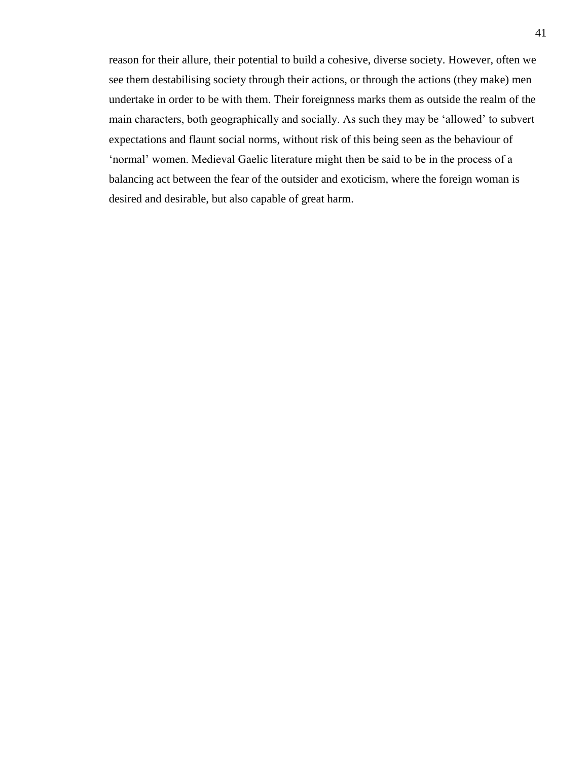reason for their allure, their potential to build a cohesive, diverse society. However, often we see them destabilising society through their actions, or through the actions (they make) men undertake in order to be with them. Their foreignness marks them as outside the realm of the main characters, both geographically and socially. As such they may be 'allowed' to subvert expectations and flaunt social norms, without risk of this being seen as the behaviour of 'normal' women. Medieval Gaelic literature might then be said to be in the process of a balancing act between the fear of the outsider and exoticism, where the foreign woman is desired and desirable, but also capable of great harm.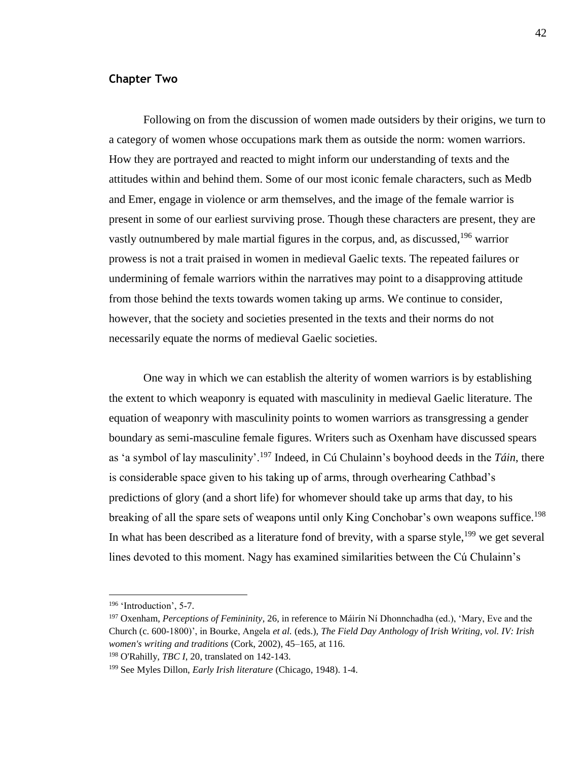## **Chapter Two**

Following on from the discussion of women made outsiders by their origins, we turn to a category of women whose occupations mark them as outside the norm: women warriors. How they are portrayed and reacted to might inform our understanding of texts and the attitudes within and behind them. Some of our most iconic female characters, such as Medb and Emer, engage in violence or arm themselves, and the image of the female warrior is present in some of our earliest surviving prose. Though these characters are present, they are vastly outnumbered by male martial figures in the corpus, and, as discussed,  $196$  warrior prowess is not a trait praised in women in medieval Gaelic texts. The repeated failures or undermining of female warriors within the narratives may point to a disapproving attitude from those behind the texts towards women taking up arms. We continue to consider, however, that the society and societies presented in the texts and their norms do not necessarily equate the norms of medieval Gaelic societies.

One way in which we can establish the alterity of women warriors is by establishing the extent to which weaponry is equated with masculinity in medieval Gaelic literature. The equation of weaponry with masculinity points to women warriors as transgressing a gender boundary as semi-masculine female figures. Writers such as Oxenham have discussed spears as 'a symbol of lay masculinity'.<sup>197</sup> Indeed, in Cú Chulainn's boyhood deeds in the *Táin*, there is considerable space given to his taking up of arms, through overhearing Cathbad's predictions of glory (and a short life) for whomever should take up arms that day, to his breaking of all the spare sets of weapons until only King Conchobar's own weapons suffice.<sup>198</sup> In what has been described as a literature fond of brevity, with a sparse style,  $199$  we get several lines devoted to this moment. Nagy has examined similarities between the Cú Chulainn's

<sup>&</sup>lt;sup>196</sup> 'Introduction', 5-7.

<sup>197</sup> Oxenham, *Perceptions of Femininity*, 26, in reference to Máirín Ní Dhonnchadha (ed.), 'Mary, Eve and the Church (c. 600-1800)', in Bourke, Angela *et al.* (eds.), *The Field Day Anthology of Irish Writing, vol. IV: Irish women's writing and traditions* (Cork, 2002), 45–165, at 116.

<sup>198</sup> O'Rahilly, *TBC I*, 20, translated on 142-143.

<sup>199</sup> See Myles Dillon, *Early Irish literature* (Chicago, 1948). 1-4.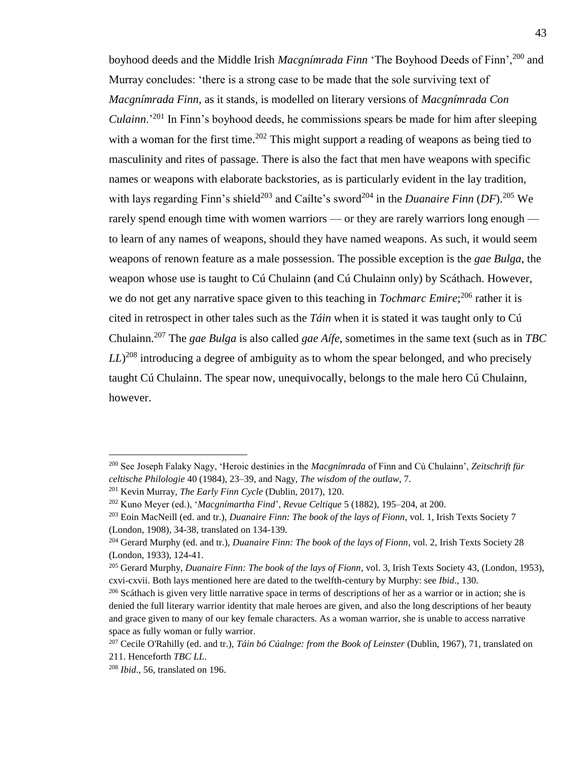boyhood deeds and the Middle Irish *Macgnímrada Finn* 'The Boyhood Deeds of Finn',<sup>200</sup> and Murray concludes: 'there is a strong case to be made that the sole surviving text of *Macgnímrada Finn*, as it stands, is modelled on literary versions of *Macgnímrada Con Culainn*.'<sup>201</sup> In Finn's boyhood deeds, he commissions spears be made for him after sleeping with a woman for the first time.<sup>202</sup> This might support a reading of weapons as being tied to masculinity and rites of passage. There is also the fact that men have weapons with specific names or weapons with elaborate backstories, as is particularly evident in the lay tradition, with lays regarding Finn's shield<sup>203</sup> and Caílte's sword<sup>204</sup> in the *Duanaire Finn* (DF).<sup>205</sup> We rarely spend enough time with women warriors — or they are rarely warriors long enough to learn of any names of weapons, should they have named weapons. As such, it would seem weapons of renown feature as a male possession. The possible exception is the *gae Bulga*, the weapon whose use is taught to Cú Chulainn (and Cú Chulainn only) by Scáthach. However, we do not get any narrative space given to this teaching in *Tochmarc Emire*;<sup>206</sup> rather it is cited in retrospect in other tales such as the *Táin* when it is stated it was taught only to Cú Chulainn.<sup>207</sup> The *gae Bulga* is also called *gae Aífe*, sometimes in the same text (such as in *TBC LL*) <sup>208</sup> introducing a degree of ambiguity as to whom the spear belonged, and who precisely taught Cú Chulainn. The spear now, unequivocally, belongs to the male hero Cú Chulainn, however.

<sup>200</sup> See Joseph Falaky Nagy, 'Heroic destinies in the *Macgnímrada* of Finn and Cú Chulainn', *Zeitschrift für celtische Philologie* 40 (1984), 23–39, and Nagy, *The wisdom of the outlaw*, 7.

<sup>201</sup> Kevin Murray, *The Early Finn Cycle* (Dublin, 2017), 120.

<sup>202</sup> Kuno Meyer (ed.), '*Macgnímartha Find*', *Revue Celtique* 5 (1882), 195–204, at 200.

<sup>203</sup> Eoin MacNeill (ed. and tr.), *Duanaire Finn: The book of the lays of Fionn*, vol. 1, Irish Texts Society 7 (London, 1908), 34-38, translated on 134-139.

<sup>204</sup> Gerard Murphy (ed. and tr.), *Duanaire Finn: The book of the lays of Fionn*, vol. 2, Irish Texts Society 28 (London, 1933), 124-41.

<sup>205</sup> Gerard Murphy, *Duanaire Finn: The book of the lays of Fionn*, vol. 3, Irish Texts Society 43, (London, 1953), cxvi-cxvii. Both lays mentioned here are dated to the twelfth-century by Murphy: see *Ibid*., 130.

 $^{206}$  Scáthach is given very little narrative space in terms of descriptions of her as a warrior or in action; she is denied the full literary warrior identity that male heroes are given, and also the long descriptions of her beauty and grace given to many of our key female characters. As a woman warrior, she is unable to access narrative space as fully woman or fully warrior.

<sup>207</sup> Cecile O'Rahilly (ed. and tr.), *Táin bó Cúalnge: from the Book of Leinster* (Dublin, 1967), 71, translated on 211. Henceforth *TBC LL*.

<sup>208</sup> *Ibid*., 56, translated on 196.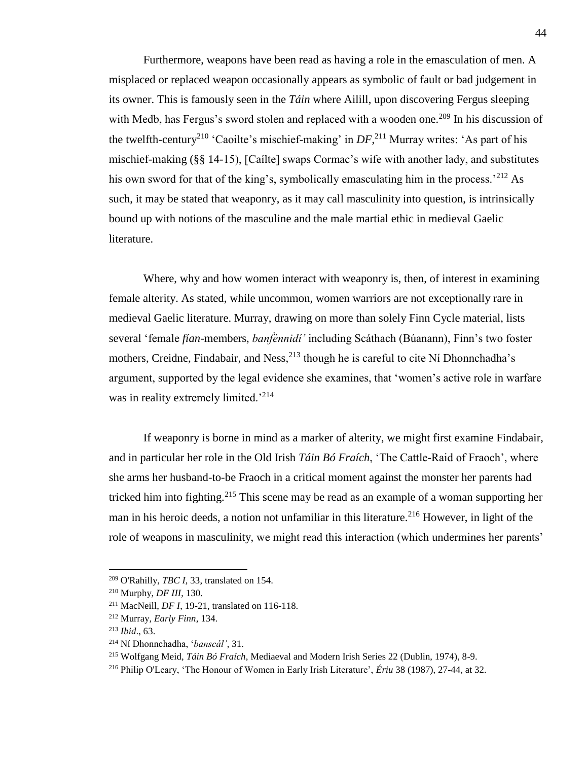Furthermore, weapons have been read as having a role in the emasculation of men. A misplaced or replaced weapon occasionally appears as symbolic of fault or bad judgement in its owner. This is famously seen in the *Táin* where Ailill, upon discovering Fergus sleeping with Medb, has Fergus's sword stolen and replaced with a wooden one.<sup>209</sup> In his discussion of the twelfth-century<sup>210</sup> 'Caoilte's mischief-making' in  $DF$ ,<sup>211</sup> Murray writes: 'As part of his mischief-making (§§ 14-15), [Caílte] swaps Cormac's wife with another lady, and substitutes his own sword for that of the king's, symbolically emasculating him in the process.<sup>'212</sup> As such, it may be stated that weaponry, as it may call masculinity into question, is intrinsically bound up with notions of the masculine and the male martial ethic in medieval Gaelic literature.

Where, why and how women interact with weaponry is, then, of interest in examining female alterity. As stated, while uncommon, women warriors are not exceptionally rare in medieval Gaelic literature. Murray, drawing on more than solely Finn Cycle material, lists several 'female *fían*-members, *banḟénnidí'* including Scáthach (Búanann), Finn's two foster mothers, Creidne, Findabair, and Ness,  $^{213}$  though he is careful to cite Ní Dhonnchadha's argument, supported by the legal evidence she examines, that 'women's active role in warfare was in reality extremely limited.<sup>'214</sup>

If weaponry is borne in mind as a marker of alterity, we might first examine Findabair, and in particular her role in the Old Irish *Táin Bó Fraích*, 'The Cattle-Raid of Fraoch', where she arms her husband-to-be Fraoch in a critical moment against the monster her parents had tricked him into fighting.<sup>215</sup> This scene may be read as an example of a woman supporting her man in his heroic deeds, a notion not unfamiliar in this literature.<sup>216</sup> However, in light of the role of weapons in masculinity, we might read this interaction (which undermines her parents'

<sup>209</sup> O'Rahilly, *TBC I*, 33, translated on 154.

<sup>210</sup> Murphy, *DF III*, 130.

<sup>211</sup> MacNeill, *DF I*, 19-21, translated on 116-118.

<sup>212</sup> Murray, *Early Finn*, 134.

<sup>213</sup> *Ibid*., 63.

<sup>214</sup> Ní Dhonnchadha, '*banscál'*, 31.

<sup>215</sup> Wolfgang Meid, *Táin Bó Fraích*, Mediaeval and Modern Irish Series 22 (Dublin, 1974), 8-9.

<sup>216</sup> Philip O'Leary, 'The Honour of Women in Early Irish Literature', *Ériu* 38 (1987), 27-44, at 32.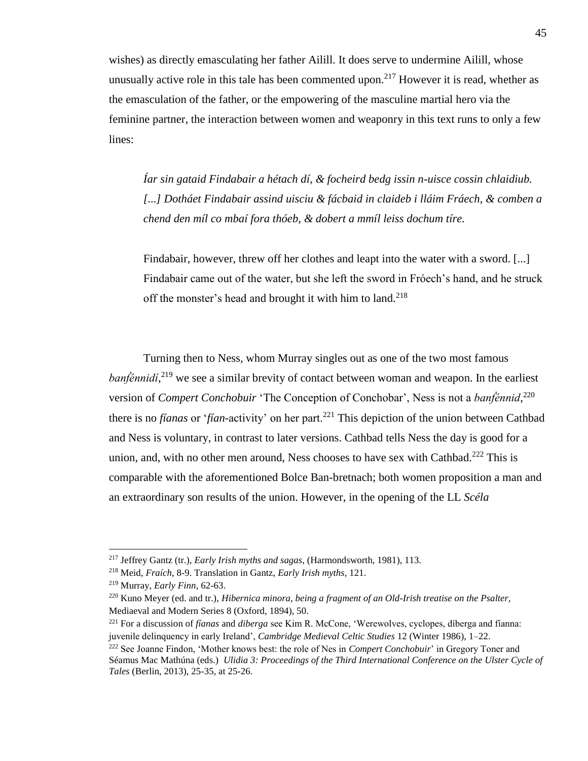wishes) as directly emasculating her father Ailill. It does serve to undermine Ailill, whose unusually active role in this tale has been commented upon.<sup>217</sup> However it is read, whether as the emasculation of the father, or the empowering of the masculine martial hero via the feminine partner, the interaction between women and weaponry in this text runs to only a few lines:

*Íar sin gataid Findabair a hétach dí, & focheird bedg issin n-uisce cossin chlaidiub. [...] Dotháet Findabair assind uisciu & fácbaid in claideb i lláim Fráech, & comben a chend den míl co mbaí fora thóeb, & dobert a mmíl leiss dochum tíre.*

Findabair, however, threw off her clothes and leapt into the water with a sword. [...] Findabair came out of the water, but she left the sword in Fróech's hand, and he struck off the monster's head and brought it with him to land.<sup>218</sup>

Turning then to Ness, whom Murray singles out as one of the two most famous *banfénnidí*,<sup>219</sup> we see a similar brevity of contact between woman and weapon. In the earliest version of *Compert Conchobuir* 'The Conception of Conchobar', Ness is not a *banḟénnid*, 220 there is no *fíanas* or '*fían*-activity' on her part.<sup>221</sup> This depiction of the union between Cathbad and Ness is voluntary, in contrast to later versions. Cathbad tells Ness the day is good for a union, and, with no other men around, Ness chooses to have sex with Cathbad.<sup>222</sup> This is comparable with the aforementioned Bolce Ban-bretnach; both women proposition a man and an extraordinary son results of the union. However, in the opening of the LL *Scéla* 

<sup>217</sup> Jeffrey Gantz (tr.), *Early Irish myths and sagas*, (Harmondsworth, 1981), 113.

<sup>218</sup> Meid, *Fraích*, 8-9. Translation in Gantz, *Early Irish myths*, 121.

<sup>219</sup> Murray, *Early Finn*, 62-63.

<sup>220</sup> Kuno Meyer (ed. and tr.), *Hibernica minora, being a fragment of an Old-Irish treatise on the Psalter,* Mediaeval and Modern Series 8 (Oxford, 1894), 50.

<sup>221</sup> For a discussion of *fíanas* and *diberga* see Kim R. McCone, 'Werewolves, cyclopes, díberga and fíanna: juvenile delinquency in early Ireland', *Cambridge Medieval Celtic Studies* 12 (Winter 1986), 1–22.

<sup>222</sup> See Joanne Findon, 'Mother knows best: the role of Nes in *Compert Conchobuir*' in Gregory Toner and Séamus Mac Mathúna (eds.) *Ulidia 3: Proceedings of the Third International Conference on the Ulster Cycle of Tales* (Berlin, 2013), 25-35, at 25-26.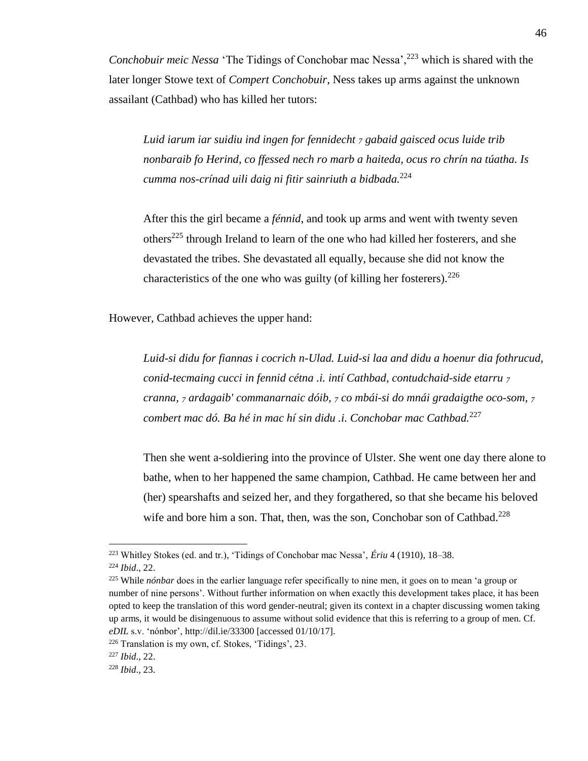*Conchobuir meic Nessa* 'The Tidings of Conchobar mac Nessa<sup>'</sup>,<sup>223</sup> which is shared with the later longer Stowe text of *Compert Conchobuir*, Ness takes up arms against the unknown assailant (Cathbad) who has killed her tutors:

*Luid iarum iar suidiu ind ingen for fennidecht <sup>7</sup> gabaid gaisced ocus luide trib nonbaraib fo Herind, co ffessed nech ro marb a haiteda, ocus ro chrín na túatha. Is cumma nos-crínad uili daig ni fitir sainriuth a bidbada.*<sup>224</sup>

After this the girl became a *fénnid*, and took up arms and went with twenty seven others<sup>225</sup> through Ireland to learn of the one who had killed her fosterers, and she devastated the tribes. She devastated all equally, because she did not know the characteristics of the one who was guilty (of killing her fosterers). $226$ 

However, Cathbad achieves the upper hand:

*Luid-si didu for fiannas i cocrich n-Ulad. Luid-si laa and didu a hoenur dia fothrucud, conid-tecmaing cucci in fennid cétna .i. intí Cathbad, contudchaid-side etarru <sup>7</sup> cranna, <sup>7</sup> ardagaib' commanarnaic dóib, <sup>7</sup> co mbái-si do mnái gradaigthe oco-som, <sup>7</sup> combert mac dó. Ba hé in mac hí sin didu .i. Conchobar mac Cathbad.*<sup>227</sup>

Then she went a-soldiering into the province of Ulster. She went one day there alone to bathe, when to her happened the same champion, Cathbad. He came between her and (her) spearshafts and seized her, and they forgathered, so that she became his beloved wife and bore him a son. That, then, was the son, Conchobar son of Cathbad.<sup>228</sup>

<sup>223</sup> Whitley Stokes (ed. and tr.), 'Tidings of Conchobar mac Nessa', *Ériu* 4 (1910), 18–38.

<sup>224</sup> *Ibid*., 22.

<sup>225</sup> While *nónbar* does in the earlier language refer specifically to nine men, it goes on to mean 'a group or number of nine persons'. Without further information on when exactly this development takes place, it has been opted to keep the translation of this word gender-neutral; given its context in a chapter discussing women taking up arms, it would be disingenuous to assume without solid evidence that this is referring to a group of men. Cf. *eDIL* s.v. 'nónbor', http://dil.ie/33300 [accessed 01/10/17].

<sup>226</sup> Translation is my own, cf. Stokes, 'Tidings', 23.

<sup>227</sup> *Ibid*., 22.

<sup>228</sup> *Ibid*., 23.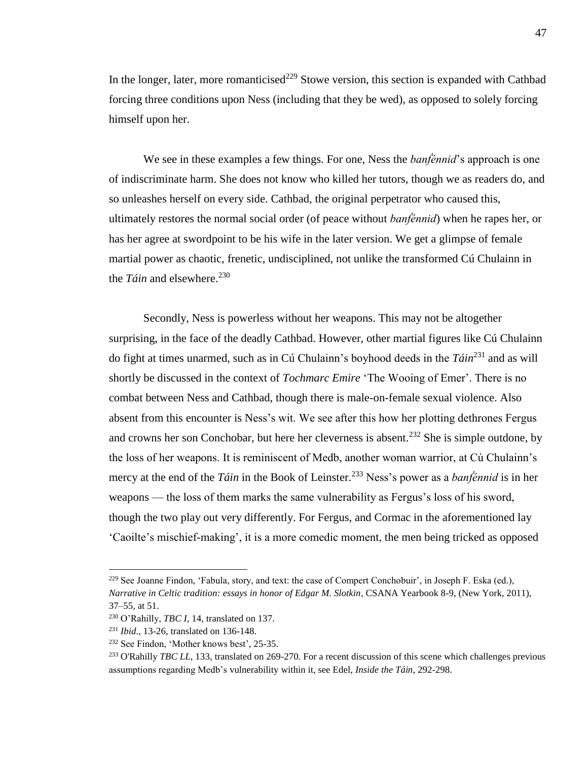In the longer, later, more romanticised<sup>229</sup> Stowe version, this section is expanded with Cathbad forcing three conditions upon Ness (including that they be wed), as opposed to solely forcing himself upon her.

We see in these examples a few things. For one, Ness the *banḟénnid*'s approach is one of indiscriminate harm. She does not know who killed her tutors, though we as readers do, and so unleashes herself on every side. Cathbad, the original perpetrator who caused this, ultimately restores the normal social order (of peace without *banḟénnid*) when he rapes her, or has her agree at swordpoint to be his wife in the later version. We get a glimpse of female martial power as chaotic, frenetic, undisciplined, not unlike the transformed Cú Chulainn in the *Táin* and elsewhere.<sup>230</sup>

Secondly, Ness is powerless without her weapons. This may not be altogether surprising, in the face of the deadly Cathbad. However, other martial figures like Cú Chulainn do fight at times unarmed, such as in Cú Chulainn's boyhood deeds in the *Táin*<sup>231</sup> and as will shortly be discussed in the context of *Tochmarc Emire* 'The Wooing of Emer'. There is no combat between Ness and Cathbad, though there is male-on-female sexual violence. Also absent from this encounter is Ness's wit. We see after this how her plotting dethrones Fergus and crowns her son Conchobar, but here her cleverness is absent.<sup>232</sup> She is simple outdone, by the loss of her weapons. It is reminiscent of Medb, another woman warrior, at Cú Chulainn's mercy at the end of the *Táin* in the Book of Leinster. <sup>233</sup> Ness's power as a *banḟénnid* is in her weapons — the loss of them marks the same vulnerability as Fergus's loss of his sword, though the two play out very differently. For Fergus, and Cormac in the aforementioned lay 'Caoilte's mischief-making', it is a more comedic moment, the men being tricked as opposed

<sup>&</sup>lt;sup>229</sup> See Joanne Findon, 'Fabula, story, and text: the case of Compert Conchobuir', in Joseph F. Eska (ed.), *Narrative in Celtic tradition: essays in honor of Edgar M. Slotkin*, CSANA Yearbook 8-9, (New York, 2011), 37–55, at 51.

<sup>230</sup> O'Rahilly, *TBC I*, 14, translated on 137.

<sup>231</sup> *Ibid*., 13-26, translated on 136-148.

<sup>232</sup> See Findon, 'Mother knows best', 25-35.

<sup>&</sup>lt;sup>233</sup> O'Rahilly *TBC LL*, 133, translated on 269-270. For a recent discussion of this scene which challenges previous assumptions regarding Medb's vulnerability within it, see Edel, *Inside the Táin*, 292-298.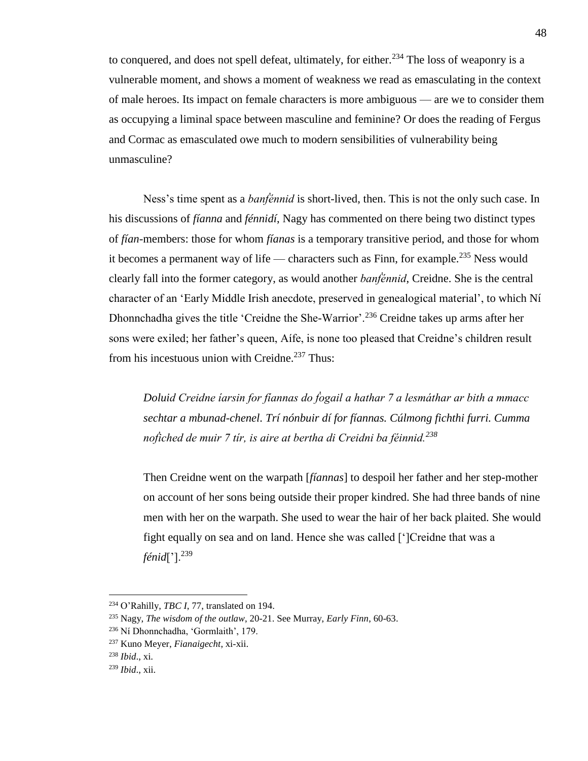to conquered, and does not spell defeat, ultimately, for either.<sup>234</sup> The loss of weaponry is a vulnerable moment, and shows a moment of weakness we read as emasculating in the context of male heroes. Its impact on female characters is more ambiguous — are we to consider them as occupying a liminal space between masculine and feminine? Or does the reading of Fergus and Cormac as emasculated owe much to modern sensibilities of vulnerability being unmasculine?

Ness's time spent as a *banḟénnid* is short-lived, then. This is not the only such case. In his discussions of *fíanna* and *fénnidí*, Nagy has commented on there being two distinct types of *fían*-members: those for whom *fíanas* is a temporary transitive period, and those for whom it becomes a permanent way of life — characters such as Finn, for example.<sup>235</sup> Ness would clearly fall into the former category, as would another *banḟénnid*, Creidne. She is the central character of an 'Early Middle Irish anecdote, preserved in genealogical material', to which Ní Dhonnchadha gives the title 'Creidne the She-Warrior'.<sup>236</sup> Creidne takes up arms after her sons were exiled; her father's queen, Aífe, is none too pleased that Creidne's children result from his incestuous union with Creidne.<sup>237</sup> Thus:

*Doluid Creidne íarsin for fíannas do ḟogail a hathar 7 a lesmáthar ar bith a mmacc sechtar a mbunad-chenel. Trí nónbuir dí for fíannas. Cúlmong fichthi furri. Cumma noḟiched de muir 7 tír, is aire at bertha di Creidni ba féinnid.<sup>238</sup>*

Then Creidne went on the warpath [*fíannas*] to despoil her father and her step-mother on account of her sons being outside their proper kindred. She had three bands of nine men with her on the warpath. She used to wear the hair of her back plaited. She would fight equally on sea and on land. Hence she was called [']Creidne that was a *fénid*['].<sup>239</sup>

<sup>234</sup> O'Rahilly, *TBC I*, 77, translated on 194.

<sup>235</sup> Nagy, *The wisdom of the outlaw*, 20-21. See Murray, *Early Finn*, 60-63.

<sup>236</sup> Ní Dhonnchadha, 'Gormlaith', 179.

<sup>237</sup> Kuno Meyer, *Fianaigecht*, xi-xii.

<sup>238</sup> *Ibid*., xi.

<sup>239</sup> *Ibid*., xii.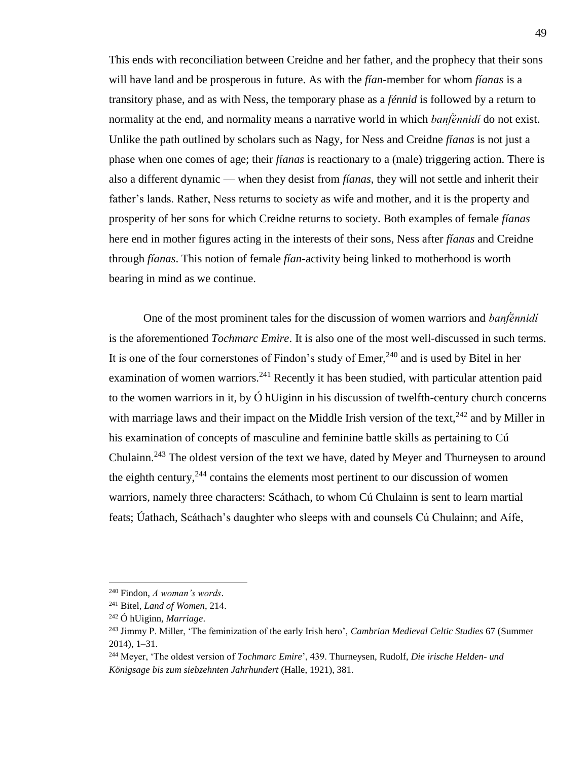This ends with reconciliation between Creidne and her father, and the prophecy that their sons will have land and be prosperous in future. As with the *fían*-member for whom *fíanas* is a transitory phase, and as with Ness, the temporary phase as a *fénnid* is followed by a return to normality at the end, and normality means a narrative world in which *banḟénnidí* do not exist. Unlike the path outlined by scholars such as Nagy, for Ness and Creidne *fíanas* is not just a phase when one comes of age; their *fíanas* is reactionary to a (male) triggering action. There is also a different dynamic — when they desist from *fíanas*, they will not settle and inherit their father's lands. Rather, Ness returns to society as wife and mother, and it is the property and prosperity of her sons for which Creidne returns to society. Both examples of female *fíanas* here end in mother figures acting in the interests of their sons, Ness after *fíanas* and Creidne through *fíanas*. This notion of female *fían*-activity being linked to motherhood is worth bearing in mind as we continue.

One of the most prominent tales for the discussion of women warriors and *banḟénnidí* is the aforementioned *Tochmarc Emire*. It is also one of the most well-discussed in such terms. It is one of the four cornerstones of Findon's study of Emer,  $240$  and is used by Bitel in her examination of women warriors.<sup>241</sup> Recently it has been studied, with particular attention paid to the women warriors in it, by  $\acute{O}$  hUiginn in his discussion of twelfth-century church concerns with marriage laws and their impact on the Middle Irish version of the text,  $242$  and by Miller in his examination of concepts of masculine and feminine battle skills as pertaining to Cú Chulainn.<sup>243</sup> The oldest version of the text we have, dated by Meyer and Thurneysen to around the eighth century,  $244$  contains the elements most pertinent to our discussion of women warriors, namely three characters: Scáthach, to whom Cú Chulainn is sent to learn martial feats; Úathach, Scáthach's daughter who sleeps with and counsels Cú Chulainn; and Aífe,

<sup>240</sup> Findon, *A woman's words*.

<sup>241</sup> Bitel, *Land of Women*, 214.

<sup>242</sup> Ó hUiginn, *Marriage*.

<sup>243</sup> Jimmy P. Miller, 'The feminization of the early Irish hero', *Cambrian Medieval Celtic Studies* 67 (Summer 2014), 1–31.

<sup>244</sup> Meyer, 'The oldest version of *Tochmarc Emire*', 439. Thurneysen, Rudolf, *Die irische Helden- und Königsage bis zum siebzehnten Jahrhundert* (Halle, 1921), 381.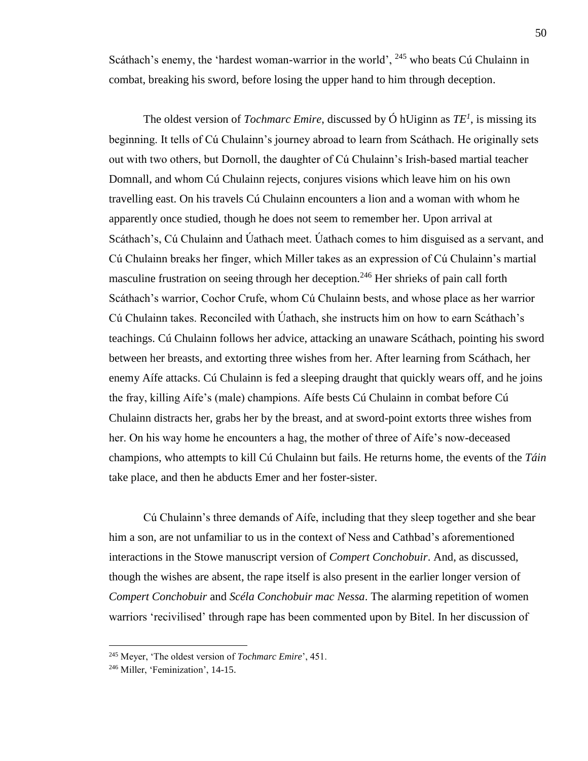Scáthach's enemy, the 'hardest woman-warrior in the world', <sup>245</sup> who beats Cú Chulainn in combat, breaking his sword, before losing the upper hand to him through deception.

The oldest version of *Tochmarc Emire*, discussed by Ó hUiginn as *TE<sup>1</sup>* , is missing its beginning. It tells of Cú Chulainn's journey abroad to learn from Scáthach. He originally sets out with two others, but Dornoll, the daughter of Cú Chulainn's Irish-based martial teacher Domnall, and whom Cú Chulainn rejects, conjures visions which leave him on his own travelling east. On his travels Cú Chulainn encounters a lion and a woman with whom he apparently once studied, though he does not seem to remember her. Upon arrival at Scáthach's, Cú Chulainn and Úathach meet. Úathach comes to him disguised as a servant, and Cú Chulainn breaks her finger, which Miller takes as an expression of Cú Chulainn's martial masculine frustration on seeing through her deception.<sup>246</sup> Her shrieks of pain call forth Scáthach's warrior, Cochor Crufe, whom Cú Chulainn bests, and whose place as her warrior Cú Chulainn takes. Reconciled with Úathach, she instructs him on how to earn Scáthach's teachings. Cú Chulainn follows her advice, attacking an unaware Scáthach, pointing his sword between her breasts, and extorting three wishes from her. After learning from Scáthach, her enemy Aífe attacks. Cú Chulainn is fed a sleeping draught that quickly wears off, and he joins the fray, killing Aífe's (male) champions. Aífe bests Cú Chulainn in combat before Cú Chulainn distracts her, grabs her by the breast, and at sword-point extorts three wishes from her. On his way home he encounters a hag, the mother of three of Aífe's now-deceased champions, who attempts to kill Cú Chulainn but fails. He returns home, the events of the *Táin* take place, and then he abducts Emer and her foster-sister.

Cú Chulainn's three demands of Aífe, including that they sleep together and she bear him a son, are not unfamiliar to us in the context of Ness and Cathbad's aforementioned interactions in the Stowe manuscript version of *Compert Conchobuir*. And, as discussed, though the wishes are absent, the rape itself is also present in the earlier longer version of *Compert Conchobuir* and *Scéla Conchobuir mac Nessa*. The alarming repetition of women warriors 'recivilised' through rape has been commented upon by Bitel. In her discussion of

<sup>245</sup> Meyer, 'The oldest version of *Tochmarc Emire*', 451.

<sup>246</sup> Miller, 'Feminization', 14-15.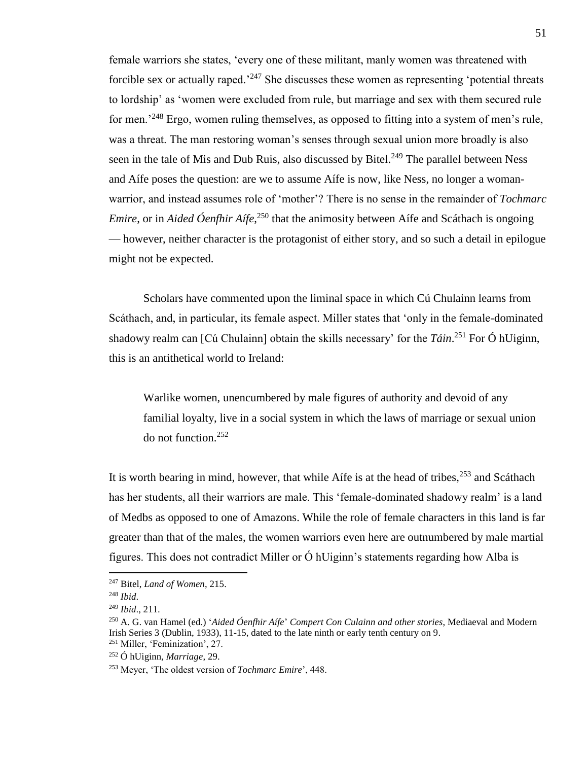female warriors she states, 'every one of these militant, manly women was threatened with forcible sex or actually raped.<sup> $247$ </sup> She discusses these women as representing 'potential threats to lordship' as 'women were excluded from rule, but marriage and sex with them secured rule for men.<sup>'248</sup> Ergo, women ruling themselves, as opposed to fitting into a system of men's rule, was a threat. The man restoring woman's senses through sexual union more broadly is also seen in the tale of Mis and Dub Ruis, also discussed by Bitel.<sup>249</sup> The parallel between Ness and Aífe poses the question: are we to assume Aífe is now, like Ness, no longer a womanwarrior, and instead assumes role of 'mother'? There is no sense in the remainder of *Tochmarc Emire*, or in *Aided Óenfhir Aífe*, <sup>250</sup> that the animosity between Aífe and Scáthach is ongoing — however, neither character is the protagonist of either story, and so such a detail in epilogue might not be expected.

Scholars have commented upon the liminal space in which Cú Chulainn learns from Scáthach, and, in particular, its female aspect. Miller states that 'only in the female-dominated shadowy realm can [Cú Chulainn] obtain the skills necessary' for the *Táin*. <sup>251</sup> For Ó hUiginn, this is an antithetical world to Ireland:

Warlike women, unencumbered by male figures of authority and devoid of any familial loyalty, live in a social system in which the laws of marriage or sexual union do not function.<sup>252</sup>

It is worth bearing in mind, however, that while Affe is at the head of tribes,  $253$  and Scáthach has her students, all their warriors are male. This 'female-dominated shadowy realm' is a land of Medbs as opposed to one of Amazons. While the role of female characters in this land is far greater than that of the males, the women warriors even here are outnumbered by male martial figures. This does not contradict Miller or Ó hUiginn's statements regarding how Alba is

<sup>247</sup> Bitel, *Land of Women*, 215.

<sup>248</sup> *Ibid*.

<sup>249</sup> *Ibid*., 211.

<sup>250</sup> A. G. van Hamel (ed.) '*Aided Óenfhir Aífe*' *Compert Con Culainn and other stories*, Mediaeval and Modern Irish Series 3 (Dublin, 1933), 11-15, dated to the late ninth or early tenth century on 9. <sup>251</sup> Miller, 'Feminization', 27.

<sup>252</sup> Ó hUiginn, *Marriage*, 29.

<sup>253</sup> Meyer, 'The oldest version of *Tochmarc Emire*', 448.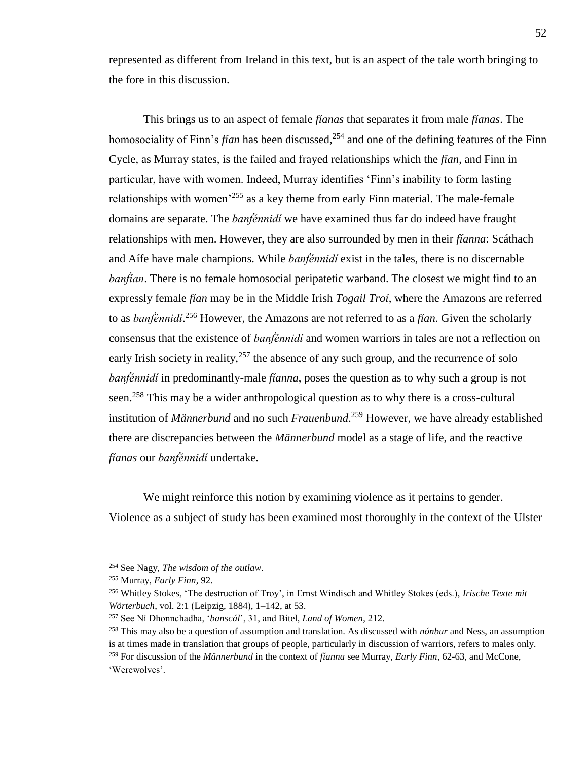represented as different from Ireland in this text, but is an aspect of the tale worth bringing to the fore in this discussion.

This brings us to an aspect of female *fíanas* that separates it from male *fíanas*. The homosociality of Finn's *fían* has been discussed,<sup>254</sup> and one of the defining features of the Finn Cycle, as Murray states, is the failed and frayed relationships which the *fían*, and Finn in particular, have with women. Indeed, Murray identifies 'Finn's inability to form lasting relationships with women'<sup>255</sup> as a key theme from early Finn material. The male-female domains are separate. The *banḟénnidí* we have examined thus far do indeed have fraught relationships with men. However, they are also surrounded by men in their *fíanna*: Scáthach and Aífe have male champions. While *banḟénnidí* exist in the tales, there is no discernable *banfian*. There is no female homosocial peripatetic warband. The closest we might find to an expressly female *fían* may be in the Middle Irish *Togail Troí*, where the Amazons are referred to as *banḟénnidí*. <sup>256</sup> However, the Amazons are not referred to as a *fían*. Given the scholarly consensus that the existence of *banḟénnidí* and women warriors in tales are not a reflection on early Irish society in reality,  $257$  the absence of any such group, and the recurrence of solo *banḟénnidí* in predominantly-male *fíanna*, poses the question as to why such a group is not seen.<sup>258</sup> This may be a wider anthropological question as to why there is a cross-cultural institution of *Männerbund* and no such *Frauenbund*. <sup>259</sup> However, we have already established there are discrepancies between the *Männerbund* model as a stage of life, and the reactive *fíanas* our *banḟénnidí* undertake.

We might reinforce this notion by examining violence as it pertains to gender. Violence as a subject of study has been examined most thoroughly in the context of the Ulster

<sup>254</sup> See Nagy, *The wisdom of the outlaw*.

<sup>255</sup> Murray, *Early Finn*, 92.

<sup>256</sup> Whitley Stokes, 'The destruction of Troy', in Ernst Windisch and Whitley Stokes (eds.), *Irische Texte mit Wörterbuch*, vol. 2:1 (Leipzig, 1884), 1–142, at 53.

<sup>257</sup> See Ní Dhonnchadha, '*banscál*', 31, and Bitel, *Land of Women*, 212.

<sup>258</sup> This may also be a question of assumption and translation. As discussed with *nónbur* and Ness, an assumption is at times made in translation that groups of people, particularly in discussion of warriors, refers to males only. <sup>259</sup> For discussion of the *Männerbund* in the context of *fíanna* see Murray, *Early Finn*, 62-63, and McCone, 'Werewolves'.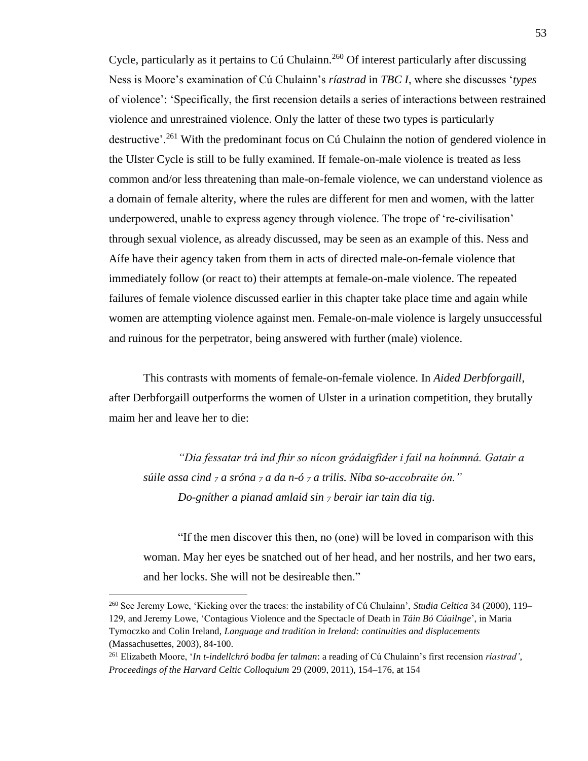Cycle, particularly as it pertains to Cú Chulainn.<sup>260</sup> Of interest particularly after discussing Ness is Moore's examination of Cú Chulainn's *ríastrad* in *TBC I*, where she discusses '*types* of violence': 'Specifically, the first recension details a series of interactions between restrained violence and unrestrained violence. Only the latter of these two types is particularly destructive'.<sup>261</sup> With the predominant focus on Cú Chulainn the notion of gendered violence in the Ulster Cycle is still to be fully examined. If female-on-male violence is treated as less common and/or less threatening than male-on-female violence, we can understand violence as a domain of female alterity, where the rules are different for men and women, with the latter underpowered, unable to express agency through violence. The trope of 're-civilisation' through sexual violence, as already discussed, may be seen as an example of this. Ness and Aífe have their agency taken from them in acts of directed male-on-female violence that immediately follow (or react to) their attempts at female-on-male violence. The repeated failures of female violence discussed earlier in this chapter take place time and again while women are attempting violence against men. Female-on-male violence is largely unsuccessful and ruinous for the perpetrator, being answered with further (male) violence.

This contrasts with moments of female-on-female violence. In *Aided Derbforgaill*, after Derbforgaill outperforms the women of Ulster in a urination competition, they brutally maim her and leave her to die:

*"Dia fessatar trá ind fhir so nícon grádaigfider i fail na hoínmná. Gatair a súile assa cind <sup>7</sup> a sróna <sup>7</sup> a da n-ó <sup>7</sup> a trilis. Níba so-accobraite ón." Do-gníther a pianad amlaid sin <sup>7</sup> berair iar tain dia tig.*

"If the men discover this then, no (one) will be loved in comparison with this woman. May her eyes be snatched out of her head, and her nostrils, and her two ears, and her locks. She will not be desireable then."

<sup>&</sup>lt;sup>260</sup> See Jeremy Lowe, 'Kicking over the traces: the instability of Cú Chulainn', *Studia Celtica* 34 (2000), 119– 129, and Jeremy Lowe, 'Contagious Violence and the Spectacle of Death in *Táin Bó Cúailnge*', in Maria Tymoczko and Colin Ireland, *Language and tradition in Ireland: continuities and displacements* (Massachusettes, 2003), 84-100.

<sup>261</sup> Elizabeth Moore, '*In t-indellchró bodba fer talman*: a reading of Cú Chulainn's first recension *ríastrad'*, *Proceedings of the Harvard Celtic Colloquium* 29 (2009, 2011), 154–176, at 154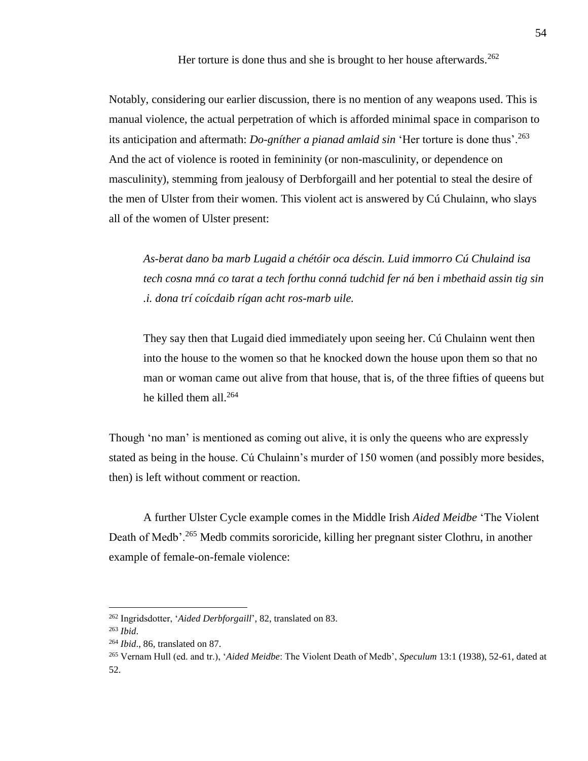Her torture is done thus and she is brought to her house afterwards.<sup>262</sup>

Notably, considering our earlier discussion, there is no mention of any weapons used. This is manual violence, the actual perpetration of which is afforded minimal space in comparison to its anticipation and aftermath: *Do-gníther a pianad amlaid sin* 'Her torture is done thus'.<sup>263</sup> And the act of violence is rooted in femininity (or non-masculinity, or dependence on masculinity), stemming from jealousy of Derbforgaill and her potential to steal the desire of the men of Ulster from their women. This violent act is answered by Cú Chulainn, who slays all of the women of Ulster present:

*As-berat dano ba marb Lugaid a chétóir oca déscin. Luid immorro Cú Chulaind isa tech cosna mná co tarat a tech forthu conná tudchid fer ná ben i mbethaid assin tig sin .i. dona trí coícdaib rígan acht ros-marb uile.* 

They say then that Lugaid died immediately upon seeing her. Cú Chulainn went then into the house to the women so that he knocked down the house upon them so that no man or woman came out alive from that house, that is, of the three fifties of queens but he killed them all.<sup>264</sup>

Though 'no man' is mentioned as coming out alive, it is only the queens who are expressly stated as being in the house. Cú Chulainn's murder of 150 women (and possibly more besides, then) is left without comment or reaction.

A further Ulster Cycle example comes in the Middle Irish *Aided Meidbe* 'The Violent Death of Medb'.<sup>265</sup> Medb commits sororicide, killing her pregnant sister Clothru, in another example of female-on-female violence:

<sup>262</sup> Ingridsdotter, '*Aided Derbforgaill*', 82, translated on 83.

<sup>263</sup> *Ibid*.

<sup>264</sup> *Ibid*., 86, translated on 87.

<sup>265</sup> Vernam Hull (ed. and tr.), '*Aided Meidbe*: The Violent Death of Medb', *Speculum* 13:1 (1938), 52-61, dated at 52.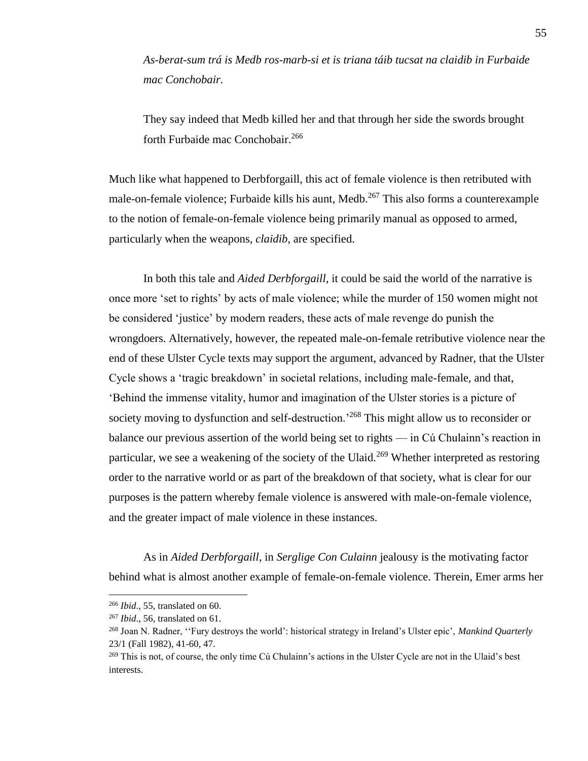*As-berat-sum trá is Medb ros-marb-si et is triana táib tucsat na claidib in Furbaide mac Conchobair.*

They say indeed that Medb killed her and that through her side the swords brought forth Furbaide mac Conchobair.<sup>266</sup>

Much like what happened to Derbforgaill, this act of female violence is then retributed with male-on-female violence; Furbaide kills his aunt, Medb.<sup>267</sup> This also forms a counterexample to the notion of female-on-female violence being primarily manual as opposed to armed, particularly when the weapons, *claidib*, are specified.

In both this tale and *Aided Derbforgaill*, it could be said the world of the narrative is once more 'set to rights' by acts of male violence; while the murder of 150 women might not be considered 'justice' by modern readers, these acts of male revenge do punish the wrongdoers. Alternatively, however, the repeated male-on-female retributive violence near the end of these Ulster Cycle texts may support the argument, advanced by Radner, that the Ulster Cycle shows a 'tragic breakdown' in societal relations, including male-female, and that, 'Behind the immense vitality, humor and imagination of the Ulster stories is a picture of society moving to dysfunction and self-destruction.<sup>268</sup> This might allow us to reconsider or balance our previous assertion of the world being set to rights — in Cú Chulainn's reaction in particular, we see a weakening of the society of the Ulaid.<sup>269</sup> Whether interpreted as restoring order to the narrative world or as part of the breakdown of that society, what is clear for our purposes is the pattern whereby female violence is answered with male-on-female violence, and the greater impact of male violence in these instances.

As in *Aided Derbforgaill*, in *Serglige Con Culainn* jealousy is the motivating factor behind what is almost another example of female-on-female violence. Therein, Emer arms her

<sup>266</sup> *Ibid*., 55, translated on 60.

<sup>267</sup> *Ibid*., 56, translated on 61.

<sup>268</sup> Joan N. Radner, ''Fury destroys the world': historical strategy in Ireland's Ulster epic', *Mankind Quarterly* 23/1 (Fall 1982), 41-60, 47.

<sup>&</sup>lt;sup>269</sup> This is not, of course, the only time Cú Chulainn's actions in the Ulster Cycle are not in the Ulaid's best interests.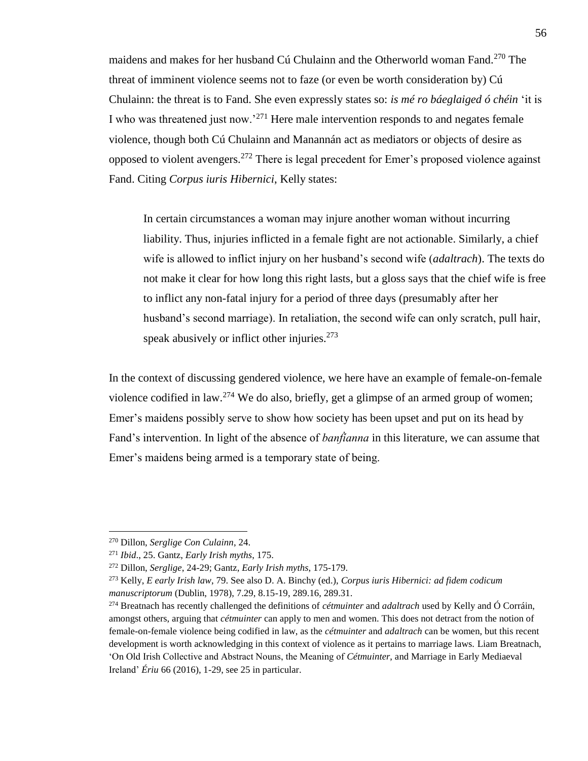maidens and makes for her husband Cú Chulainn and the Otherworld woman Fand.<sup>270</sup> The threat of imminent violence seems not to faze (or even be worth consideration by) Cú Chulainn: the threat is to Fand. She even expressly states so: *is mé ro báeglaiged ó chéin* 'it is I who was threatened just now.'<sup>271</sup> Here male intervention responds to and negates female violence, though both Cú Chulainn and Manannán act as mediators or objects of desire as opposed to violent avengers.<sup>272</sup> There is legal precedent for Emer's proposed violence against Fand. Citing *Corpus iuris Hibernici*, Kelly states:

In certain circumstances a woman may injure another woman without incurring liability. Thus, injuries inflicted in a female fight are not actionable. Similarly, a chief wife is allowed to inflict injury on her husband's second wife (*adaltrach*). The texts do not make it clear for how long this right lasts, but a gloss says that the chief wife is free to inflict any non-fatal injury for a period of three days (presumably after her husband's second marriage). In retaliation, the second wife can only scratch, pull hair, speak abusively or inflict other injuries.<sup>273</sup>

In the context of discussing gendered violence, we here have an example of female-on-female violence codified in law.<sup>274</sup> We do also, briefly, get a glimpse of an armed group of women; Emer's maidens possibly serve to show how society has been upset and put on its head by Fand's intervention. In light of the absence of *banḟíanna* in this literature, we can assume that Emer's maidens being armed is a temporary state of being.

<sup>270</sup> Dillon, *Serglige Con Culainn*, 24.

<sup>271</sup> *Ibid*., 25. Gantz, *Early Irish myths*, 175.

<sup>272</sup> Dillon, *Serglige*, 24-29; Gantz, *Early Irish myths*, 175-179.

<sup>273</sup> Kelly, *E early Irish law*, 79. See also D. A. Binchy (ed.), *Corpus iuris Hibernici: ad fidem codicum manuscriptorum* (Dublin, 1978), 7.29, 8.15-19, 289.16, 289.31.

<sup>274</sup> Breatnach has recently challenged the definitions of *cétmuinter* and *adaltrach* used by Kelly and Ó Corráin, amongst others, arguing that *cétmuinter* can apply to men and women. This does not detract from the notion of female-on-female violence being codified in law, as the *cétmuinter* and *adaltrach* can be women, but this recent development is worth acknowledging in this context of violence as it pertains to marriage laws. Liam Breatnach, 'On Old Irish Collective and Abstract Nouns, the Meaning of *Cétmuinter*, and Marriage in Early Mediaeval Ireland' *Ériu* 66 (2016), 1-29, see 25 in particular.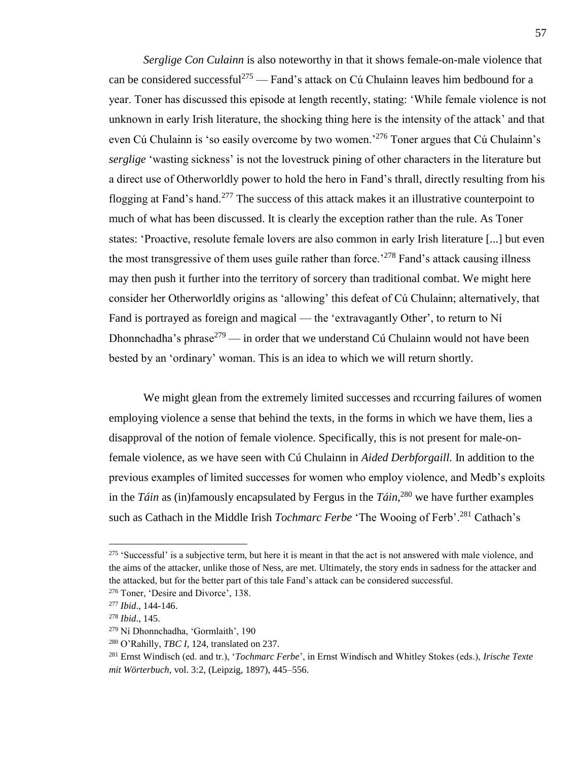*Serglige Con Culainn* is also noteworthy in that it shows female-on-male violence that can be considered successful<sup>275</sup> — Fand's attack on Cú Chulainn leaves him bedbound for a year. Toner has discussed this episode at length recently, stating: 'While female violence is not unknown in early Irish literature, the shocking thing here is the intensity of the attack' and that even Cú Chulainn is 'so easily overcome by two women.<sup>276</sup> Toner argues that Cú Chulainn's *serglige* 'wasting sickness' is not the lovestruck pining of other characters in the literature but a direct use of Otherworldly power to hold the hero in Fand's thrall, directly resulting from his flogging at Fand's hand.<sup>277</sup> The success of this attack makes it an illustrative counterpoint to much of what has been discussed. It is clearly the exception rather than the rule. As Toner states: 'Proactive, resolute female lovers are also common in early Irish literature [...] but even the most transgressive of them uses guile rather than force.<sup>278</sup> Fand's attack causing illness may then push it further into the territory of sorcery than traditional combat. We might here consider her Otherworldly origins as 'allowing' this defeat of Cú Chulainn; alternatively, that Fand is portrayed as foreign and magical — the 'extravagantly Other', to return to Ní Dhonnchadha's phrase<sup>279</sup> — in order that we understand Cú Chulainn would not have been bested by an 'ordinary' woman. This is an idea to which we will return shortly.

We might glean from the extremely limited successes and rccurring failures of women employing violence a sense that behind the texts, in the forms in which we have them, lies a disapproval of the notion of female violence. Specifically, this is not present for male-onfemale violence, as we have seen with Cú Chulainn in *Aided Derbforgaill*. In addition to the previous examples of limited successes for women who employ violence, and Medb's exploits in the *Táin* as (in)famously encapsulated by Fergus in the  $T_0$ <sup>280</sup> we have further examples such as Cathach in the Middle Irish *Tochmarc Ferbe* 'The Wooing of Ferb'.<sup>281</sup> Cathach's

 $275$  'Successful' is a subjective term, but here it is meant in that the act is not answered with male violence, and the aims of the attacker, unlike those of Ness, are met. Ultimately, the story ends in sadness for the attacker and the attacked, but for the better part of this tale Fand's attack can be considered successful.

<sup>276</sup> Toner, 'Desire and Divorce', 138.

<sup>277</sup> *Ibid*., 144-146.

<sup>278</sup> *Ibid*., 145.

<sup>279</sup> Ní Dhonnchadha, 'Gormlaith', 190

<sup>280</sup> O'Rahilly, *TBC I*, 124, translated on 237.

<sup>281</sup> Ernst Windisch (ed. and tr.), '*Tochmarc Ferbe*', in Ernst Windisch and Whitley Stokes (eds.), *Irische Texte mit Wörterbuch*, vol. 3:2, (Leipzig, 1897), 445–556.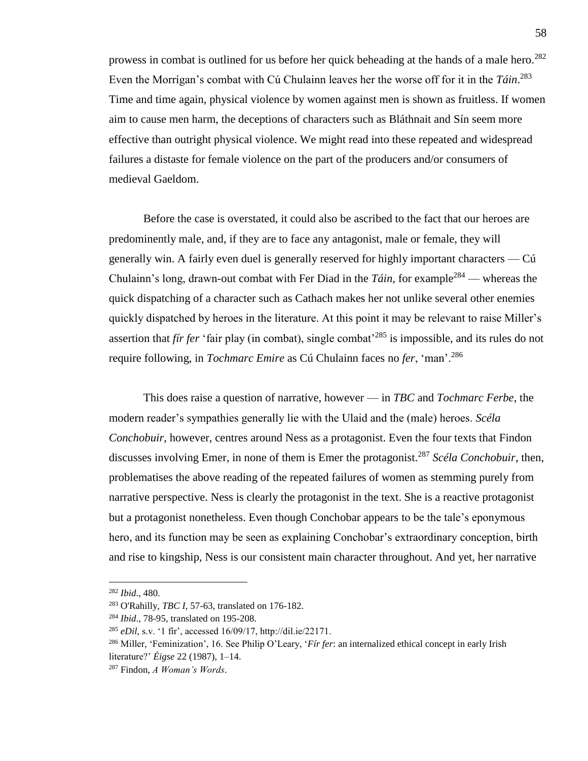prowess in combat is outlined for us before her quick beheading at the hands of a male hero.<sup>282</sup> Even the Morrígan's combat with Cú Chulainn leaves her the worse off for it in the *Táin*. 283 Time and time again, physical violence by women against men is shown as fruitless. If women aim to cause men harm, the deceptions of characters such as Bláthnait and Sín seem more effective than outright physical violence. We might read into these repeated and widespread failures a distaste for female violence on the part of the producers and/or consumers of medieval Gaeldom.

Before the case is overstated, it could also be ascribed to the fact that our heroes are predominently male, and, if they are to face any antagonist, male or female, they will generally win. A fairly even duel is generally reserved for highly important characters — Cú Chulainn's long, drawn-out combat with Fer Diad in the *Táin*, for example<sup>284</sup> — whereas the quick dispatching of a character such as Cathach makes her not unlike several other enemies quickly dispatched by heroes in the literature. At this point it may be relevant to raise Miller's assertion that *fír fer* 'fair play (in combat), single combat'<sup>285</sup> is impossible, and its rules do not require following, in *Tochmarc Emire* as Cú Chulainn faces no *fer*, 'man'.<sup>286</sup>

This does raise a question of narrative, however — in *TBC* and *Tochmarc Ferbe*, the modern reader's sympathies generally lie with the Ulaid and the (male) heroes. *Scéla Conchobuir*, however, centres around Ness as a protagonist. Even the four texts that Findon discusses involving Emer, in none of them is Emer the protagonist.<sup>287</sup> *Scéla Conchobuir*, then, problematises the above reading of the repeated failures of women as stemming purely from narrative perspective. Ness is clearly the protagonist in the text. She is a reactive protagonist but a protagonist nonetheless. Even though Conchobar appears to be the tale's eponymous hero, and its function may be seen as explaining Conchobar's extraordinary conception, birth and rise to kingship, Ness is our consistent main character throughout. And yet, her narrative

<sup>282</sup> *Ibid*., 480.

<sup>283</sup> O'Rahilly, *TBC I*, 57-63, translated on 176-182.

<sup>284</sup> *Ibid*., 78-95, translated on 195-208.

<sup>285</sup> *eDil,* s.v. '1 fír', accessed 16/09/17, http://dil.ie/22171.

<sup>286</sup> Miller, 'Feminization', 16. See Philip O'Leary, '*Fír fer*: an internalized ethical concept in early Irish literature?' *Éigse* 22 (1987), 1–14.

<sup>287</sup> Findon, *A Woman's Words*.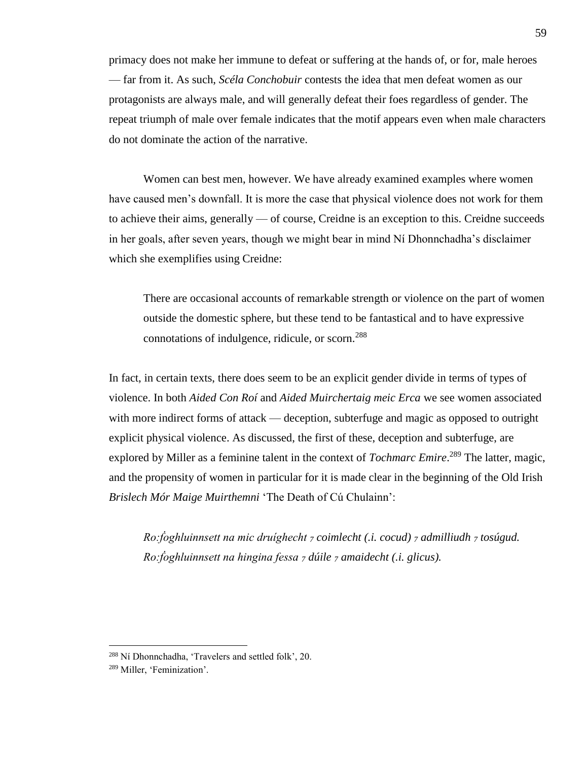primacy does not make her immune to defeat or suffering at the hands of, or for, male heroes — far from it. As such, *Scéla Conchobuir* contests the idea that men defeat women as our protagonists are always male, and will generally defeat their foes regardless of gender. The repeat triumph of male over female indicates that the motif appears even when male characters do not dominate the action of the narrative.

Women can best men, however. We have already examined examples where women have caused men's downfall. It is more the case that physical violence does not work for them to achieve their aims, generally — of course, Creidne is an exception to this. Creidne succeeds in her goals, after seven years, though we might bear in mind Ní Dhonnchadha's disclaimer which she exemplifies using Creidne:

There are occasional accounts of remarkable strength or violence on the part of women outside the domestic sphere, but these tend to be fantastical and to have expressive connotations of indulgence, ridicule, or scorn.<sup>288</sup>

In fact, in certain texts, there does seem to be an explicit gender divide in terms of types of violence. In both *Aided Con Roí* and *Aided Muirchertaig meic Erca* we see women associated with more indirect forms of attack — deception, subterfuge and magic as opposed to outright explicit physical violence. As discussed, the first of these, deception and subterfuge, are explored by Miller as a feminine talent in the context of *Tochmarc Emire*. <sup>289</sup> The latter, magic, and the propensity of women in particular for it is made clear in the beginning of the Old Irish *Brislech Mór Maige Muirthemni* 'The Death of Cú Chulainn':

*Ro:ḟoghluinnsett na mic druíghecht <sup>7</sup> coimlecht (.i. cocud) <sup>7</sup> admilliudh <sup>7</sup> tosúgud. Ro:ḟoghluinnsett na hingina fessa <sup>7</sup> dúile <sup>7</sup> amaidecht (.i. glicus).*

<sup>288</sup> Ní Dhonnchadha, 'Travelers and settled folk', 20.

<sup>289</sup> Miller, 'Feminization'.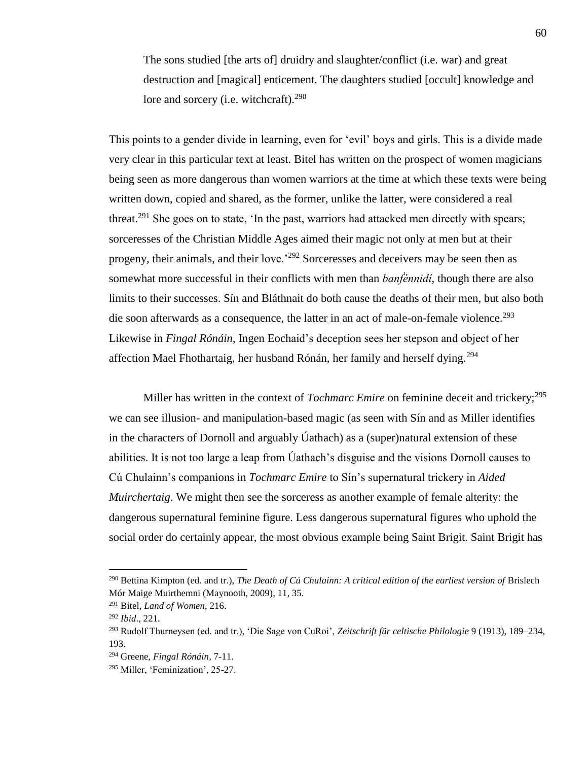The sons studied [the arts of] druidry and slaughter/conflict (i.e. war) and great destruction and [magical] enticement. The daughters studied [occult] knowledge and lore and sorcery (i.e. witchcraft). $290$ 

This points to a gender divide in learning, even for 'evil' boys and girls. This is a divide made very clear in this particular text at least. Bitel has written on the prospect of women magicians being seen as more dangerous than women warriors at the time at which these texts were being written down, copied and shared, as the former, unlike the latter, were considered a real threat.<sup>291</sup> She goes on to state, 'In the past, warriors had attacked men directly with spears; sorceresses of the Christian Middle Ages aimed their magic not only at men but at their progeny, their animals, and their love.'<sup>292</sup> Sorceresses and deceivers may be seen then as somewhat more successful in their conflicts with men than *banḟénnidí*, though there are also limits to their successes. Sín and Bláthnait do both cause the deaths of their men, but also both die soon afterwards as a consequence, the latter in an act of male-on-female violence.<sup>293</sup> Likewise in *Fingal Rónáin*, Ingen Eochaid's deception sees her stepson and object of her affection Mael Fhothartaig, her husband Rónán, her family and herself dying.<sup>294</sup>

Miller has written in the context of *Tochmarc Emire* on feminine deceit and trickery;<sup>295</sup> we can see illusion- and manipulation-based magic (as seen with Sín and as Miller identifies in the characters of Dornoll and arguably Úathach) as a (super)natural extension of these abilities. It is not too large a leap from Úathach's disguise and the visions Dornoll causes to Cú Chulainn's companions in *Tochmarc Emire* to Sín's supernatural trickery in *Aided Muirchertaig*. We might then see the sorceress as another example of female alterity: the dangerous supernatural feminine figure. Less dangerous supernatural figures who uphold the social order do certainly appear, the most obvious example being Saint Brigit. Saint Brigit has

<sup>290</sup> Bettina Kimpton (ed. and tr.), *The Death of Cú Chulainn: A critical edition of the earliest version of* Brislech Mór Maige Muirthemni (Maynooth, 2009), 11, 35.

<sup>291</sup> Bitel, *Land of Women*, 216.

<sup>292</sup> *Ibid*., 221.

<sup>293</sup> Rudolf Thurneysen (ed. and tr.), 'Die Sage von CuRoi', *Zeitschrift für celtische Philologie* 9 (1913), 189–234, 193.

<sup>294</sup> Greene, *Fingal Rónáin*, 7-11.

<sup>295</sup> Miller, 'Feminization', 25-27.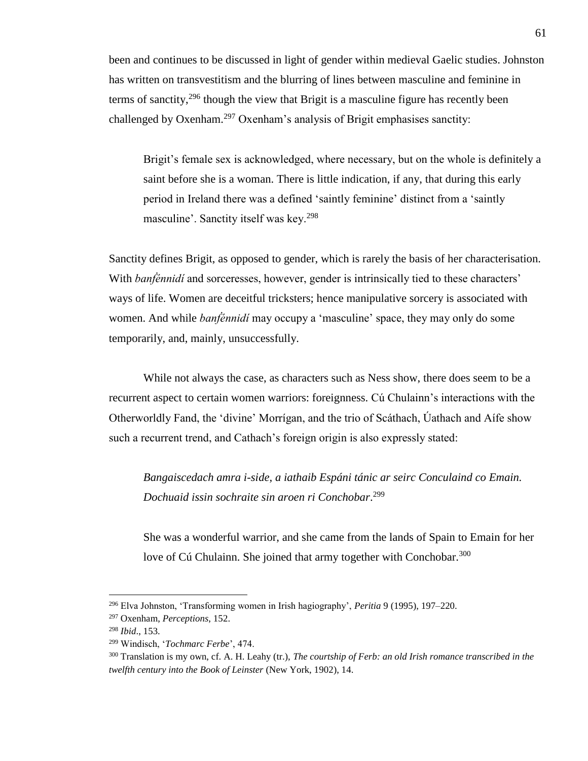been and continues to be discussed in light of gender within medieval Gaelic studies. Johnston has written on transvestitism and the blurring of lines between masculine and feminine in terms of sanctity,  $296$  though the view that Brigit is a masculine figure has recently been challenged by Oxenham.<sup>297</sup> Oxenham's analysis of Brigit emphasises sanctity:

Brigit's female sex is acknowledged, where necessary, but on the whole is definitely a saint before she is a woman. There is little indication, if any, that during this early period in Ireland there was a defined 'saintly feminine' distinct from a 'saintly masculine'. Sanctity itself was key.<sup>298</sup>

Sanctity defines Brigit, as opposed to gender, which is rarely the basis of her characterisation. With *banfénnidí* and sorceresses, however, gender is intrinsically tied to these characters' ways of life. Women are deceitful tricksters; hence manipulative sorcery is associated with women. And while *banḟénnidí* may occupy a 'masculine' space, they may only do some temporarily, and, mainly, unsuccessfully.

While not always the case, as characters such as Ness show, there does seem to be a recurrent aspect to certain women warriors: foreignness. Cú Chulainn's interactions with the Otherworldly Fand, the 'divine' Morrígan, and the trio of Scáthach, Úathach and Aífe show such a recurrent trend, and Cathach's foreign origin is also expressly stated:

*Bangaiscedach amra i-side, a iathaib Espáni tánic ar seirc Conculaind co Emain. Dochuaid issin sochraite sin aroen ri Conchobar*. 299

She was a wonderful warrior, and she came from the lands of Spain to Emain for her love of Cú Chulainn. She joined that army together with Conchobar.<sup>300</sup>

<sup>296</sup> Elva Johnston, 'Transforming women in Irish hagiography', *Peritia* 9 (1995), 197–220.

<sup>297</sup> Oxenham, *Perceptions*, 152.

<sup>298</sup> *Ibid*., 153.

<sup>299</sup> Windisch, '*Tochmarc Ferbe*', 474.

<sup>300</sup> Translation is my own, cf. A. H. Leahy (tr.), *The courtship of Ferb: an old Irish romance transcribed in the twelfth century into the Book of Leinster* (New York, 1902), 14.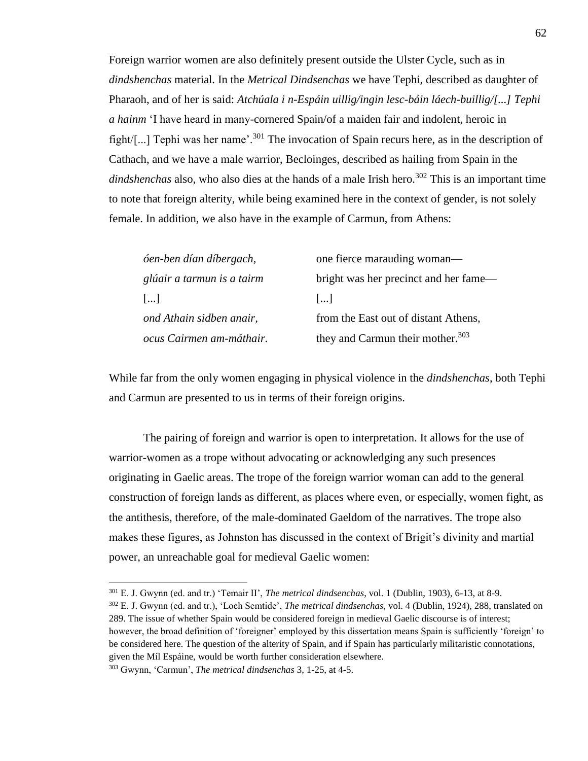Foreign warrior women are also definitely present outside the Ulster Cycle, such as in *dindshenchas* material. In the *Metrical Dindsenchas* we have Tephi, described as daughter of Pharaoh, and of her is said: *Atchúala i n-Espáin uillig/ingin lesc-báin láech-buillig/[...] Tephi a hainm* 'I have heard in many-cornered Spain/of a maiden fair and indolent, heroic in fight/[...] Tephi was her name<sup> $\cdot$ , 301</sup> The invocation of Spain recurs here, as in the description of Cathach, and we have a male warrior, Becloinges, described as hailing from Spain in the *dindshenchas* also, who also dies at the hands of a male Irish hero.<sup>302</sup> This is an important time to note that foreign alterity, while being examined here in the context of gender, is not solely female. In addition, we also have in the example of Carmun, from Athens:

| óen-ben dían díbergach,    | one fierce marauding woman—                  |
|----------------------------|----------------------------------------------|
| glúair a tarmun is a tairm | bright was her precinct and her fame—        |
| $\left  \ldots \right $    | $\left  \dots \right $                       |
| ond Athain sidben anair,   | from the East out of distant Athens,         |
| ocus Cairmen am-máthair.   | they and Carmun their mother. <sup>303</sup> |

While far from the only women engaging in physical violence in the *dindshenchas*, both Tephi and Carmun are presented to us in terms of their foreign origins.

The pairing of foreign and warrior is open to interpretation. It allows for the use of warrior-women as a trope without advocating or acknowledging any such presences originating in Gaelic areas. The trope of the foreign warrior woman can add to the general construction of foreign lands as different, as places where even, or especially, women fight, as the antithesis, therefore, of the male-dominated Gaeldom of the narratives. The trope also makes these figures, as Johnston has discussed in the context of Brigit's divinity and martial power, an unreachable goal for medieval Gaelic women:

<sup>301</sup> E. J. Gwynn (ed. and tr.) 'Temair II', *The metrical dindsenchas*, vol. 1 (Dublin, 1903), 6-13, at 8-9.

<sup>302</sup> E. J. Gwynn (ed. and tr.), 'Loch Semtide', *The metrical dindsenchas*, vol. 4 (Dublin, 1924), 288, translated on 289. The issue of whether Spain would be considered foreign in medieval Gaelic discourse is of interest; however, the broad definition of 'foreigner' employed by this dissertation means Spain is sufficiently 'foreign' to be considered here. The question of the alterity of Spain, and if Spain has particularly militaristic connotations, given the Míl Espáine, would be worth further consideration elsewhere.

<sup>303</sup> Gwynn, 'Carmun', *The metrical dindsenchas* 3, 1-25, at 4-5.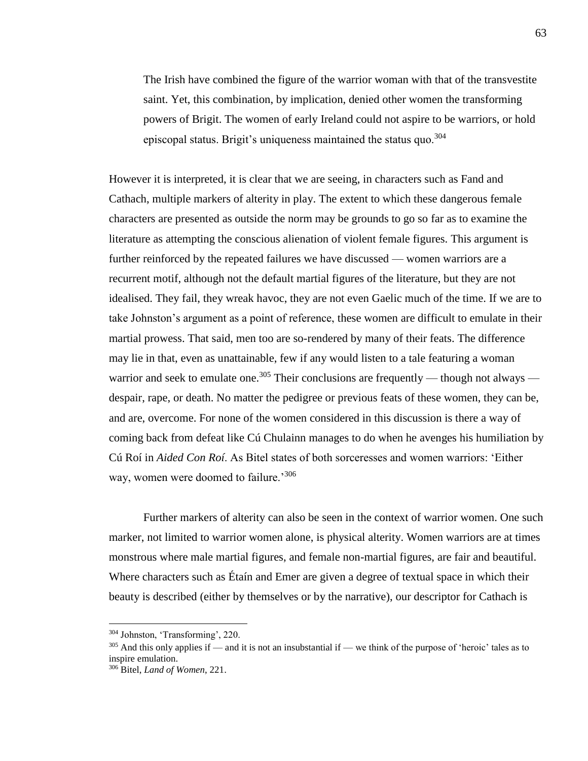The Irish have combined the figure of the warrior woman with that of the transvestite saint. Yet, this combination, by implication, denied other women the transforming powers of Brigit. The women of early Ireland could not aspire to be warriors, or hold episcopal status. Brigit's uniqueness maintained the status quo.<sup>304</sup>

However it is interpreted, it is clear that we are seeing, in characters such as Fand and Cathach, multiple markers of alterity in play. The extent to which these dangerous female characters are presented as outside the norm may be grounds to go so far as to examine the literature as attempting the conscious alienation of violent female figures. This argument is further reinforced by the repeated failures we have discussed — women warriors are a recurrent motif, although not the default martial figures of the literature, but they are not idealised. They fail, they wreak havoc, they are not even Gaelic much of the time. If we are to take Johnston's argument as a point of reference, these women are difficult to emulate in their martial prowess. That said, men too are so-rendered by many of their feats. The difference may lie in that, even as unattainable, few if any would listen to a tale featuring a woman warrior and seek to emulate one.<sup>305</sup> Their conclusions are frequently — though not always despair, rape, or death. No matter the pedigree or previous feats of these women, they can be, and are, overcome. For none of the women considered in this discussion is there a way of coming back from defeat like Cú Chulainn manages to do when he avenges his humiliation by Cú Roí in *Aided Con Roí*. As Bitel states of both sorceresses and women warriors: 'Either way, women were doomed to failure.<sup>'306</sup>

Further markers of alterity can also be seen in the context of warrior women. One such marker, not limited to warrior women alone, is physical alterity. Women warriors are at times monstrous where male martial figures, and female non-martial figures, are fair and beautiful. Where characters such as Étaín and Emer are given a degree of textual space in which their beauty is described (either by themselves or by the narrative), our descriptor for Cathach is

<sup>304</sup> Johnston, 'Transforming', 220.

 $305$  And this only applies if — and it is not an insubstantial if — we think of the purpose of 'heroic' tales as to inspire emulation.

<sup>306</sup> Bitel, *Land of Women*, 221.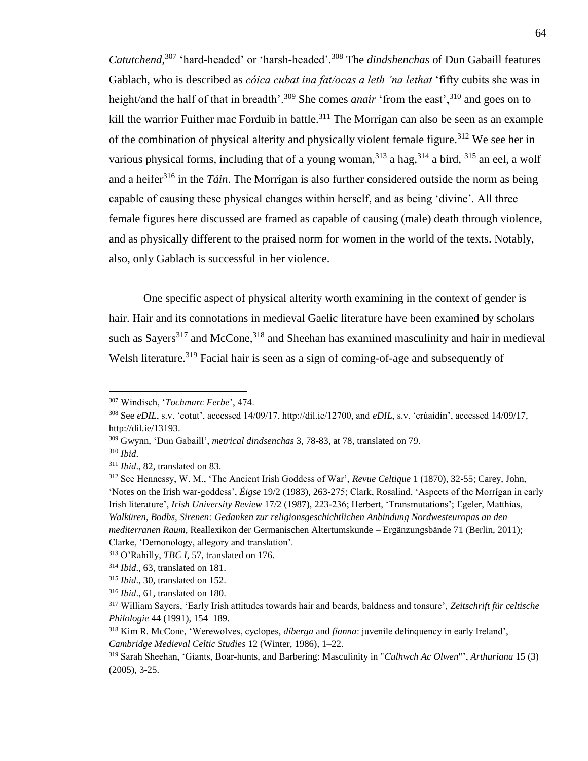*Catutchend*, <sup>307</sup> 'hard-headed' or 'harsh-headed'.<sup>308</sup> The *dindshenchas* of Dun Gabaill features Gablach, who is described as *cóica cubat ina fat/ocas a leth 'na lethat* 'fifty cubits she was in height/and the half of that in breadth'.<sup>309</sup> She comes *anair* 'from the east',<sup>310</sup> and goes on to kill the warrior Fuither mac Forduib in battle.<sup>311</sup> The Morrígan can also be seen as an example of the combination of physical alterity and physically violent female figure.<sup>312</sup> We see her in various physical forms, including that of a young woman,  $313$  a hag,  $314$  a bird,  $315$  an eel, a wolf and a heifer<sup>316</sup> in the *Táin*. The Morrígan is also further considered outside the norm as being capable of causing these physical changes within herself, and as being 'divine'. All three female figures here discussed are framed as capable of causing (male) death through violence, and as physically different to the praised norm for women in the world of the texts. Notably, also, only Gablach is successful in her violence.

One specific aspect of physical alterity worth examining in the context of gender is hair. Hair and its connotations in medieval Gaelic literature have been examined by scholars such as Sayers<sup>317</sup> and McCone,  $318$  and Sheehan has examined masculinity and hair in medieval Welsh literature.<sup>319</sup> Facial hair is seen as a sign of coming-of-age and subsequently of

<sup>310</sup> *Ibid*.

<sup>307</sup> Windisch, '*Tochmarc Ferbe*', 474.

<sup>308</sup> See *eDIL*, s.v. 'cotut', accessed 14/09/17, http://dil.ie/12700, and *eDIL*, s.v. 'crúaidín', accessed 14/09/17, http://dil.ie/13193.

<sup>309</sup> Gwynn, 'Dun Gabaill', *metrical dindsenchas* 3, 78-83, at 78, translated on 79.

<sup>311</sup> *Ibid*., 82, translated on 83.

<sup>312</sup> See Hennessy, W. M., 'The Ancient Irish Goddess of War', *Revue Celtique* 1 (1870), 32-55; Carey, John, 'Notes on the Irish war-goddess', *Éigse* 19/2 (1983), 263-275; Clark, Rosalind, 'Aspects of the Morrígan in early Irish literature', *Irish University Review* 17/2 (1987), 223-236; Herbert, 'Transmutations'; Egeler, Matthias, *Walküren, Bodbs, Sirenen: Gedanken zur religionsgeschichtlichen Anbindung Nordwesteuropas an den mediterranen Raum,* Reallexikon der Germanischen Altertumskunde – Ergänzungsbände 71 (Berlin, 2011); Clarke, 'Demonology, allegory and translation'.

<sup>313</sup> O'Rahilly, *TBC I*, 57, translated on 176.

<sup>314</sup> *Ibid*., 63, translated on 181.

<sup>315</sup> *Ibid*., 30, translated on 152.

<sup>316</sup> *Ibid*., 61, translated on 180.

<sup>317</sup> William Sayers, 'Early Irish attitudes towards hair and beards, baldness and tonsure', *Zeitschrift für celtische Philologie* 44 (1991), 154–189.

<sup>318</sup> Kim R. McCone, 'Werewolves, cyclopes, *díberga* and *fíanna*: juvenile delinquency in early Ireland', *Cambridge Medieval Celtic Studies* 12 (Winter, 1986), 1–22.

<sup>319</sup> Sarah Sheehan, 'Giants, Boar-hunts, and Barbering: Masculinity in "*Culhwch Ac Olwen*"', *Arthuriana* 15 (3) (2005), 3-25.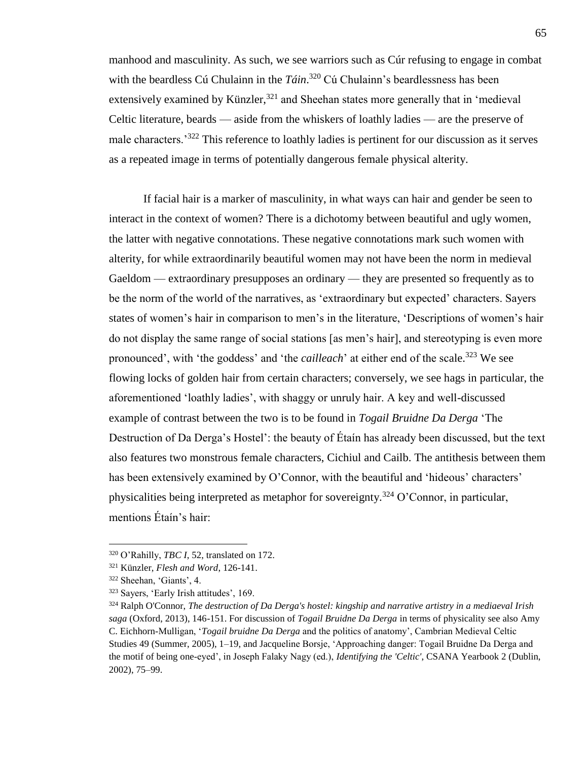manhood and masculinity. As such, we see warriors such as Cúr refusing to engage in combat with the beardless Cú Chulainn in the *Táin*. <sup>320</sup> Cú Chulainn's beardlessness has been extensively examined by Künzler,  $321$  and Sheehan states more generally that in 'medieval Celtic literature, beards — aside from the whiskers of loathly ladies — are the preserve of male characters.'<sup>322</sup> This reference to loathly ladies is pertinent for our discussion as it serves as a repeated image in terms of potentially dangerous female physical alterity.

If facial hair is a marker of masculinity, in what ways can hair and gender be seen to interact in the context of women? There is a dichotomy between beautiful and ugly women, the latter with negative connotations. These negative connotations mark such women with alterity, for while extraordinarily beautiful women may not have been the norm in medieval Gaeldom — extraordinary presupposes an ordinary — they are presented so frequently as to be the norm of the world of the narratives, as 'extraordinary but expected' characters. Sayers states of women's hair in comparison to men's in the literature, 'Descriptions of women's hair do not display the same range of social stations [as men's hair], and stereotyping is even more pronounced', with 'the goddess' and 'the *cailleach*' at either end of the scale.<sup>323</sup> We see flowing locks of golden hair from certain characters; conversely, we see hags in particular, the aforementioned 'loathly ladies', with shaggy or unruly hair. A key and well-discussed example of contrast between the two is to be found in *Togail Bruidne Da Derga* 'The Destruction of Da Derga's Hostel': the beauty of Étaín has already been discussed, but the text also features two monstrous female characters, Cichiul and Cailb. The antithesis between them has been extensively examined by O'Connor, with the beautiful and 'hideous' characters' physicalities being interpreted as metaphor for sovereignty.<sup>324</sup> O'Connor, in particular, mentions Étaín's hair:

<sup>320</sup> O'Rahilly, *TBC I*, 52, translated on 172.

<sup>321</sup> Künzler, *Flesh and Word*, 126-141.

<sup>322</sup> Sheehan, 'Giants', 4.

<sup>323</sup> Sayers, 'Early Irish attitudes', 169.

<sup>324</sup> Ralph O'Connor, *The destruction of Da Derga's hostel: kingship and narrative artistry in a mediaeval Irish saga* (Oxford, 2013), 146-151. For discussion of *Togail Bruidne Da Derga* in terms of physicality see also Amy C. Eichhorn-Mulligan, '*Togail bruidne Da Derga* and the politics of anatomy', Cambrian Medieval Celtic Studies 49 (Summer, 2005), 1–19, and Jacqueline Borsje, 'Approaching danger: Togail Bruidne Da Derga and the motif of being one-eyed', in Joseph Falaky Nagy (ed.), *Identifying the 'Celtic'*, CSANA Yearbook 2 (Dublin, 2002), 75–99.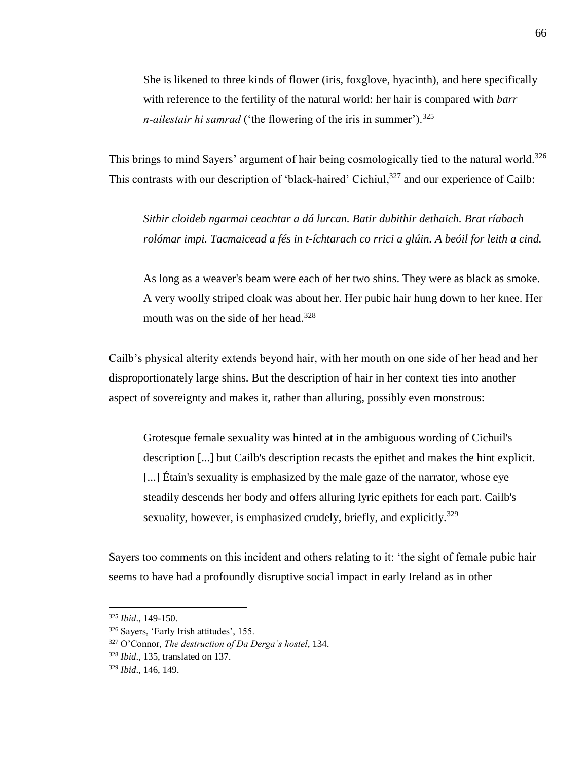She is likened to three kinds of flower (iris, foxglove, hyacinth), and here specifically with reference to the fertility of the natural world: her hair is compared with *barr n-ailestair hi samrad* ('the flowering of the iris in summer').<sup>325</sup>

This brings to mind Sayers' argument of hair being cosmologically tied to the natural world.<sup>326</sup> This contrasts with our description of 'black-haired' Cichiul,<sup>327</sup> and our experience of Cailb:

*Sithir cloideb ngarmai ceachtar a dá lurcan. Batir dubithir dethaich. Brat ríabach rolómar impi. Tacmaicead a fés in t-íchtarach co rrici a glúin. A beóil for leith a cind.* 

As long as a weaver's beam were each of her two shins. They were as black as smoke. A very woolly striped cloak was about her. Her pubic hair hung down to her knee. Her mouth was on the side of her head.<sup>328</sup>

Cailb's physical alterity extends beyond hair, with her mouth on one side of her head and her disproportionately large shins. But the description of hair in her context ties into another aspect of sovereignty and makes it, rather than alluring, possibly even monstrous:

Grotesque female sexuality was hinted at in the ambiguous wording of Cichuil's description [...] but Cailb's description recasts the epithet and makes the hint explicit. [...] Étaín's sexuality is emphasized by the male gaze of the narrator, whose eye steadily descends her body and offers alluring lyric epithets for each part. Cailb's sexuality, however, is emphasized crudely, briefly, and explicitly.<sup>329</sup>

Sayers too comments on this incident and others relating to it: 'the sight of female pubic hair seems to have had a profoundly disruptive social impact in early Ireland as in other

<sup>325</sup> *Ibid*., 149-150.

<sup>326</sup> Sayers, 'Early Irish attitudes', 155.

<sup>327</sup> O'Connor, *The destruction of Da Derga's hostel*, 134.

<sup>328</sup> *Ibid*., 135, translated on 137.

<sup>329</sup> *Ibid*., 146, 149.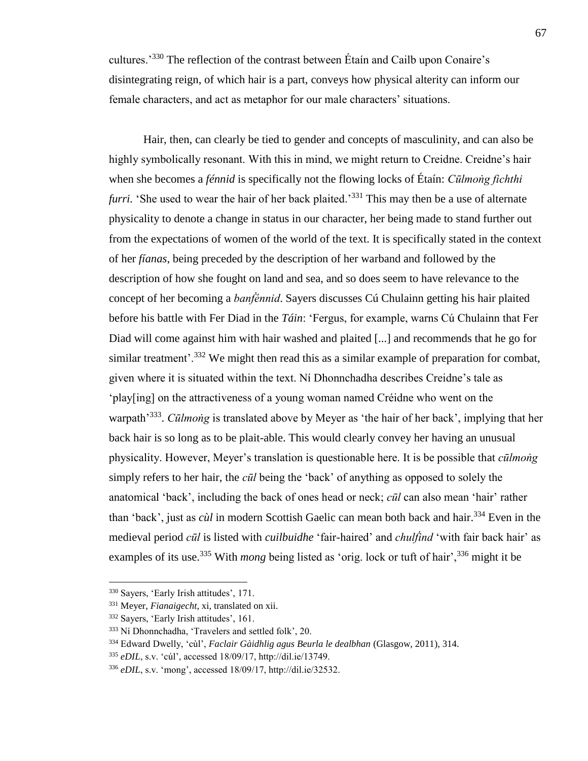cultures.'<sup>330</sup> The reflection of the contrast between Étaín and Cailb upon Conaire's disintegrating reign, of which hair is a part, conveys how physical alterity can inform our female characters, and act as metaphor for our male characters' situations.

Hair, then, can clearly be tied to gender and concepts of masculinity, and can also be highly symbolically resonant. With this in mind, we might return to Creidne. Creidne's hair when she becomes a *fénnid* is specifically not the flowing locks of Étaín: *Cūlmoṅg fichthi furri.* 'She used to wear the hair of her back plaited.'<sup>331</sup> This may then be a use of alternate physicality to denote a change in status in our character, her being made to stand further out from the expectations of women of the world of the text. It is specifically stated in the context of her *fíanas*, being preceded by the description of her warband and followed by the description of how she fought on land and sea, and so does seem to have relevance to the concept of her becoming a *banḟénnid*. Sayers discusses Cú Chulainn getting his hair plaited before his battle with Fer Diad in the *Táin*: 'Fergus, for example, warns Cú Chulainn that Fer Diad will come against him with hair washed and plaited [...] and recommends that he go for similar treatment'.<sup>332</sup> We might then read this as a similar example of preparation for combat, given where it is situated within the text. Ní Dhonnchadha describes Creidne's tale as 'play[ing] on the attractiveness of a young woman named Créidne who went on the warpath<sup>'333</sup>. *Cūlmoṅg* is translated above by Meyer as 'the hair of her back', implying that her back hair is so long as to be plait-able. This would clearly convey her having an unusual physicality. However, Meyer's translation is questionable here. It is be possible that *cūlmoṅg* simply refers to her hair, the *cūl* being the 'back' of anything as opposed to solely the anatomical 'back', including the back of ones head or neck; *cūl* can also mean 'hair' rather than 'back', just as *cùl* in modern Scottish Gaelic can mean both back and hair.<sup>334</sup> Even in the medieval period *cūl* is listed with *cuilbuidhe* 'fair-haired' and *chulḟind* 'with fair back hair' as examples of its use.<sup>335</sup> With *mong* being listed as 'orig. lock or tuft of hair',<sup>336</sup> might it be

<sup>330</sup> Sayers, 'Early Irish attitudes', 171.

<sup>331</sup> Meyer, *Fianaigecht*, xi, translated on xii.

<sup>332</sup> Sayers, 'Early Irish attitudes', 161.

<sup>333</sup> Ní Dhonnchadha, 'Travelers and settled folk', 20.

<sup>334</sup> Edward Dwelly, 'cùl', *Faclair Gàidhlig agus Beurla le dealbhan* (Glasgow, 2011), 314.

<sup>335</sup> *eDIL*, s.v. 'cúl', accessed 18/09/17, http://dil.ie/13749.

<sup>336</sup> *eDIL*, s.v. 'mong', accessed 18/09/17, http://dil.ie/32532.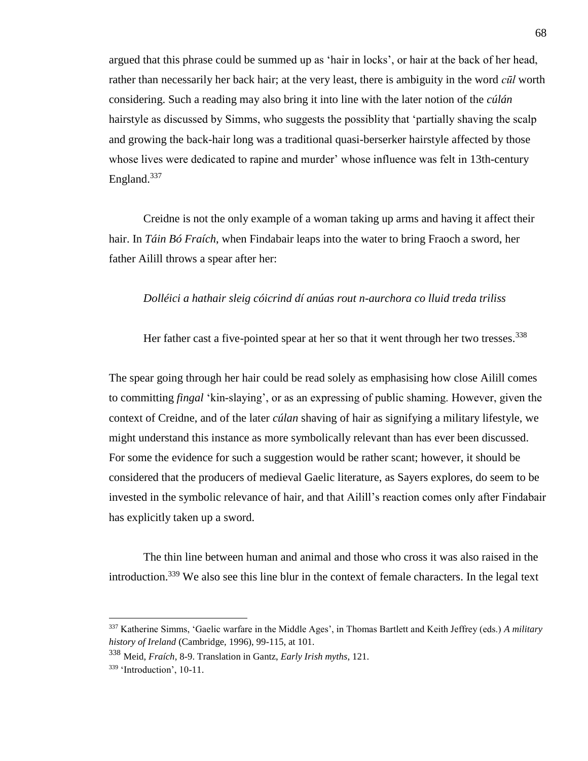argued that this phrase could be summed up as 'hair in locks', or hair at the back of her head, rather than necessarily her back hair; at the very least, there is ambiguity in the word *cūl* worth considering. Such a reading may also bring it into line with the later notion of the *cúlán*  hairstyle as discussed by Simms, who suggests the possiblity that 'partially shaving the scalp and growing the back-hair long was a traditional quasi-berserker hairstyle affected by those whose lives were dedicated to rapine and murder' whose influence was felt in 13th-century England.<sup>337</sup>

Creidne is not the only example of a woman taking up arms and having it affect their hair. In *Táin Bó Fraích*, when Findabair leaps into the water to bring Fraoch a sword, her father Ailill throws a spear after her:

## *Dolléici a hathair sleig cóicrind dí anúas rout n-aurchora co lluid treda triliss*

Her father cast a five-pointed spear at her so that it went through her two tresses.<sup>338</sup>

The spear going through her hair could be read solely as emphasising how close Ailill comes to committing *fingal* 'kin-slaying', or as an expressing of public shaming. However, given the context of Creidne, and of the later *cúlan* shaving of hair as signifying a military lifestyle, we might understand this instance as more symbolically relevant than has ever been discussed. For some the evidence for such a suggestion would be rather scant; however, it should be considered that the producers of medieval Gaelic literature, as Sayers explores, do seem to be invested in the symbolic relevance of hair, and that Ailill's reaction comes only after Findabair has explicitly taken up a sword.

The thin line between human and animal and those who cross it was also raised in the introduction.<sup>339</sup> We also see this line blur in the context of female characters. In the legal text

<sup>337</sup> Katherine Simms, 'Gaelic warfare in the Middle Ages', in Thomas Bartlett and Keith Jeffrey (eds.) *A military history of Ireland* (Cambridge, 1996), 99-115, at 101.

<sup>338</sup> Meid, *Fraích*, 8-9. Translation in Gantz, *Early Irish myths*, 121.

<sup>339</sup> 'Introduction', 10-11.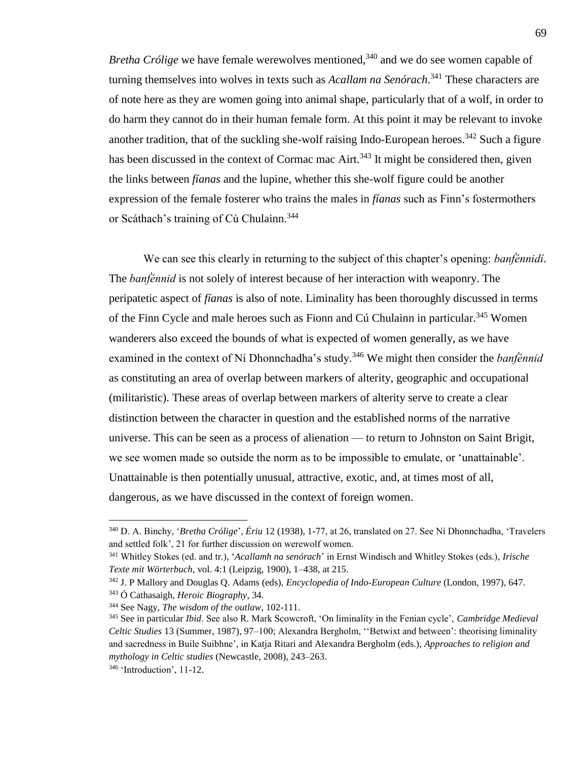*Bretha Crólige* we have female werewolves mentioned,<sup>340</sup> and we do see women capable of turning themselves into wolves in texts such as *Acallam na Senórach*. <sup>341</sup> These characters are of note here as they are women going into animal shape, particularly that of a wolf, in order to do harm they cannot do in their human female form. At this point it may be relevant to invoke another tradition, that of the suckling she-wolf raising Indo-European heroes.<sup>342</sup> Such a figure has been discussed in the context of Cormac mac Airt.<sup>343</sup> It might be considered then, given the links between *fíanas* and the lupine, whether this she-wolf figure could be another expression of the female fosterer who trains the males in *fíanas* such as Finn's fostermothers or Scáthach's training of Cú Chulainn.<sup>344</sup>

We can see this clearly in returning to the subject of this chapter's opening: *banḟénnidí*. The *banḟénnid* is not solely of interest because of her interaction with weaponry. The peripatetic aspect of *fíanas* is also of note. Liminality has been thoroughly discussed in terms of the Finn Cycle and male heroes such as Fionn and Cú Chulainn in particular.<sup>345</sup> Women wanderers also exceed the bounds of what is expected of women generally, as we have examined in the context of Ní Dhonnchadha's study.<sup>346</sup> We might then consider the *banḟénnid* as constituting an area of overlap between markers of alterity, geographic and occupational (militaristic). These areas of overlap between markers of alterity serve to create a clear distinction between the character in question and the established norms of the narrative universe. This can be seen as a process of alienation — to return to Johnston on Saint Brigit, we see women made so outside the norm as to be impossible to emulate, or 'unattainable'. Unattainable is then potentially unusual, attractive, exotic, and, at times most of all, dangerous, as we have discussed in the context of foreign women.

<sup>340</sup> D. A. Binchy, '*Bretha Crólige*', *Ériu* 12 (1938), 1-77, at 26, translated on 27. See Ní Dhonnchadha, 'Travelers and settled folk', 21 for further discussion on werewolf women.

<sup>341</sup> Whitley Stokes (ed. and tr.), '*Acallamh na senórach*' in Ernst Windisch and Whitley Stokes (eds.), *Irische Texte mit Wörterbuch*, vol. 4:1 (Leipzig, 1900), 1–438, at 215.

<sup>342</sup> J. P Mallory and Douglas Q. Adams (eds), *Encyclopedia of Indo-European Culture* (London, 1997), 647.

<sup>343</sup> Ó Cathasaigh, *Heroic Biography*, 34.

<sup>344</sup> See Nagy, *The wisdom of the outlaw*, 102-111.

<sup>345</sup> See in particular *Ibid*. See also R. Mark Scowcroft, 'On liminality in the Fenian cycle', *Cambridge Medieval Celtic Studies* 13 (Summer, 1987), 97–100; Alexandra Bergholm, ''Betwixt and between': theorising liminality and sacredness in Buile Suibhne', in Katja Ritari and Alexandra Bergholm (eds.), *Approaches to religion and mythology in Celtic studies* (Newcastle, 2008), 243–263.

<sup>346</sup> 'Introduction', 11-12.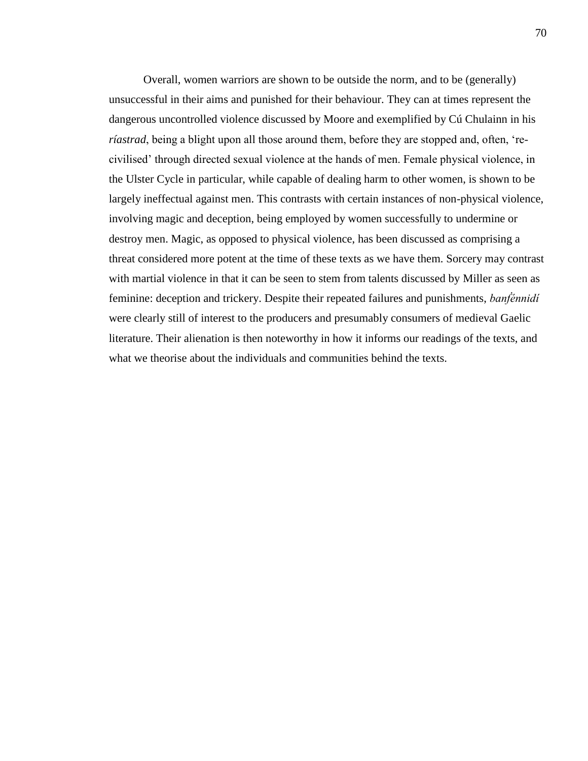Overall, women warriors are shown to be outside the norm, and to be (generally) unsuccessful in their aims and punished for their behaviour. They can at times represent the dangerous uncontrolled violence discussed by Moore and exemplified by Cú Chulainn in his *ríastrad*, being a blight upon all those around them, before they are stopped and, often, 'recivilised' through directed sexual violence at the hands of men. Female physical violence, in the Ulster Cycle in particular, while capable of dealing harm to other women, is shown to be largely ineffectual against men. This contrasts with certain instances of non-physical violence, involving magic and deception, being employed by women successfully to undermine or destroy men. Magic, as opposed to physical violence, has been discussed as comprising a threat considered more potent at the time of these texts as we have them. Sorcery may contrast with martial violence in that it can be seen to stem from talents discussed by Miller as seen as feminine: deception and trickery. Despite their repeated failures and punishments, *banḟénnidí*  were clearly still of interest to the producers and presumably consumers of medieval Gaelic literature. Their alienation is then noteworthy in how it informs our readings of the texts, and what we theorise about the individuals and communities behind the texts.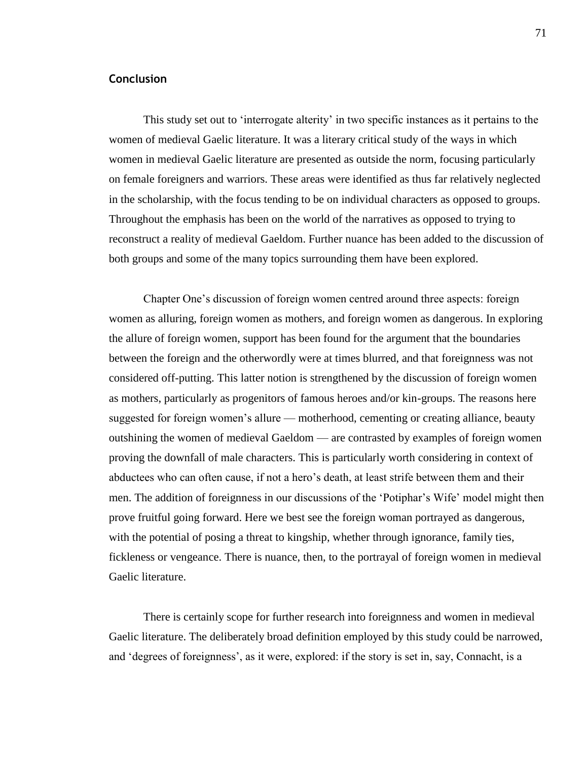## **Conclusion**

This study set out to 'interrogate alterity' in two specific instances as it pertains to the women of medieval Gaelic literature. It was a literary critical study of the ways in which women in medieval Gaelic literature are presented as outside the norm, focusing particularly on female foreigners and warriors. These areas were identified as thus far relatively neglected in the scholarship, with the focus tending to be on individual characters as opposed to groups. Throughout the emphasis has been on the world of the narratives as opposed to trying to reconstruct a reality of medieval Gaeldom. Further nuance has been added to the discussion of both groups and some of the many topics surrounding them have been explored.

Chapter One's discussion of foreign women centred around three aspects: foreign women as alluring, foreign women as mothers, and foreign women as dangerous. In exploring the allure of foreign women, support has been found for the argument that the boundaries between the foreign and the otherwordly were at times blurred, and that foreignness was not considered off-putting. This latter notion is strengthened by the discussion of foreign women as mothers, particularly as progenitors of famous heroes and/or kin-groups. The reasons here suggested for foreign women's allure — motherhood, cementing or creating alliance, beauty outshining the women of medieval Gaeldom — are contrasted by examples of foreign women proving the downfall of male characters. This is particularly worth considering in context of abductees who can often cause, if not a hero's death, at least strife between them and their men. The addition of foreignness in our discussions of the 'Potiphar's Wife' model might then prove fruitful going forward. Here we best see the foreign woman portrayed as dangerous, with the potential of posing a threat to kingship, whether through ignorance, family ties, fickleness or vengeance. There is nuance, then, to the portrayal of foreign women in medieval Gaelic literature.

There is certainly scope for further research into foreignness and women in medieval Gaelic literature. The deliberately broad definition employed by this study could be narrowed, and 'degrees of foreignness', as it were, explored: if the story is set in, say, Connacht, is a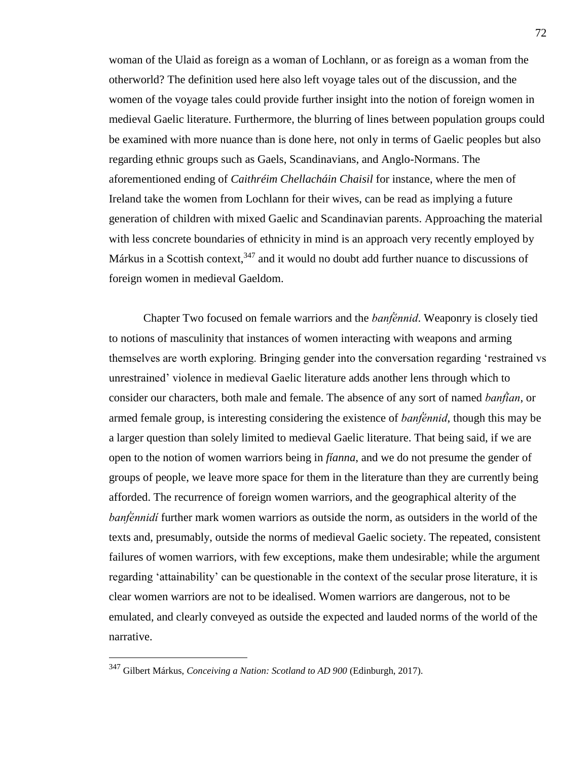woman of the Ulaid as foreign as a woman of Lochlann, or as foreign as a woman from the otherworld? The definition used here also left voyage tales out of the discussion, and the women of the voyage tales could provide further insight into the notion of foreign women in medieval Gaelic literature. Furthermore, the blurring of lines between population groups could be examined with more nuance than is done here, not only in terms of Gaelic peoples but also regarding ethnic groups such as Gaels, Scandinavians, and Anglo-Normans. The aforementioned ending of *Caithréim Chellacháin Chaisil* for instance, where the men of Ireland take the women from Lochlann for their wives, can be read as implying a future generation of children with mixed Gaelic and Scandinavian parents. Approaching the material with less concrete boundaries of ethnicity in mind is an approach very recently employed by Márkus in a Scottish context,  $347$  and it would no doubt add further nuance to discussions of foreign women in medieval Gaeldom.

Chapter Two focused on female warriors and the *banḟénnid*. Weaponry is closely tied to notions of masculinity that instances of women interacting with weapons and arming themselves are worth exploring. Bringing gender into the conversation regarding 'restrained vs unrestrained' violence in medieval Gaelic literature adds another lens through which to consider our characters, both male and female. The absence of any sort of named *banḟían*, or armed female group, is interesting considering the existence of *banḟénnid*, though this may be a larger question than solely limited to medieval Gaelic literature. That being said, if we are open to the notion of women warriors being in *fíanna*, and we do not presume the gender of groups of people, we leave more space for them in the literature than they are currently being afforded. The recurrence of foreign women warriors, and the geographical alterity of the *bantennidí* further mark women warriors as outside the norm, as outsiders in the world of the texts and, presumably, outside the norms of medieval Gaelic society. The repeated, consistent failures of women warriors, with few exceptions, make them undesirable; while the argument regarding 'attainability' can be questionable in the context of the secular prose literature, it is clear women warriors are not to be idealised. Women warriors are dangerous, not to be emulated, and clearly conveyed as outside the expected and lauded norms of the world of the narrative.

 $\overline{a}$ 

<sup>347</sup> Gilbert Márkus, *Conceiving a Nation: Scotland to AD 900* (Edinburgh, 2017).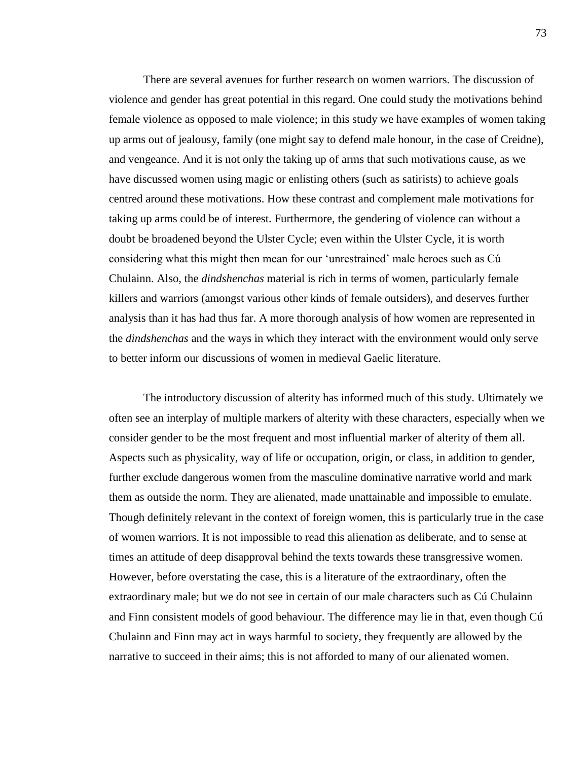There are several avenues for further research on women warriors. The discussion of violence and gender has great potential in this regard. One could study the motivations behind female violence as opposed to male violence; in this study we have examples of women taking up arms out of jealousy, family (one might say to defend male honour, in the case of Creidne), and vengeance. And it is not only the taking up of arms that such motivations cause, as we have discussed women using magic or enlisting others (such as satirists) to achieve goals centred around these motivations. How these contrast and complement male motivations for taking up arms could be of interest. Furthermore, the gendering of violence can without a doubt be broadened beyond the Ulster Cycle; even within the Ulster Cycle, it is worth considering what this might then mean for our 'unrestrained' male heroes such as Cú Chulainn. Also, the *dindshenchas* material is rich in terms of women, particularly female killers and warriors (amongst various other kinds of female outsiders), and deserves further analysis than it has had thus far. A more thorough analysis of how women are represented in the *dindshenchas* and the ways in which they interact with the environment would only serve to better inform our discussions of women in medieval Gaelic literature.

The introductory discussion of alterity has informed much of this study. Ultimately we often see an interplay of multiple markers of alterity with these characters, especially when we consider gender to be the most frequent and most influential marker of alterity of them all. Aspects such as physicality, way of life or occupation, origin, or class, in addition to gender, further exclude dangerous women from the masculine dominative narrative world and mark them as outside the norm. They are alienated, made unattainable and impossible to emulate. Though definitely relevant in the context of foreign women, this is particularly true in the case of women warriors. It is not impossible to read this alienation as deliberate, and to sense at times an attitude of deep disapproval behind the texts towards these transgressive women. However, before overstating the case, this is a literature of the extraordinary, often the extraordinary male; but we do not see in certain of our male characters such as Cú Chulainn and Finn consistent models of good behaviour. The difference may lie in that, even though Cú Chulainn and Finn may act in ways harmful to society, they frequently are allowed by the narrative to succeed in their aims; this is not afforded to many of our alienated women.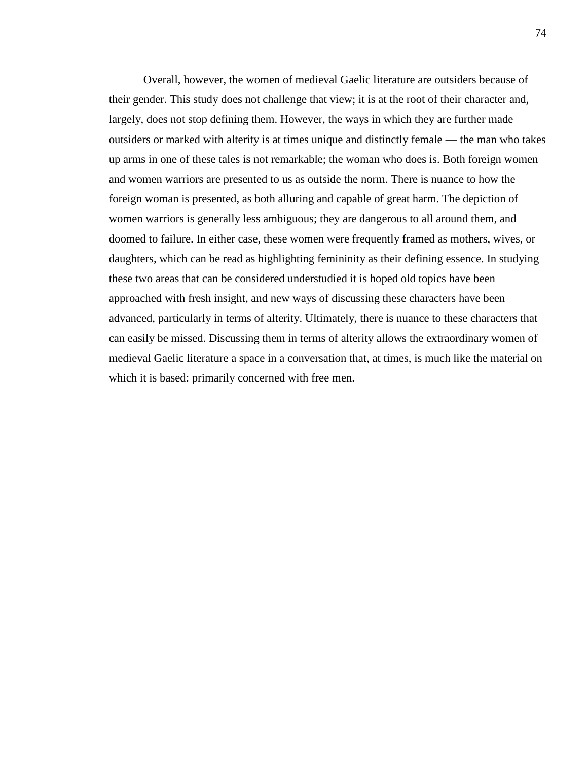Overall, however, the women of medieval Gaelic literature are outsiders because of their gender. This study does not challenge that view; it is at the root of their character and, largely, does not stop defining them. However, the ways in which they are further made outsiders or marked with alterity is at times unique and distinctly female — the man who takes up arms in one of these tales is not remarkable; the woman who does is. Both foreign women and women warriors are presented to us as outside the norm. There is nuance to how the foreign woman is presented, as both alluring and capable of great harm. The depiction of women warriors is generally less ambiguous; they are dangerous to all around them, and doomed to failure. In either case, these women were frequently framed as mothers, wives, or daughters, which can be read as highlighting femininity as their defining essence. In studying these two areas that can be considered understudied it is hoped old topics have been approached with fresh insight, and new ways of discussing these characters have been advanced, particularly in terms of alterity. Ultimately, there is nuance to these characters that can easily be missed. Discussing them in terms of alterity allows the extraordinary women of medieval Gaelic literature a space in a conversation that, at times, is much like the material on which it is based: primarily concerned with free men.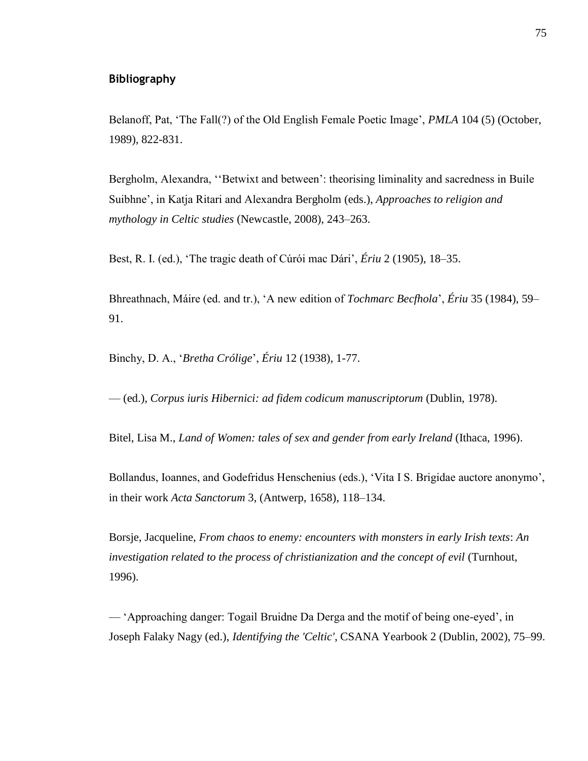## **Bibliography**

Belanoff, Pat, 'The Fall(?) of the Old English Female Poetic Image', *PMLA* 104 (5) (October, 1989), 822-831.

Bergholm, Alexandra, ''Betwixt and between': theorising liminality and sacredness in Buile Suibhne', in Katja Ritari and Alexandra Bergholm (eds.), *Approaches to religion and mythology in Celtic studies* (Newcastle, 2008), 243–263.

Best, R. I. (ed.), 'The tragic death of Cúrói mac Dári', *Ériu* 2 (1905), 18–35.

Bhreathnach, Máire (ed. and tr.), 'A new edition of *Tochmarc Becfhola*', *Ériu* 35 (1984), 59– 91.

Binchy, D. A., '*Bretha Crólige*', *Ériu* 12 (1938), 1-77.

— (ed.), *Corpus iuris Hibernici: ad fidem codicum manuscriptorum* (Dublin, 1978).

Bitel, Lisa M., *Land of Women: tales of sex and gender from early Ireland* (Ithaca, 1996).

Bollandus, Ioannes, and Godefridus Henschenius (eds.), 'Vita I S. Brigidae auctore anonymo', in their work *Acta Sanctorum* 3, (Antwerp, 1658), 118–134.

Borsje, Jacqueline, *From chaos to enemy: encounters with monsters in early Irish texts*: *An investigation related to the process of christianization and the concept of evil* (Turnhout, 1996).

— 'Approaching danger: Togail Bruidne Da Derga and the motif of being one-eyed', in Joseph Falaky Nagy (ed.), *Identifying the 'Celtic'*, CSANA Yearbook 2 (Dublin, 2002), 75–99.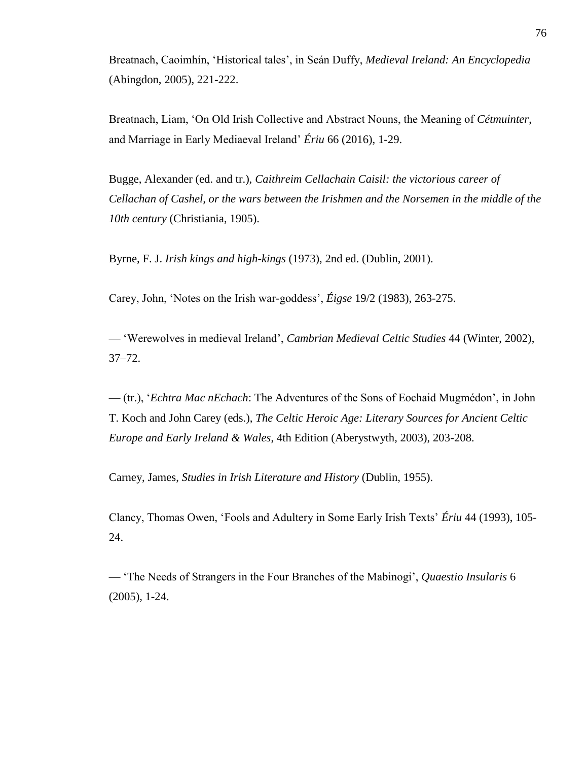Breatnach, Caoimhín, 'Historical tales', in Seán Duffy, *Medieval Ireland: An Encyclopedia* (Abingdon, 2005), 221-222.

Breatnach, Liam, 'On Old Irish Collective and Abstract Nouns, the Meaning of *Cétmuinter*, and Marriage in Early Mediaeval Ireland' *Ériu* 66 (2016), 1-29.

Bugge, Alexander (ed. and tr.), *Caithreim Cellachain Caisil: the victorious career of Cellachan of Cashel, or the wars between the Irishmen and the Norsemen in the middle of the 10th century* (Christiania, 1905).

Byrne, F. J. *Irish kings and high-kings* (1973), 2nd ed. (Dublin, 2001).

Carey, John, 'Notes on the Irish war-goddess', *Éigse* 19/2 (1983), 263-275.

— 'Werewolves in medieval Ireland', *Cambrian Medieval Celtic Studies* 44 (Winter, 2002), 37–72.

— (tr.), '*Echtra Mac nEchach*: The Adventures of the Sons of Eochaid Mugmédon', in John T. Koch and John Carey (eds.), *The Celtic Heroic Age: Literary Sources for Ancient Celtic Europe and Early Ireland & Wales*, 4th Edition (Aberystwyth, 2003), 203-208.

Carney, James, *Studies in Irish Literature and History* (Dublin, 1955).

Clancy, Thomas Owen, 'Fools and Adultery in Some Early Irish Texts' *Ériu* 44 (1993), 105- 24.

— 'The Needs of Strangers in the Four Branches of the Mabinogi', *Quaestio Insularis* 6 (2005), 1-24.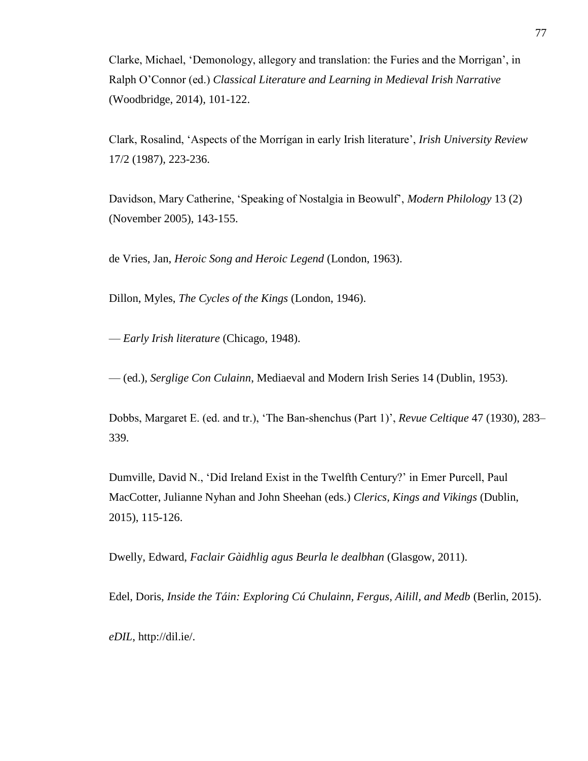Clarke, Michael, 'Demonology, allegory and translation: the Furies and the Morrigan', in Ralph O'Connor (ed.) *Classical Literature and Learning in Medieval Irish Narrative* (Woodbridge, 2014), 101-122.

Clark, Rosalind, 'Aspects of the Morrígan in early Irish literature', *Irish University Review* 17/2 (1987), 223-236.

Davidson, Mary Catherine, 'Speaking of Nostalgia in Beowulf', *Modern Philology* 13 (2) (November 2005), 143-155.

de Vries, Jan, *Heroic Song and Heroic Legend* (London, 1963).

Dillon, Myles, *The Cycles of the Kings* (London, 1946).

— *Early Irish literature* (Chicago, 1948).

— (ed.), *Serglige Con Culainn*, Mediaeval and Modern Irish Series 14 (Dublin, 1953).

Dobbs, Margaret E. (ed. and tr.), 'The Ban-shenchus (Part 1)', *Revue Celtique* 47 (1930), 283– 339.

Dumville, David N., 'Did Ireland Exist in the Twelfth Century?' in Emer Purcell, Paul MacCotter, Julianne Nyhan and John Sheehan (eds.) *Clerics, Kings and Vikings* (Dublin, 2015), 115-126.

Dwelly, Edward, *Faclair Gàidhlig agus Beurla le dealbhan* (Glasgow, 2011).

Edel, Doris, *Inside the Táin: Exploring Cú Chulainn, Fergus, Ailill, and Medb* (Berlin, 2015).

*eDIL*, http://dil.ie/.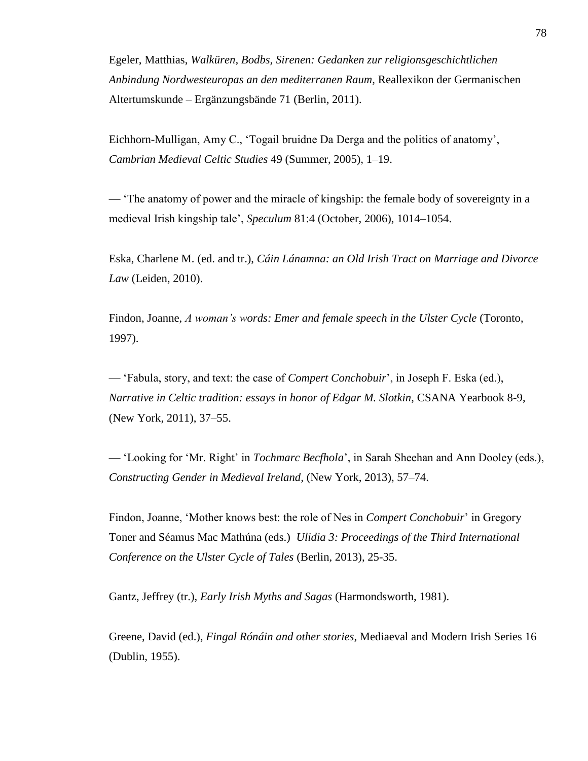Egeler, Matthias, *Walküren, Bodbs, Sirenen: Gedanken zur religionsgeschichtlichen Anbindung Nordwesteuropas an den mediterranen Raum,* Reallexikon der Germanischen Altertumskunde – Ergänzungsbände 71 (Berlin, 2011).

Eichhorn-Mulligan, Amy C., 'Togail bruidne Da Derga and the politics of anatomy', *Cambrian Medieval Celtic Studies* 49 (Summer, 2005), 1–19.

— 'The anatomy of power and the miracle of kingship: the female body of sovereignty in a medieval Irish kingship tale', *Speculum* 81:4 (October, 2006), 1014–1054.

Eska, Charlene M. (ed. and tr.), *Cáin Lánamna: an Old Irish Tract on Marriage and Divorce Law* (Leiden, 2010).

Findon, Joanne, *A woman's words: Emer and female speech in the Ulster Cycle* (Toronto, 1997).

— 'Fabula, story, and text: the case of *Compert Conchobuir*', in Joseph F. Eska (ed.), *Narrative in Celtic tradition: essays in honor of Edgar M. Slotkin*, CSANA Yearbook 8-9, (New York, 2011), 37–55.

— 'Looking for 'Mr. Right' in *Tochmarc Becfhola*', in Sarah Sheehan and Ann Dooley (eds.), *Constructing Gender in Medieval Ireland,* (New York, 2013), 57–74.

Findon, Joanne, 'Mother knows best: the role of Nes in *Compert Conchobuir*' in Gregory Toner and Séamus Mac Mathúna (eds.) *Ulidia 3: Proceedings of the Third International Conference on the Ulster Cycle of Tales* (Berlin, 2013), 25-35.

Gantz, Jeffrey (tr.), *Early Irish Myths and Sagas* (Harmondsworth, 1981).

Greene, David (ed.), *Fingal Rónáin and other stories*, Mediaeval and Modern Irish Series 16 (Dublin, 1955).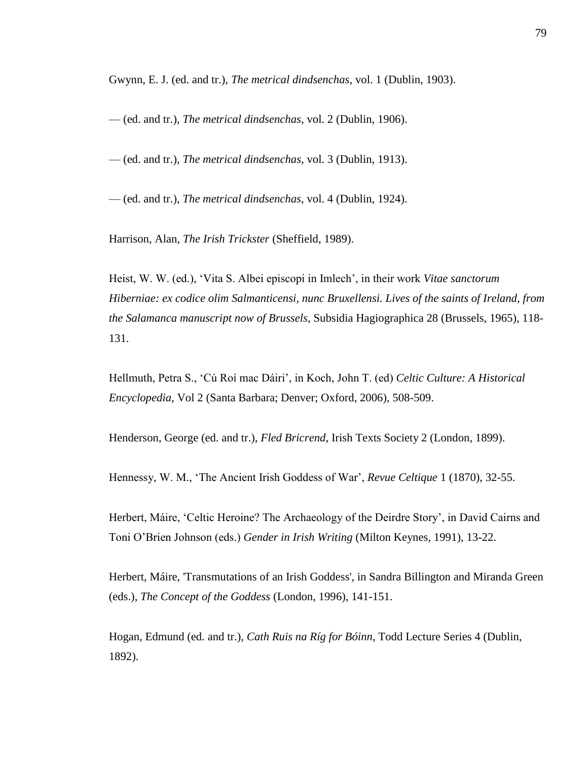Gwynn, E. J. (ed. and tr.), *The metrical dindsenchas*, vol. 1 (Dublin, 1903).

— (ed. and tr.), *The metrical dindsenchas*, vol. 2 (Dublin, 1906).

— (ed. and tr.), *The metrical dindsenchas*, vol. 3 (Dublin, 1913).

— (ed. and tr.), *The metrical dindsenchas*, vol. 4 (Dublin, 1924).

Harrison, Alan, *The Irish Trickster* (Sheffield, 1989).

Heist, W. W. (ed.), 'Vita S. Albei episcopi in Imlech', in their work *Vitae sanctorum Hiberniae: ex codice olim Salmanticensi, nunc Bruxellensi. Lives of the saints of Ireland, from the Salamanca manuscript now of Brussels*, Subsidia Hagiographica 28 (Brussels, 1965), 118- 131.

Hellmuth, Petra S., 'Cú Roí mac Dáiri', in Koch, John T. (ed) *Celtic Culture: A Historical Encyclopedia*, Vol 2 (Santa Barbara; Denver; Oxford, 2006), 508-509.

Henderson, George (ed. and tr.), *Fled Bricrend*, Irish Texts Society 2 (London, 1899).

Hennessy, W. M., 'The Ancient Irish Goddess of War', *Revue Celtique* 1 (1870), 32-55.

Herbert, Máire, 'Celtic Heroine? The Archaeology of the Deirdre Story', in David Cairns and Toni O'Brien Johnson (eds.) *Gender in Irish Writing* (Milton Keynes, 1991), 13-22.

Herbert, Máire, 'Transmutations of an Irish Goddess', in Sandra Billington and Miranda Green (eds.), *The Concept of the Goddess* (London, 1996), 141-151.

Hogan, Edmund (ed. and tr.), *Cath Ruis na Ríg for Bóinn*, Todd Lecture Series 4 (Dublin, 1892).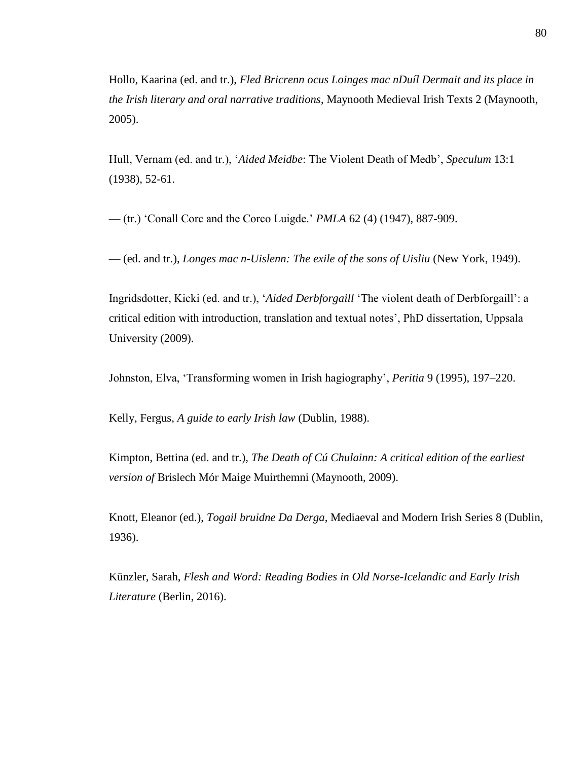Hollo, Kaarina (ed. and tr.), *Fled Bricrenn ocus Loinges mac nDuíl Dermait and its place in the Irish literary and oral narrative traditions*, Maynooth Medieval Irish Texts 2 (Maynooth, 2005).

Hull, Vernam (ed. and tr.), '*Aided Meidbe*: The Violent Death of Medb', *Speculum* 13:1 (1938), 52-61.

— (tr.) 'Conall Corc and the Corco Luigde.' *PMLA* 62 (4) (1947), 887-909.

— (ed. and tr.), *Longes mac n-Uislenn: The exile of the sons of Uisliu* (New York, 1949).

Ingridsdotter, Kicki (ed. and tr.), '*Aided Derbforgaill* 'The violent death of Derbforgaill': a critical edition with introduction, translation and textual notes', PhD dissertation, Uppsala University (2009).

Johnston, Elva, 'Transforming women in Irish hagiography', *Peritia* 9 (1995), 197–220.

Kelly, Fergus, *A guide to early Irish law* (Dublin, 1988).

Kimpton, Bettina (ed. and tr.), *The Death of Cú Chulainn: A critical edition of the earliest version of* Brislech Mór Maige Muirthemni (Maynooth, 2009).

Knott, Eleanor (ed.), *Togail bruidne Da Derga*, Mediaeval and Modern Irish Series 8 (Dublin, 1936).

Künzler, Sarah, *Flesh and Word: Reading Bodies in Old Norse-Icelandic and Early Irish Literature* (Berlin, 2016).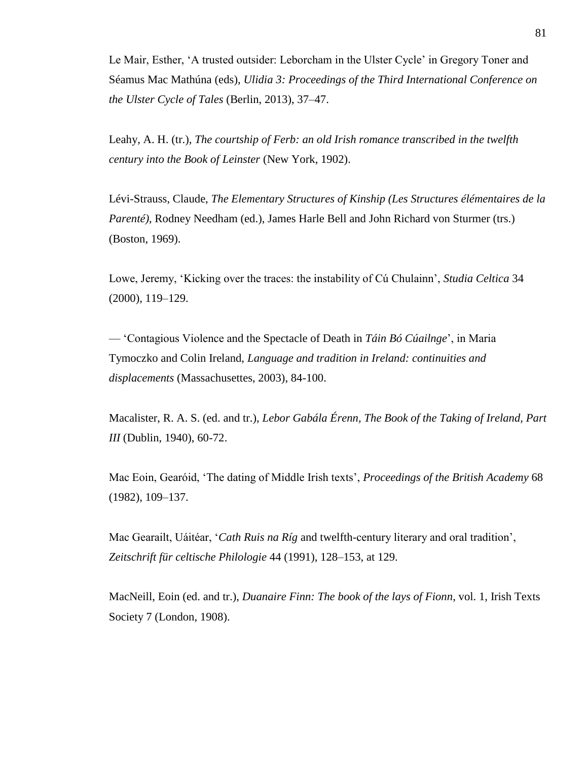Le Mair, Esther, 'A trusted outsider: Leborcham in the Ulster Cycle' in Gregory Toner and Séamus Mac Mathúna (eds), *Ulidia 3: Proceedings of the Third International Conference on the Ulster Cycle of Tales* (Berlin, 2013), 37–47.

Leahy, A. H. (tr.), *The courtship of Ferb: an old Irish romance transcribed in the twelfth century into the Book of Leinster* (New York, 1902).

Lévi-Strauss, Claude, *The Elementary Structures of Kinship (Les Structures élémentaires de la Parenté)*, Rodney Needham (ed.), James Harle Bell and John Richard von Sturmer (trs.) (Boston, 1969).

Lowe, Jeremy, 'Kicking over the traces: the instability of Cú Chulainn', *Studia Celtica* 34 (2000), 119–129.

— 'Contagious Violence and the Spectacle of Death in *Táin Bó Cúailnge*', in Maria Tymoczko and Colin Ireland, *Language and tradition in Ireland: continuities and displacements* (Massachusettes, 2003), 84-100.

Macalister, R. A. S. (ed. and tr.), *Lebor Gabála Érenn, The Book of the Taking of Ireland, Part III* (Dublin, 1940), 60-72.

Mac Eoin, Gearóid, 'The dating of Middle Irish texts', *Proceedings of the British Academy* 68 (1982), 109–137.

Mac Gearailt, Uáitéar, '*Cath Ruis na Ríg* and twelfth-century literary and oral tradition', *Zeitschrift für celtische Philologie* 44 (1991), 128–153, at 129.

MacNeill, Eoin (ed. and tr.), *Duanaire Finn: The book of the lays of Fionn*, vol. 1, Irish Texts Society 7 (London, 1908).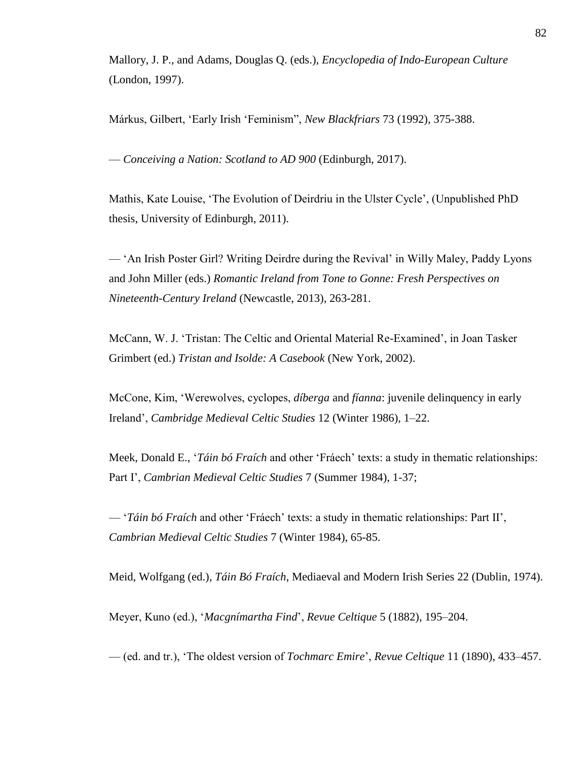Mallory, J. P., and Adams, Douglas Q. (eds.), *Encyclopedia of Indo-European Culture* (London, 1997).

Márkus, Gilbert, 'Early Irish 'Feminism", *New Blackfriars* 73 (1992), 375-388.

— *Conceiving a Nation: Scotland to AD 900* (Edinburgh, 2017).

Mathis, Kate Louise, 'The Evolution of Deirdriu in the Ulster Cycle', (Unpublished PhD thesis, University of Edinburgh, 2011).

— 'An Irish Poster Girl? Writing Deirdre during the Revival' in Willy Maley, Paddy Lyons and John Miller (eds.) *Romantic Ireland from Tone to Gonne: Fresh Perspectives on Nineteenth-Century Ireland* (Newcastle, 2013), 263-281.

McCann, W. J. 'Tristan: The Celtic and Oriental Material Re-Examined', in Joan Tasker Grimbert (ed.) *Tristan and Isolde: A Casebook* (New York, 2002).

McCone, Kim, 'Werewolves, cyclopes, *díberga* and *fíanna*: juvenile delinquency in early Ireland', *Cambridge Medieval Celtic Studies* 12 (Winter 1986), 1–22.

Meek, Donald E., '*Táin bó Fraích* and other 'Fráech' texts: a study in thematic relationships: Part I', *Cambrian Medieval Celtic Studies* 7 (Summer 1984), 1-37;

— '*Táin bó Fraích* and other 'Fráech' texts: a study in thematic relationships: Part II', *Cambrian Medieval Celtic Studies* 7 (Winter 1984), 65-85.

Meid, Wolfgang (ed.), *Táin Bó Fraích*, Mediaeval and Modern Irish Series 22 (Dublin, 1974).

Meyer, Kuno (ed.), '*Macgnímartha Find*', *Revue Celtique* 5 (1882), 195–204.

— (ed. and tr.), 'The oldest version of *Tochmarc Emire*', *Revue Celtique* 11 (1890), 433–457.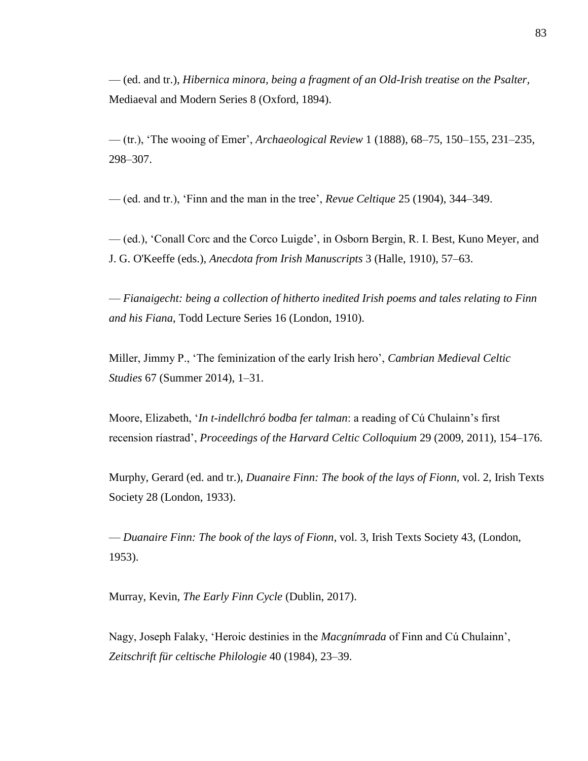— (ed. and tr.), *Hibernica minora, being a fragment of an Old-Irish treatise on the Psalter,*  Mediaeval and Modern Series 8 (Oxford, 1894).

— (tr.), 'The wooing of Emer', *Archaeological Review* 1 (1888), 68–75, 150–155, 231–235, 298–307.

— (ed. and tr.), 'Finn and the man in the tree', *Revue Celtique* 25 (1904), 344–349.

— (ed.), 'Conall Corc and the Corco Luigde', in Osborn Bergin, R. I. Best, Kuno Meyer, and J. G. O'Keeffe (eds.), *Anecdota from Irish Manuscripts* 3 (Halle, 1910), 57–63.

— *Fianaigecht: being a collection of hitherto inedited Irish poems and tales relating to Finn and his Fiana*, Todd Lecture Series 16 (London, 1910).

Miller, Jimmy P., 'The feminization of the early Irish hero', *Cambrian Medieval Celtic Studies* 67 (Summer 2014), 1–31.

Moore, Elizabeth, '*In t-indellchró bodba fer talman*: a reading of Cú Chulainn's first recension ríastrad', *Proceedings of the Harvard Celtic Colloquium* 29 (2009, 2011), 154–176.

Murphy, Gerard (ed. and tr.), *Duanaire Finn: The book of the lays of Fionn,* vol. 2, Irish Texts Society 28 (London, 1933).

— *Duanaire Finn: The book of the lays of Fionn*, vol. 3, Irish Texts Society 43, (London, 1953).

Murray, Kevin, *The Early Finn Cycle* (Dublin, 2017).

Nagy, Joseph Falaky, 'Heroic destinies in the *Macgnímrada* of Finn and Cú Chulainn', *Zeitschrift für celtische Philologie* 40 (1984), 23–39.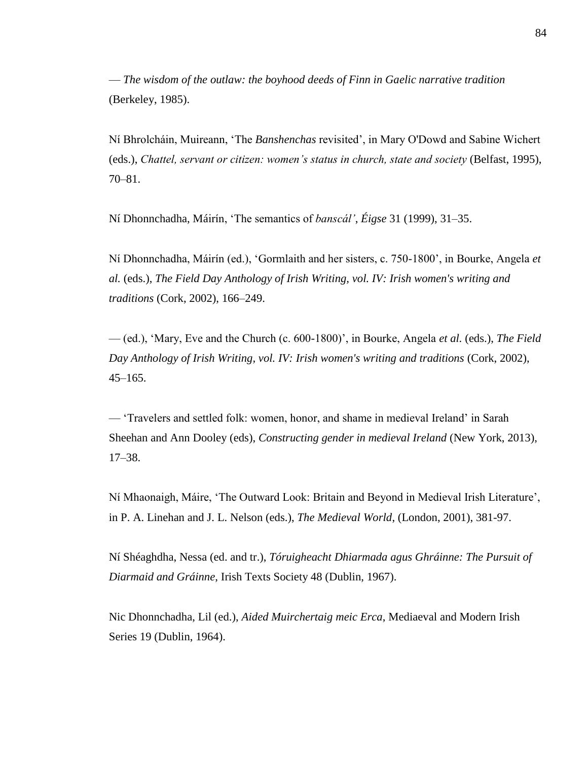— *The wisdom of the outlaw: the boyhood deeds of Finn in Gaelic narrative tradition* (Berkeley, 1985).

Ní Bhrolcháin, Muireann, 'The *Banshenchas* revisited', in Mary O'Dowd and Sabine Wichert (eds.), *Chattel, servant or citizen: women's status in church, state and society* (Belfast, 1995), 70–81.

Ní Dhonnchadha, Máirín, 'The semantics of *banscál'*, *Éigse* 31 (1999), 31–35.

Ní Dhonnchadha, Máirín (ed.), 'Gormlaith and her sisters, c. 750-1800', in Bourke, Angela *et al.* (eds.), *The Field Day Anthology of Irish Writing, vol. IV: Irish women's writing and traditions* (Cork, 2002), 166–249.

— (ed.), 'Mary, Eve and the Church (c. 600-1800)', in Bourke, Angela *et al.* (eds.), *The Field Day Anthology of Irish Writing, vol. IV: Irish women's writing and traditions* (Cork, 2002), 45–165.

— 'Travelers and settled folk: women, honor, and shame in medieval Ireland' in Sarah Sheehan and Ann Dooley (eds), *Constructing gender in medieval Ireland* (New York, 2013), 17–38.

Ní Mhaonaigh, Máire, 'The Outward Look: Britain and Beyond in Medieval Irish Literature', in P. A. Linehan and J. L. Nelson (eds.), *The Medieval World*, (London, 2001), 381-97.

Ní Shéaghdha, Nessa (ed. and tr.), *Tóruigheacht Dhiarmada agus Ghráinne: The Pursuit of Diarmaid and Gráinne*, Irish Texts Society 48 (Dublin, 1967).

Nic Dhonnchadha, Lil (ed.), *Aided Muirchertaig meic Erca*, Mediaeval and Modern Irish Series 19 (Dublin, 1964).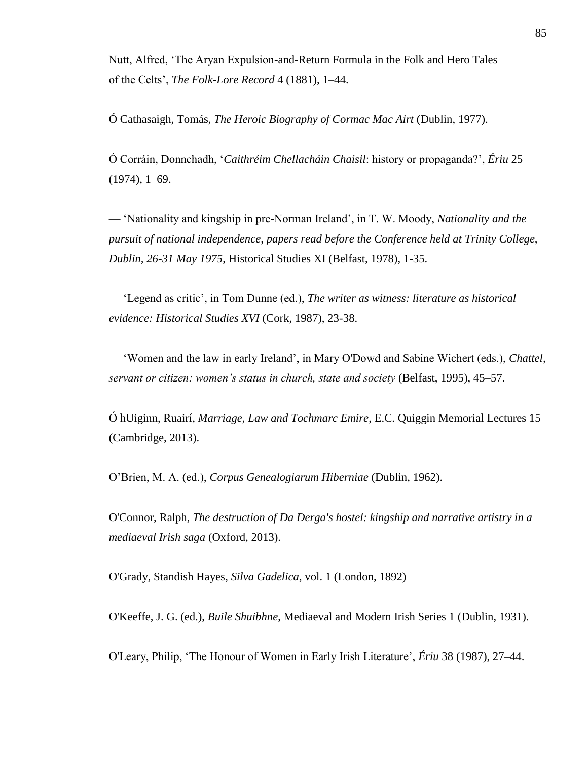Nutt, Alfred, 'The Aryan Expulsion-and-Return Formula in the Folk and Hero Tales of the Celts', *The Folk-Lore Record* 4 (1881), 1–44.

Ó Cathasaigh, Tomás, *The Heroic Biography of Cormac Mac Airt* (Dublin, 1977).

Ó Corráin, Donnchadh, '*Caithréim Chellacháin Chaisil*: history or propaganda?', *Ériu* 25 (1974), 1–69.

— 'Nationality and kingship in pre-Norman Ireland', in T. W. Moody, *Nationality and the pursuit of national independence, papers read before the Conference held at Trinity College, Dublin, 26-31 May 1975*, Historical Studies XI (Belfast, 1978), 1-35.

— 'Legend as critic', in Tom Dunne (ed.), *The writer as witness: literature as historical evidence: Historical Studies XVI* (Cork, 1987), 23-38.

— 'Women and the law in early Ireland', in Mary O'Dowd and Sabine Wichert (eds.), *Chattel, servant or citizen: women's status in church, state and society* (Belfast, 1995), 45–57.

Ó hUiginn, Ruairí, *Marriage, Law and Tochmarc Emire*, E.C. Quiggin Memorial Lectures 15 (Cambridge, 2013).

O'Brien, M. A. (ed.), *Corpus Genealogiarum Hiberniae* (Dublin, 1962).

O'Connor, Ralph, *The destruction of Da Derga's hostel: kingship and narrative artistry in a mediaeval Irish saga* (Oxford, 2013).

O'Grady, Standish Hayes, *Silva Gadelica*, vol. 1 (London, 1892)

O'Keeffe, J. G. (ed.), *Buile Shuibhne*, Mediaeval and Modern Irish Series 1 (Dublin, 1931).

O'Leary, Philip, 'The Honour of Women in Early Irish Literature', *Ériu* 38 (1987), 27–44.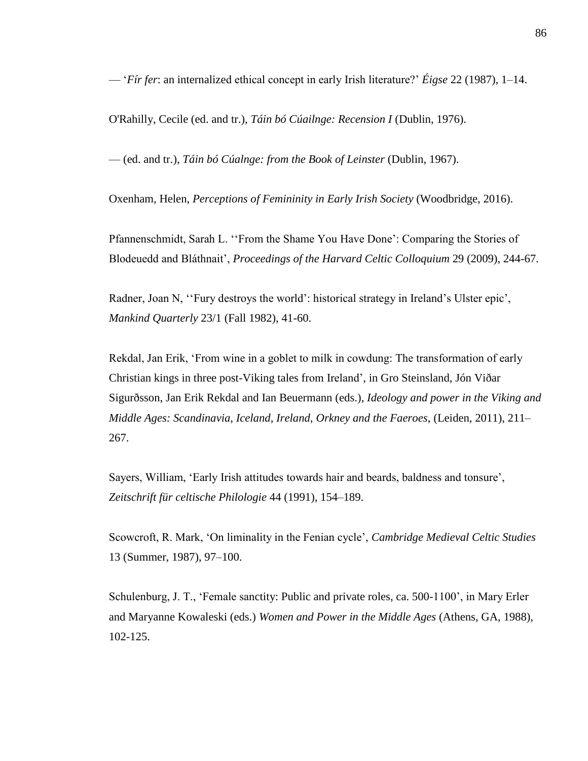— '*Fír fer*: an internalized ethical concept in early Irish literature?' *Éigse* 22 (1987), 1–14.

O'Rahilly, Cecile (ed. and tr.), *Táin bó Cúailnge: Recension I* (Dublin, 1976).

— (ed. and tr.), *Táin bó Cúalnge: from the Book of Leinster* (Dublin, 1967).

Oxenham, Helen, *Perceptions of Femininity in Early Irish Society* (Woodbridge, 2016).

Pfannenschmidt, Sarah L. ''From the Shame You Have Done': Comparing the Stories of Blodeuedd and Bláthnait', *Proceedings of the Harvard Celtic Colloquium* 29 (2009), 244-67.

Radner, Joan N, ''Fury destroys the world': historical strategy in Ireland's Ulster epic', *Mankind Quarterly* 23/1 (Fall 1982), 41-60.

Rekdal, Jan Erik, 'From wine in a goblet to milk in cowdung: The transformation of early Christian kings in three post-Viking tales from Ireland', in Gro Steinsland, Jón Viðar Sigurðsson, Jan Erik Rekdal and Ian Beuermann (eds.)*, Ideology and power in the Viking and Middle Ages: Scandinavia, Iceland, Ireland, Orkney and the Faeroes*, (Leiden, 2011), 211– 267.

Sayers, William, 'Early Irish attitudes towards hair and beards, baldness and tonsure', *Zeitschrift für celtische Philologie* 44 (1991), 154–189.

Scowcroft, R. Mark, 'On liminality in the Fenian cycle', *Cambridge Medieval Celtic Studies* 13 (Summer, 1987), 97–100.

Schulenburg, J. T., 'Female sanctity: Public and private roles, ca. 500-1100', in Mary Erler and Maryanne Kowaleski (eds.) *Women and Power in the Middle Ages* (Athens, GA, 1988), 102-125.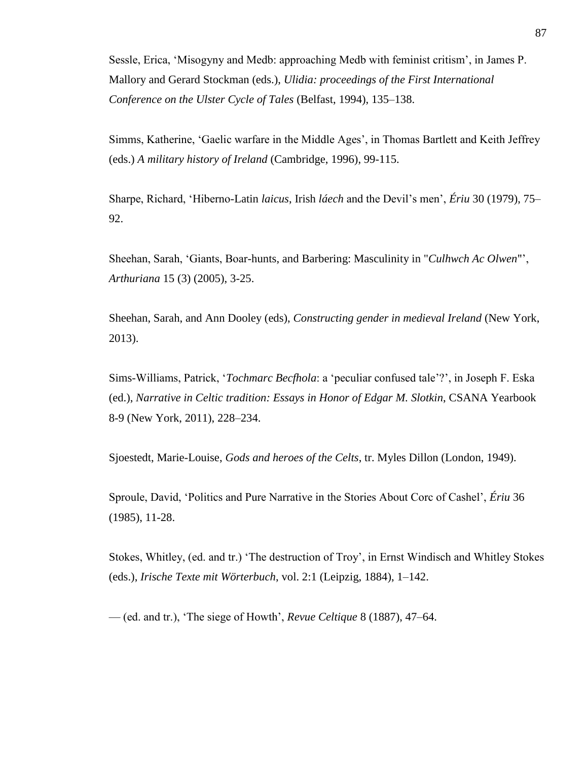Sessle, Erica, 'Misogyny and Medb: approaching Medb with feminist critism', in James P. Mallory and Gerard Stockman (eds.), *Ulidia: proceedings of the First International Conference on the Ulster Cycle of Tales* (Belfast, 1994), 135–138.

Simms, Katherine, 'Gaelic warfare in the Middle Ages', in Thomas Bartlett and Keith Jeffrey (eds.) *A military history of Ireland* (Cambridge, 1996), 99-115.

Sharpe, Richard, 'Hiberno-Latin *laicus*, Irish *láech* and the Devil's men', *Ériu* 30 (1979), 75– 92.

Sheehan, Sarah, 'Giants, Boar-hunts, and Barbering: Masculinity in "*Culhwch Ac Olwen*"', *Arthuriana* 15 (3) (2005), 3-25.

Sheehan, Sarah, and Ann Dooley (eds), *Constructing gender in medieval Ireland* (New York, 2013).

Sims-Williams, Patrick, '*Tochmarc Becfhola*: a 'peculiar confused tale'?', in Joseph F. Eska (ed.), *Narrative in Celtic tradition: Essays in Honor of Edgar M. Slotkin*, CSANA Yearbook 8-9 (New York, 2011), 228–234.

Sjoestedt, Marie-Louise, *Gods and heroes of the Celts*, tr. Myles Dillon (London, 1949).

Sproule, David, 'Politics and Pure Narrative in the Stories About Corc of Cashel', *Ériu* 36 (1985), 11-28.

Stokes, Whitley, (ed. and tr.) 'The destruction of Troy', in Ernst Windisch and Whitley Stokes (eds.), *Irische Texte mit Wörterbuch*, vol. 2:1 (Leipzig, 1884), 1–142.

— (ed. and tr.), 'The siege of Howth', *Revue Celtique* 8 (1887), 47–64.